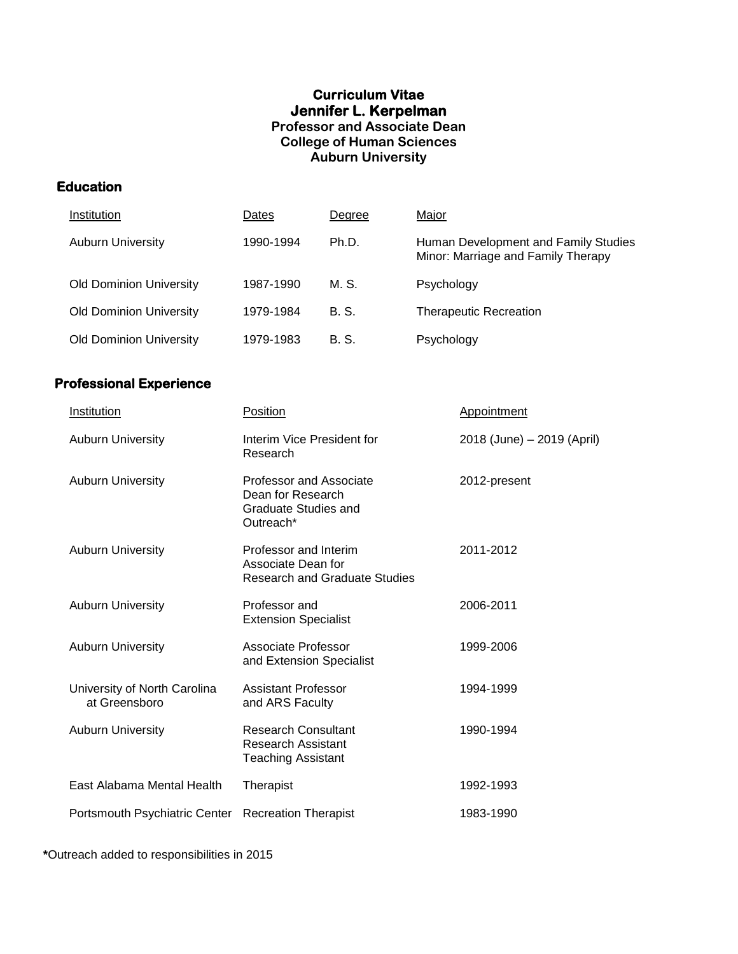# **Curriculum Vitae Jennifer L. Kerpelman Professor and Associate Dean College of Human Sciences Auburn University**

# **Education**

| Institution                    | Dates     | Degree | Major                                                                      |
|--------------------------------|-----------|--------|----------------------------------------------------------------------------|
| <b>Auburn University</b>       | 1990-1994 | Ph.D.  | Human Development and Family Studies<br>Minor: Marriage and Family Therapy |
| <b>Old Dominion University</b> | 1987-1990 | M. S.  | Psychology                                                                 |
| <b>Old Dominion University</b> | 1979-1984 | B. S.  | <b>Therapeutic Recreation</b>                                              |
| <b>Old Dominion University</b> | 1979-1983 | B. S.  | Psychology                                                                 |

# **Professional Experience**

| Institution                                   | <b>Position</b>                                                                                 | Appointment                |
|-----------------------------------------------|-------------------------------------------------------------------------------------------------|----------------------------|
| <b>Auburn University</b>                      | Interim Vice President for<br>Research                                                          | 2018 (June) - 2019 (April) |
| <b>Auburn University</b>                      | <b>Professor and Associate</b><br>Dean for Research<br><b>Graduate Studies and</b><br>Outreach* | 2012-present               |
| <b>Auburn University</b>                      | Professor and Interim<br>Associate Dean for<br><b>Research and Graduate Studies</b>             | 2011-2012                  |
| <b>Auburn University</b>                      | Professor and<br><b>Extension Specialist</b>                                                    | 2006-2011                  |
| <b>Auburn University</b>                      | <b>Associate Professor</b><br>and Extension Specialist                                          | 1999-2006                  |
| University of North Carolina<br>at Greensboro | <b>Assistant Professor</b><br>and ARS Faculty                                                   | 1994-1999                  |
| <b>Auburn University</b>                      | <b>Research Consultant</b><br><b>Research Assistant</b><br><b>Teaching Assistant</b>            | 1990-1994                  |
| East Alabama Mental Health                    | Therapist                                                                                       | 1992-1993                  |
| Portsmouth Psychiatric Center                 | <b>Recreation Therapist</b>                                                                     | 1983-1990                  |

**\***Outreach added to responsibilities in 2015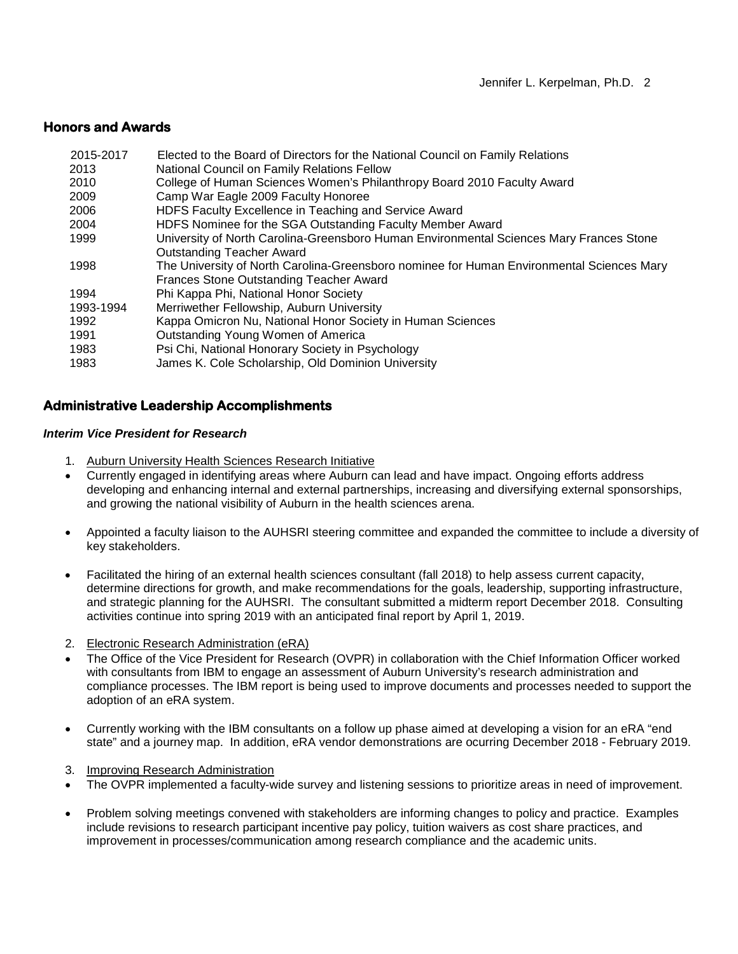## **Honors and Awards**

| 2015-2017<br>2013 | Elected to the Board of Directors for the National Council on Family Relations<br>National Council on Family Relations Fellow |
|-------------------|-------------------------------------------------------------------------------------------------------------------------------|
| 2010              | College of Human Sciences Women's Philanthropy Board 2010 Faculty Award                                                       |
| 2009              | Camp War Eagle 2009 Faculty Honoree                                                                                           |
| 2006              | HDFS Faculty Excellence in Teaching and Service Award                                                                         |
| 2004              | HDFS Nominee for the SGA Outstanding Faculty Member Award                                                                     |
| 1999              | University of North Carolina-Greensboro Human Environmental Sciences Mary Frances Stone                                       |
|                   | <b>Outstanding Teacher Award</b>                                                                                              |
| 1998              | The University of North Carolina-Greensboro nominee for Human Environmental Sciences Mary                                     |
|                   | Frances Stone Outstanding Teacher Award                                                                                       |
| 1994              | Phi Kappa Phi, National Honor Society                                                                                         |
| 1993-1994         | Merriwether Fellowship, Auburn University                                                                                     |
| 1992              | Kappa Omicron Nu, National Honor Society in Human Sciences                                                                    |
| 1991              | Outstanding Young Women of America                                                                                            |
| 1983              | Psi Chi, National Honorary Society in Psychology                                                                              |
| 1983              | James K. Cole Scholarship, Old Dominion University                                                                            |

## **Administrative Leadership Accomplishments**

### *Interim Vice President for Research*

- 1. Auburn University Health Sciences Research Initiative
- Currently engaged in identifying areas where Auburn can lead and have impact. Ongoing efforts address developing and enhancing internal and external partnerships, increasing and diversifying external sponsorships, and growing the national visibility of Auburn in the health sciences arena.
- Appointed a faculty liaison to the AUHSRI steering committee and expanded the committee to include a diversity of key stakeholders.
- Facilitated the hiring of an external health sciences consultant (fall 2018) to help assess current capacity, determine directions for growth, and make recommendations for the goals, leadership, supporting infrastructure, and strategic planning for the AUHSRI. The consultant submitted a midterm report December 2018. Consulting activities continue into spring 2019 with an anticipated final report by April 1, 2019.
- 2. Electronic Research Administration (eRA)
- The Office of the Vice President for Research (OVPR) in collaboration with the Chief Information Officer worked with consultants from IBM to engage an assessment of Auburn University's research administration and compliance processes. The IBM report is being used to improve documents and processes needed to support the adoption of an eRA system.
- Currently working with the IBM consultants on a follow up phase aimed at developing a vision for an eRA "end state" and a journey map. In addition, eRA vendor demonstrations are ocurring December 2018 - February 2019.
- 3. Improving Research Administration
- The OVPR implemented a faculty-wide survey and listening sessions to prioritize areas in need of improvement.
- Problem solving meetings convened with stakeholders are informing changes to policy and practice. Examples include revisions to research participant incentive pay policy, tuition waivers as cost share practices, and improvement in processes/communication among research compliance and the academic units.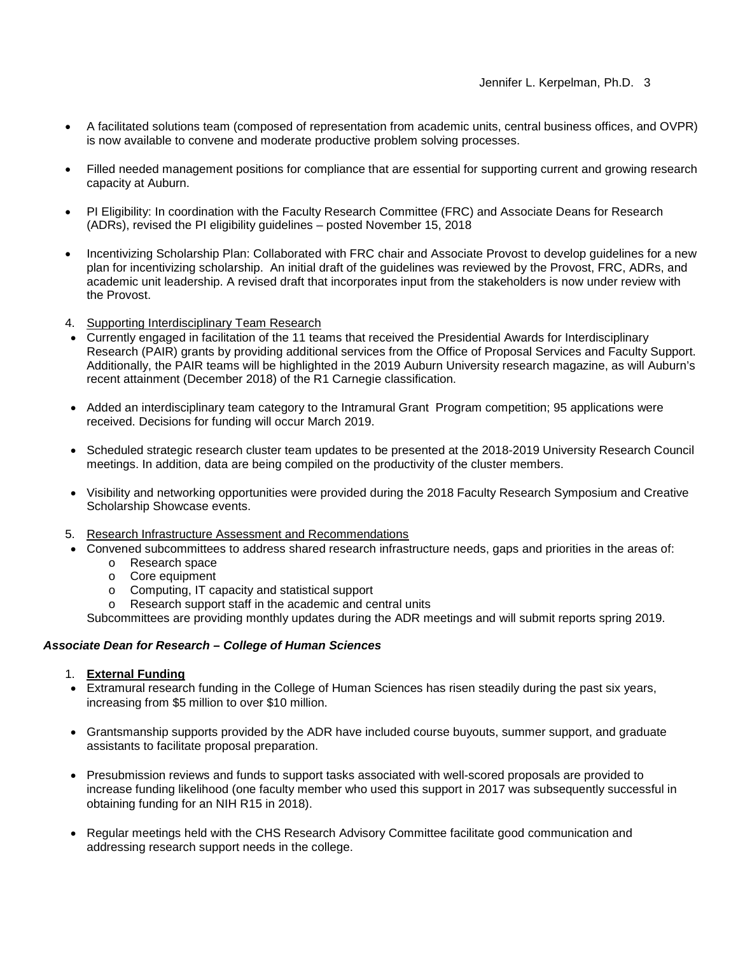- A facilitated solutions team (composed of representation from academic units, central business offices, and OVPR) is now available to convene and moderate productive problem solving processes.
- Filled needed management positions for compliance that are essential for supporting current and growing research capacity at Auburn.
- PI Eligibility: In coordination with the Faculty Research Committee (FRC) and Associate Deans for Research (ADRs), revised the PI eligibility guidelines – posted November 15, 2018
- Incentivizing Scholarship Plan: Collaborated with FRC chair and Associate Provost to develop guidelines for a new plan for incentivizing scholarship. An initial draft of the guidelines was reviewed by the Provost, FRC, ADRs, and academic unit leadership. A revised draft that incorporates input from the stakeholders is now under review with the Provost.
- 4. Supporting Interdisciplinary Team Research
- Currently engaged in facilitation of the 11 teams that received the Presidential Awards for Interdisciplinary Research (PAIR) grants by providing additional services from the Office of Proposal Services and Faculty Support. Additionally, the PAIR teams will be highlighted in the 2019 Auburn University research magazine, as will Auburn's recent attainment (December 2018) of the R1 Carnegie classification.
- Added an interdisciplinary team category to the Intramural Grant Program competition; 95 applications were received. Decisions for funding will occur March 2019.
- Scheduled strategic research cluster team updates to be presented at the 2018-2019 University Research Council meetings. In addition, data are being compiled on the productivity of the cluster members.
- Visibility and networking opportunities were provided during the 2018 Faculty Research Symposium and Creative Scholarship Showcase events.
- 5. Research Infrastructure Assessment and Recommendations
- Convened subcommittees to address shared research infrastructure needs, gaps and priorities in the areas of:
	- o Research space
	- o Core equipment
	- o Computing, IT capacity and statistical support
	- o Research support staff in the academic and central units

Subcommittees are providing monthly updates during the ADR meetings and will submit reports spring 2019.

### *Associate Dean for Research – College of Human Sciences*

- 1. **External Funding**
- Extramural research funding in the College of Human Sciences has risen steadily during the past six years, increasing from \$5 million to over \$10 million.
- Grantsmanship supports provided by the ADR have included course buyouts, summer support, and graduate assistants to facilitate proposal preparation.
- Presubmission reviews and funds to support tasks associated with well-scored proposals are provided to increase funding likelihood (one faculty member who used this support in 2017 was subsequently successful in obtaining funding for an NIH R15 in 2018).
- Regular meetings held with the CHS Research Advisory Committee facilitate good communication and addressing research support needs in the college.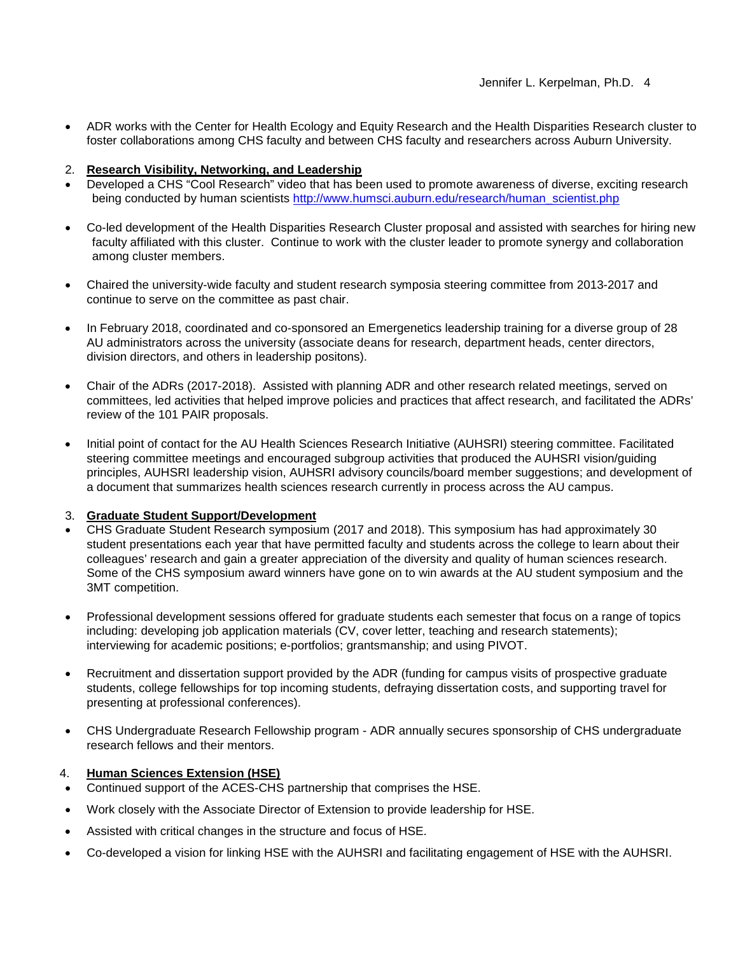- ADR works with the Center for Health Ecology and Equity Research and the Health Disparities Research cluster to foster collaborations among CHS faculty and between CHS faculty and researchers across Auburn University.
- 2. **Research Visibility, Networking, and Leadership**
- Developed a CHS "Cool Research" video that has been used to promote awareness of diverse, exciting research being conducted by human scientists [http://www.humsci.auburn.edu/research/human\\_scientist.php](http://www.humsci.auburn.edu/research/human_scientist.php)
- Co-led development of the Health Disparities Research Cluster proposal and assisted with searches for hiring new faculty affiliated with this cluster. Continue to work with the cluster leader to promote synergy and collaboration among cluster members.
- Chaired the university-wide faculty and student research symposia steering committee from 2013-2017 and continue to serve on the committee as past chair.
- In February 2018, coordinated and co-sponsored an Emergenetics leadership training for a diverse group of 28 AU administrators across the university (associate deans for research, department heads, center directors, division directors, and others in leadership positons).
- Chair of the ADRs (2017-2018). Assisted with planning ADR and other research related meetings, served on committees, led activities that helped improve policies and practices that affect research, and facilitated the ADRs' review of the 101 PAIR proposals.
- Initial point of contact for the AU Health Sciences Research Initiative (AUHSRI) steering committee. Facilitated steering committee meetings and encouraged subgroup activities that produced the AUHSRI vision/guiding principles, AUHSRI leadership vision, AUHSRI advisory councils/board member suggestions; and development of a document that summarizes health sciences research currently in process across the AU campus.

## 3. **Graduate Student Support/Development**

- CHS Graduate Student Research symposium (2017 and 2018). This symposium has had approximately 30 student presentations each year that have permitted faculty and students across the college to learn about their colleagues' research and gain a greater appreciation of the diversity and quality of human sciences research. Some of the CHS symposium award winners have gone on to win awards at the AU student symposium and the 3MT competition.
- Professional development sessions offered for graduate students each semester that focus on a range of topics including: developing job application materials (CV, cover letter, teaching and research statements); interviewing for academic positions; e-portfolios; grantsmanship; and using PIVOT.
- Recruitment and dissertation support provided by the ADR (funding for campus visits of prospective graduate students, college fellowships for top incoming students, defraying dissertation costs, and supporting travel for presenting at professional conferences).
- CHS Undergraduate Research Fellowship program ADR annually secures sponsorship of CHS undergraduate research fellows and their mentors.

## 4. **Human Sciences Extension (HSE)**

- Continued support of the ACES-CHS partnership that comprises the HSE.
- Work closely with the Associate Director of Extension to provide leadership for HSE.
- Assisted with critical changes in the structure and focus of HSE.
- Co-developed a vision for linking HSE with the AUHSRI and facilitating engagement of HSE with the AUHSRI.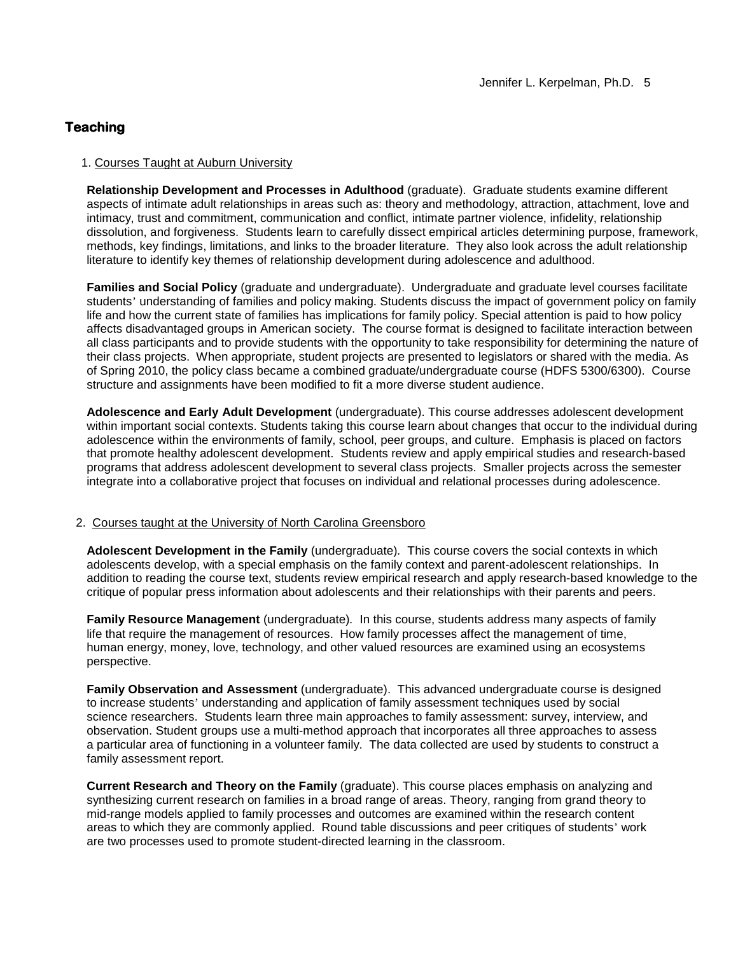## **Teaching**

#### 1. Courses Taught at Auburn University

**Relationship Development and Processes in Adulthood** (graduate). Graduate students examine different aspects of intimate adult relationships in areas such as: theory and methodology, attraction, attachment, love and intimacy, trust and commitment, communication and conflict, intimate partner violence, infidelity, relationship dissolution, and forgiveness. Students learn to carefully dissect empirical articles determining purpose, framework, methods, key findings, limitations, and links to the broader literature. They also look across the adult relationship literature to identify key themes of relationship development during adolescence and adulthood.

**Families and Social Policy** (graduate and undergraduate). Undergraduate and graduate level courses facilitate students' understanding of families and policy making. Students discuss the impact of government policy on family life and how the current state of families has implications for family policy. Special attention is paid to how policy affects disadvantaged groups in American society. The course format is designed to facilitate interaction between all class participants and to provide students with the opportunity to take responsibility for determining the nature of their class projects. When appropriate, student projects are presented to legislators or shared with the media. As of Spring 2010, the policy class became a combined graduate/undergraduate course (HDFS 5300/6300). Course structure and assignments have been modified to fit a more diverse student audience.

**Adolescence and Early Adult Development** (undergraduate). This course addresses adolescent development within important social contexts. Students taking this course learn about changes that occur to the individual during adolescence within the environments of family, school, peer groups, and culture. Emphasis is placed on factors that promote healthy adolescent development. Students review and apply empirical studies and research-based programs that address adolescent development to several class projects. Smaller projects across the semester integrate into a collaborative project that focuses on individual and relational processes during adolescence.

#### 2. Courses taught at the University of North Carolina Greensboro

**Adolescent Development in the Family** (undergraduate)*.* This course covers the social contexts in which adolescents develop, with a special emphasis on the family context and parent-adolescent relationships. In addition to reading the course text, students review empirical research and apply research-based knowledge to the critique of popular press information about adolescents and their relationships with their parents and peers.

**Family Resource Management** (undergraduate)*.* In this course, students address many aspects of family life that require the management of resources. How family processes affect the management of time, human energy, money, love, technology, and other valued resources are examined using an ecosystems perspective.

**Family Observation and Assessment** (undergraduate). This advanced undergraduate course is designed to increase students' understanding and application of family assessment techniques used by social science researchers. Students learn three main approaches to family assessment: survey, interview, and observation. Student groups use a multi-method approach that incorporates all three approaches to assess a particular area of functioning in a volunteer family. The data collected are used by students to construct a family assessment report.

**Current Research and Theory on the Family** (graduate). This course places emphasis on analyzing and synthesizing current research on families in a broad range of areas. Theory, ranging from grand theory to mid-range models applied to family processes and outcomes are examined within the research content areas to which they are commonly applied. Round table discussions and peer critiques of students' work are two processes used to promote student-directed learning in the classroom.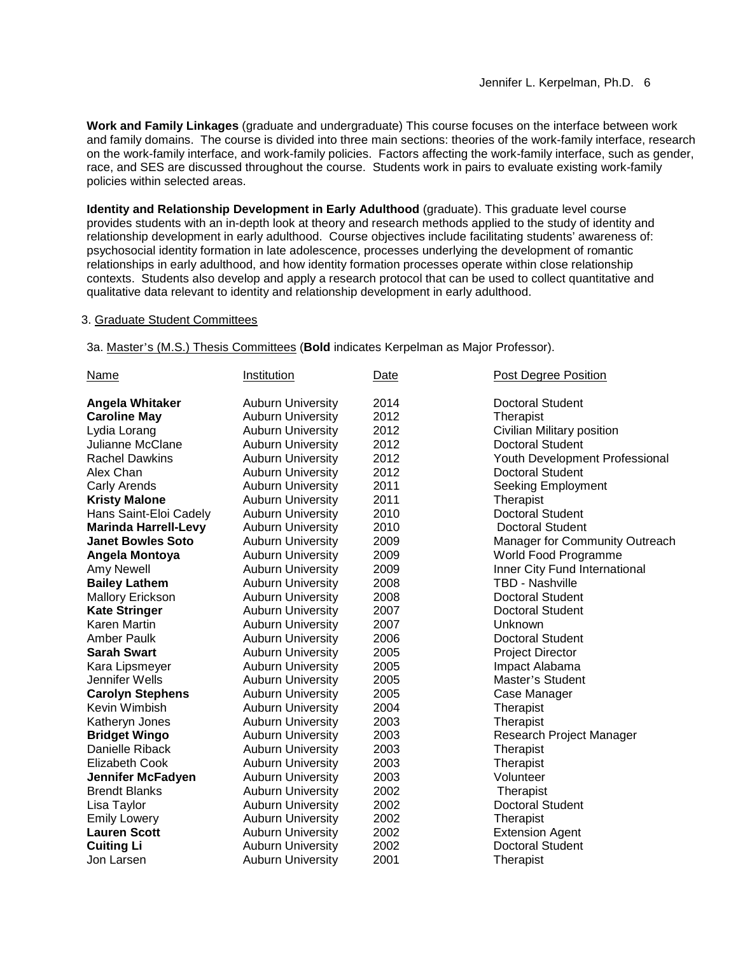**Work and Family Linkages** (graduate and undergraduate) This course focuses on the interface between work and family domains. The course is divided into three main sections: theories of the work-family interface, research on the work-family interface, and work-family policies. Factors affecting the work-family interface, such as gender, race, and SES are discussed throughout the course. Students work in pairs to evaluate existing work-family policies within selected areas.

**Identity and Relationship Development in Early Adulthood** (graduate). This graduate level course provides students with an in-depth look at theory and research methods applied to the study of identity and relationship development in early adulthood. Course objectives include facilitating students' awareness of: psychosocial identity formation in late adolescence, processes underlying the development of romantic relationships in early adulthood, and how identity formation processes operate within close relationship contexts. Students also develop and apply a research protocol that can be used to collect quantitative and qualitative data relevant to identity and relationship development in early adulthood.

### 3. Graduate Student Committees

3a. Master's (M.S.) Thesis Committees (**Bold** indicates Kerpelman as Major Professor).

| <b>Name</b>                 | Institution              | Date | Post Degree Position           |
|-----------------------------|--------------------------|------|--------------------------------|
| <b>Angela Whitaker</b>      | <b>Auburn University</b> | 2014 | <b>Doctoral Student</b>        |
| <b>Caroline May</b>         | <b>Auburn University</b> | 2012 | Therapist                      |
| Lydia Lorang                | <b>Auburn University</b> | 2012 | Civilian Military position     |
| Julianne McClane            | <b>Auburn University</b> | 2012 | <b>Doctoral Student</b>        |
| <b>Rachel Dawkins</b>       | <b>Auburn University</b> | 2012 | Youth Development Professional |
| Alex Chan                   | <b>Auburn University</b> | 2012 | Doctoral Student               |
| <b>Carly Arends</b>         | <b>Auburn University</b> | 2011 | Seeking Employment             |
| <b>Kristy Malone</b>        | <b>Auburn University</b> | 2011 | Therapist                      |
| Hans Saint-Eloi Cadely      | <b>Auburn University</b> | 2010 | <b>Doctoral Student</b>        |
| <b>Marinda Harrell-Levy</b> | <b>Auburn University</b> | 2010 | <b>Doctoral Student</b>        |
| <b>Janet Bowles Soto</b>    | <b>Auburn University</b> | 2009 | Manager for Community Outreach |
| Angela Montoya              | <b>Auburn University</b> | 2009 | World Food Programme           |
| <b>Amy Newell</b>           | <b>Auburn University</b> | 2009 | Inner City Fund International  |
| <b>Bailey Lathem</b>        | <b>Auburn University</b> | 2008 | TBD - Nashville                |
| <b>Mallory Erickson</b>     | <b>Auburn University</b> | 2008 | <b>Doctoral Student</b>        |
| <b>Kate Stringer</b>        | <b>Auburn University</b> | 2007 | <b>Doctoral Student</b>        |
| <b>Karen Martin</b>         | <b>Auburn University</b> | 2007 | Unknown                        |
| <b>Amber Paulk</b>          | <b>Auburn University</b> | 2006 | <b>Doctoral Student</b>        |
| <b>Sarah Swart</b>          | <b>Auburn University</b> | 2005 | <b>Project Director</b>        |
| Kara Lipsmeyer              | <b>Auburn University</b> | 2005 | Impact Alabama                 |
| Jennifer Wells              | <b>Auburn University</b> | 2005 | Master's Student               |
| <b>Carolyn Stephens</b>     | <b>Auburn University</b> | 2005 | Case Manager                   |
| Kevin Wimbish               | <b>Auburn University</b> | 2004 | Therapist                      |
| Katheryn Jones              | <b>Auburn University</b> | 2003 | Therapist                      |
| <b>Bridget Wingo</b>        | <b>Auburn University</b> | 2003 | Research Project Manager       |
| Danielle Riback             | <b>Auburn University</b> | 2003 | Therapist                      |
| Elizabeth Cook              | <b>Auburn University</b> | 2003 | Therapist                      |
| Jennifer McFadyen           | <b>Auburn University</b> | 2003 | Volunteer                      |
| <b>Brendt Blanks</b>        | <b>Auburn University</b> | 2002 | Therapist                      |
| Lisa Taylor                 | <b>Auburn University</b> | 2002 | <b>Doctoral Student</b>        |
| <b>Emily Lowery</b>         | <b>Auburn University</b> | 2002 | Therapist                      |
| <b>Lauren Scott</b>         | <b>Auburn University</b> | 2002 | <b>Extension Agent</b>         |
| <b>Cuiting Li</b>           | <b>Auburn University</b> | 2002 | <b>Doctoral Student</b>        |
| Jon Larsen                  | <b>Auburn University</b> | 2001 | Therapist                      |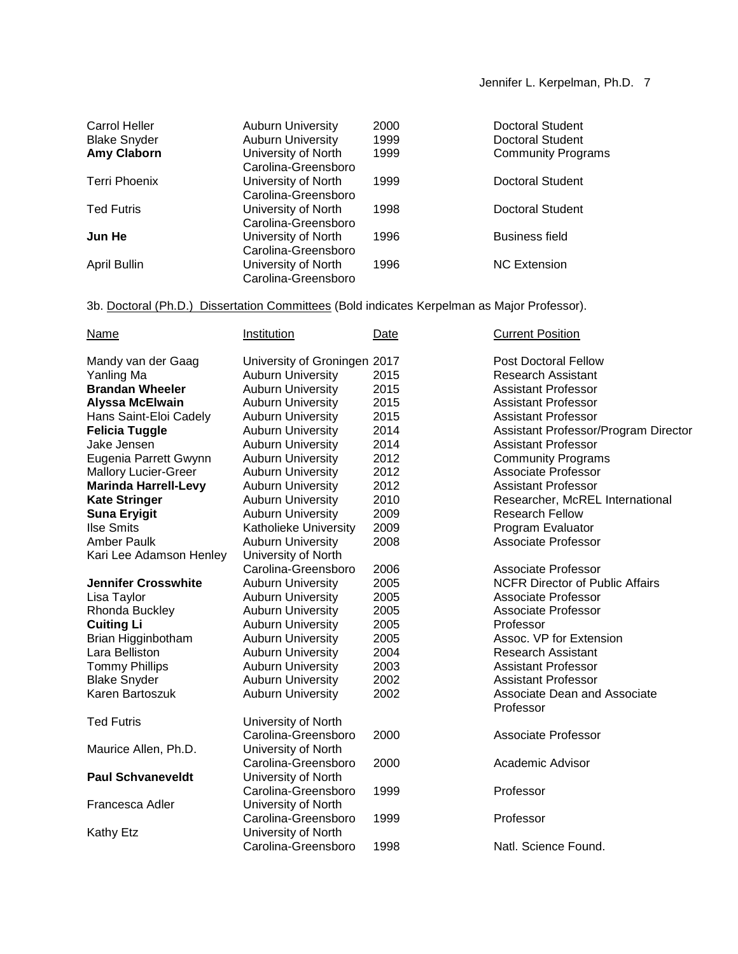| Carrol Heller       | <b>Auburn University</b> | 2000 | Doctoral Student          |
|---------------------|--------------------------|------|---------------------------|
| <b>Blake Snyder</b> | <b>Auburn University</b> | 1999 | Doctoral Student          |
| <b>Amy Claborn</b>  | University of North      | 1999 | <b>Community Programs</b> |
|                     | Carolina-Greensboro      |      |                           |
| Terri Phoenix       | University of North      | 1999 | Doctoral Student          |
|                     | Carolina-Greensboro      |      |                           |
| <b>Ted Futris</b>   | University of North      | 1998 | Doctoral Student          |
|                     | Carolina-Greensboro      |      |                           |
| Jun He              | University of North      | 1996 | <b>Business field</b>     |
|                     | Carolina-Greensboro      |      |                           |
| April Bullin        | University of North      | 1996 | <b>NC Extension</b>       |
|                     | Carolina-Greensboro      |      |                           |
|                     |                          |      |                           |

3b. Doctoral (Ph.D.) Dissertation Committees (Bold indicates Kerpelman as Major Professor).

| <b>Name</b>                 | Institution                  | Date | <b>Current Position</b>                          |
|-----------------------------|------------------------------|------|--------------------------------------------------|
| Mandy van der Gaag          | University of Groningen 2017 |      | <b>Post Doctoral Fellow</b>                      |
| Yanling Ma                  | <b>Auburn University</b>     | 2015 | <b>Research Assistant</b>                        |
| <b>Brandan Wheeler</b>      | <b>Auburn University</b>     | 2015 | <b>Assistant Professor</b>                       |
| <b>Alyssa McElwain</b>      | <b>Auburn University</b>     | 2015 | <b>Assistant Professor</b>                       |
| Hans Saint-Eloi Cadely      | <b>Auburn University</b>     | 2015 | <b>Assistant Professor</b>                       |
| <b>Felicia Tuggle</b>       | <b>Auburn University</b>     | 2014 | Assistant Professor/Program Director             |
| Jake Jensen                 | <b>Auburn University</b>     | 2014 | <b>Assistant Professor</b>                       |
| Eugenia Parrett Gwynn       | <b>Auburn University</b>     | 2012 | <b>Community Programs</b>                        |
| <b>Mallory Lucier-Greer</b> | <b>Auburn University</b>     | 2012 | <b>Associate Professor</b>                       |
| <b>Marinda Harrell-Levy</b> | <b>Auburn University</b>     | 2012 | <b>Assistant Professor</b>                       |
| <b>Kate Stringer</b>        | <b>Auburn University</b>     | 2010 | Researcher, McREL International                  |
| <b>Suna Eryigit</b>         | <b>Auburn University</b>     | 2009 | <b>Research Fellow</b>                           |
| <b>Ilse Smits</b>           | Katholieke University        | 2009 | Program Evaluator                                |
| Amber Paulk                 | <b>Auburn University</b>     | 2008 | Associate Professor                              |
| Kari Lee Adamson Henley     | University of North          |      |                                                  |
|                             | Carolina-Greensboro          | 2006 | Associate Professor                              |
| <b>Jennifer Crosswhite</b>  | <b>Auburn University</b>     | 2005 | <b>NCFR Director of Public Affairs</b>           |
| Lisa Taylor                 | <b>Auburn University</b>     | 2005 | <b>Associate Professor</b>                       |
| Rhonda Buckley              | <b>Auburn University</b>     | 2005 | <b>Associate Professor</b>                       |
| <b>Cuiting Li</b>           | <b>Auburn University</b>     | 2005 | Professor                                        |
| Brian Higginbotham          | <b>Auburn University</b>     | 2005 | Assoc. VP for Extension                          |
| Lara Belliston              | <b>Auburn University</b>     | 2004 | <b>Research Assistant</b>                        |
| <b>Tommy Phillips</b>       | <b>Auburn University</b>     | 2003 | <b>Assistant Professor</b>                       |
| <b>Blake Snyder</b>         | <b>Auburn University</b>     | 2002 | <b>Assistant Professor</b>                       |
| Karen Bartoszuk             | <b>Auburn University</b>     | 2002 | <b>Associate Dean and Associate</b><br>Professor |
| <b>Ted Futris</b>           | University of North          |      |                                                  |
|                             | Carolina-Greensboro          | 2000 | Associate Professor                              |
| Maurice Allen, Ph.D.        | University of North          |      |                                                  |
|                             | Carolina-Greensboro          | 2000 | Academic Advisor                                 |
| <b>Paul Schvaneveldt</b>    | University of North          |      |                                                  |
|                             | Carolina-Greensboro          | 1999 | Professor                                        |
| Francesca Adler             | University of North          |      |                                                  |
|                             | Carolina-Greensboro          | 1999 | Professor                                        |
| <b>Kathy Etz</b>            | University of North          |      |                                                  |
|                             | Carolina-Greensboro          | 1998 | Natl. Science Found.                             |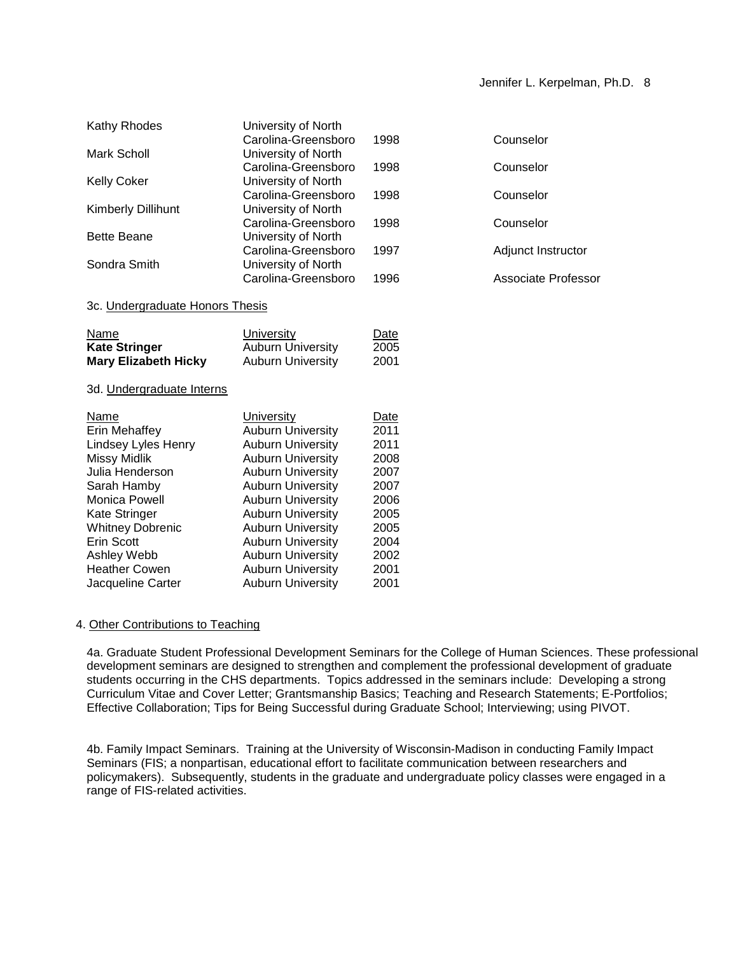## Jennifer L. Kerpelman, Ph.D. 8

| Kathy Rhodes                    | University of North                    |              |                     |
|---------------------------------|----------------------------------------|--------------|---------------------|
|                                 | Carolina-Greensboro                    | 1998         | Counselor           |
| <b>Mark Scholl</b>              | University of North                    |              |                     |
|                                 | Carolina-Greensboro                    | 1998         | Counselor           |
| <b>Kelly Coker</b>              | University of North                    |              |                     |
|                                 | Carolina-Greensboro                    | 1998         | Counselor           |
| Kimberly Dillihunt              | University of North                    |              |                     |
|                                 | Carolina-Greensboro                    | 1998         | Counselor           |
| <b>Bette Beane</b>              | University of North                    |              |                     |
|                                 | Carolina-Greensboro                    | 1997         | Adjunct Instructor  |
| Sondra Smith                    | University of North                    |              |                     |
|                                 | Carolina-Greensboro                    | 1996         | Associate Professor |
|                                 |                                        |              |                     |
| 3c. Undergraduate Honors Thesis |                                        |              |                     |
|                                 |                                        |              |                     |
| Name                            | <b>University</b>                      | Date         |                     |
| <b>Kate Stringer</b>            | <b>Auburn University</b>               | 2005         |                     |
| <b>Mary Elizabeth Hicky</b>     | <b>Auburn University</b>               | 2001         |                     |
| 3d. Undergraduate Interns       |                                        |              |                     |
|                                 |                                        |              |                     |
|                                 |                                        |              |                     |
| Name                            |                                        |              |                     |
| Erin Mehaffey                   | University<br><b>Auburn University</b> | Date<br>2011 |                     |
| Lindsey Lyles Henry             | <b>Auburn University</b>               | 2011         |                     |
| <b>Missy Midlik</b>             | <b>Auburn University</b>               | 2008         |                     |
| Julia Henderson                 | <b>Auburn University</b>               | 2007         |                     |
| Sarah Hamby                     | <b>Auburn University</b>               | 2007         |                     |
| <b>Monica Powell</b>            | <b>Auburn University</b>               | 2006         |                     |
| Kate Stringer                   | <b>Auburn University</b>               | 2005         |                     |
| <b>Whitney Dobrenic</b>         | <b>Auburn University</b>               | 2005         |                     |
| Erin Scott                      | <b>Auburn University</b>               | 2004         |                     |
| Ashley Webb                     | <b>Auburn University</b>               | 2002         |                     |
| <b>Heather Cowen</b>            | <b>Auburn University</b>               | 2001         |                     |

### 4. Other Contributions to Teaching

4a. Graduate Student Professional Development Seminars for the College of Human Sciences. These professional development seminars are designed to strengthen and complement the professional development of graduate students occurring in the CHS departments. Topics addressed in the seminars include: Developing a strong Curriculum Vitae and Cover Letter; Grantsmanship Basics; Teaching and Research Statements; E-Portfolios; Effective Collaboration; Tips for Being Successful during Graduate School; Interviewing; using PIVOT.

4b. Family Impact Seminars. Training at the University of Wisconsin-Madison in conducting Family Impact Seminars (FIS; a nonpartisan, educational effort to facilitate communication between researchers and policymakers). Subsequently, students in the graduate and undergraduate policy classes were engaged in a range of FIS-related activities.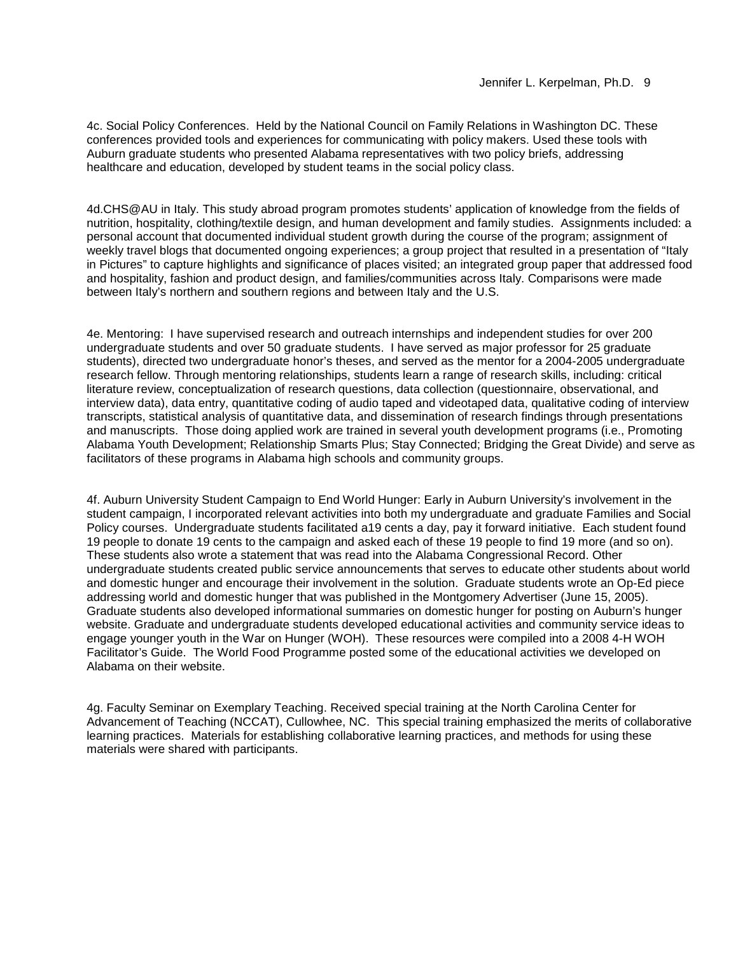4c. Social Policy Conferences. Held by the National Council on Family Relations in Washington DC. These conferences provided tools and experiences for communicating with policy makers. Used these tools with Auburn graduate students who presented Alabama representatives with two policy briefs, addressing healthcare and education, developed by student teams in the social policy class.

4d.CHS@AU in Italy. This study abroad program promotes students' application of knowledge from the fields of nutrition, hospitality, clothing/textile design, and human development and family studies. Assignments included: a personal account that documented individual student growth during the course of the program; assignment of weekly travel blogs that documented ongoing experiences; a group project that resulted in a presentation of "Italy in Pictures" to capture highlights and significance of places visited; an integrated group paper that addressed food and hospitality, fashion and product design, and families/communities across Italy. Comparisons were made between Italy's northern and southern regions and between Italy and the U.S.

4e. Mentoring: I have supervised research and outreach internships and independent studies for over 200 undergraduate students and over 50 graduate students. I have served as major professor for 25 graduate students), directed two undergraduate honor's theses, and served as the mentor for a 2004-2005 undergraduate research fellow. Through mentoring relationships, students learn a range of research skills, including: critical literature review, conceptualization of research questions, data collection (questionnaire, observational, and interview data), data entry, quantitative coding of audio taped and videotaped data, qualitative coding of interview transcripts, statistical analysis of quantitative data, and dissemination of research findings through presentations and manuscripts. Those doing applied work are trained in several youth development programs (i.e., Promoting Alabama Youth Development; Relationship Smarts Plus; Stay Connected; Bridging the Great Divide) and serve as facilitators of these programs in Alabama high schools and community groups.

4f. Auburn University Student Campaign to End World Hunger: Early in Auburn University's involvement in the student campaign, I incorporated relevant activities into both my undergraduate and graduate Families and Social Policy courses. Undergraduate students facilitated a19 cents a day, pay it forward initiative. Each student found 19 people to donate 19 cents to the campaign and asked each of these 19 people to find 19 more (and so on). These students also wrote a statement that was read into the Alabama Congressional Record. Other undergraduate students created public service announcements that serves to educate other students about world and domestic hunger and encourage their involvement in the solution. Graduate students wrote an Op-Ed piece addressing world and domestic hunger that was published in the Montgomery Advertiser (June 15, 2005). Graduate students also developed informational summaries on domestic hunger for posting on Auburn's hunger website. Graduate and undergraduate students developed educational activities and community service ideas to engage younger youth in the War on Hunger (WOH). These resources were compiled into a 2008 4-H WOH Facilitator's Guide. The World Food Programme posted some of the educational activities we developed on Alabama on their website.

4g. Faculty Seminar on Exemplary Teaching. Received special training at the North Carolina Center for Advancement of Teaching (NCCAT), Cullowhee, NC. This special training emphasized the merits of collaborative learning practices. Materials for establishing collaborative learning practices, and methods for using these materials were shared with participants.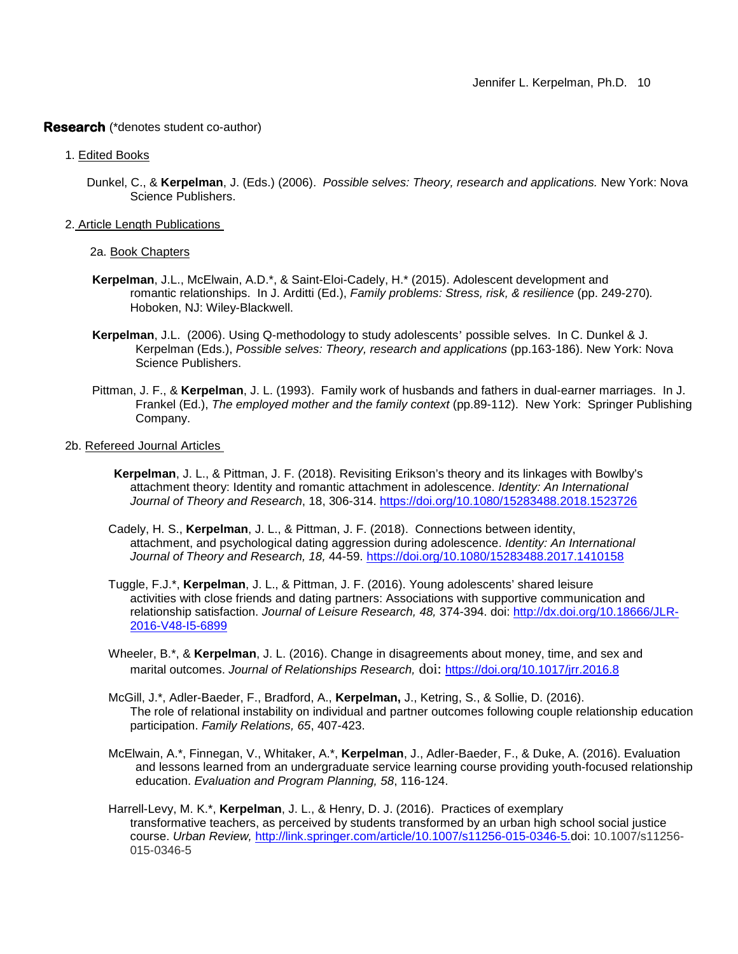#### **Research** (\*denotes student co-author)

- 1. Edited Books
	- Dunkel, C., & **Kerpelman**, J. (Eds.) (2006). *Possible selves: Theory, research and applications.* New York: Nova Science Publishers.
- 2. Article Length Publications

2a. Book Chapters

- **Kerpelman**, J.L., McElwain, A.D.\*, & Saint-Eloi-Cadely, H.\* (2015). Adolescent development and romantic relationships. In J. Arditti (Ed.), *Family problems: Stress, risk, & resilience* (pp. 249-270)*.*  Hoboken, NJ: Wiley-Blackwell.
- **Kerpelman**, J.L. (2006). Using Q-methodology to study adolescents' possible selves. In C. Dunkel & J. Kerpelman (Eds.), *Possible selves: Theory, research and applications* (pp.163-186). New York: Nova Science Publishers.
- Pittman, J. F., & **Kerpelman**, J. L. (1993). Family work of husbands and fathers in dual-earner marriages. In J. Frankel (Ed.), *The employed mother and the family context* (pp.89-112). New York: Springer Publishing Company.
- 2b. Refereed Journal Articles
	- **Kerpelman**, J. L., & Pittman, J. F. (2018). Revisiting Erikson's theory and its linkages with Bowlby's attachment theory: Identity and romantic attachment in adolescence. *Identity: An International Journal of Theory and Research*, 18, 306-314.<https://doi.org/10.1080/15283488.2018.1523726>
	- Cadely, H. S., **Kerpelman**, J. L., & Pittman, J. F. (2018). Connections between identity, attachment, and psychological dating aggression during adolescence. *Identity: An International Journal of Theory and Research, 18,* 44-59. <https://doi.org/10.1080/15283488.2017.1410158>
	- Tuggle, F.J.\*, **Kerpelman**, J. L., & Pittman, J. F. (2016). Young adolescents' shared leisure activities with close friends and dating partners: Associations with supportive communication and relationship satisfaction. *Journal of Leisure Research, 48,* 374-394. doi: [http://dx.doi.org/10.18666/JLR-](http://dx.doi.org/10.18666/JLR-2016-V48-I5-6899)[2016-V48-I5-6899](http://dx.doi.org/10.18666/JLR-2016-V48-I5-6899)
	- Wheeler, B.\*, & **Kerpelman**, J. L. (2016). Change in disagreements about money, time, and sex and marital outcomes. *Journal of Relationships Research,* doi: <https://doi.org/10.1017/jrr.2016.8>
	- McGill, J.\*, Adler-Baeder, F., Bradford, A., **Kerpelman,** J., Ketring, S., & Sollie, D. (2016). The role of relational instability on individual and partner outcomes following couple relationship education participation. *Family Relations, 65*, 407-423.
	- McElwain, A.\*, Finnegan, V., Whitaker, A.\*, **Kerpelman**, J., Adler-Baeder, F., & Duke, A. (2016). Evaluation and lessons learned from an undergraduate service learning course providing youth-focused relationship education. *Evaluation and Program Planning, 58*, 116-124.
	- Harrell-Levy, M. K.\*, **Kerpelman**, J. L., & Henry, D. J. (2016). Practices of exemplary transformative teachers, as perceived by students transformed by an urban high school social justice course. *Urban Review,* [http://link.springer.com/article/10.1007/s11256-015-0346-5](http://link.springer.com/article/10.1007/s11256-015-0346-5.doi)*.*doi: 10.1007/s11256- 015-0346-5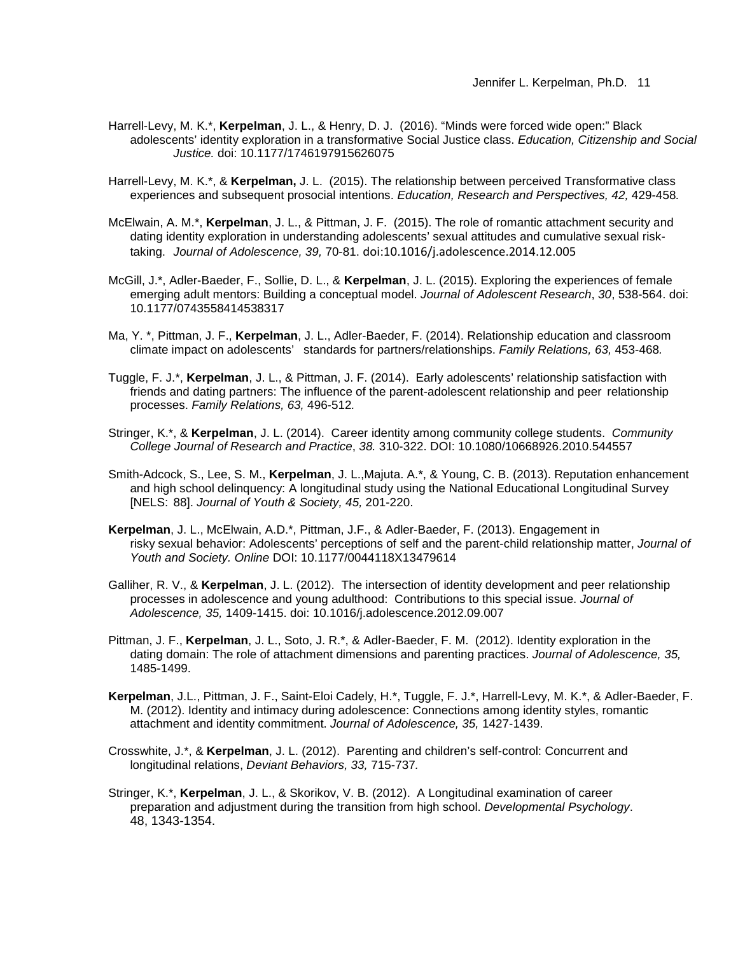Jennifer L. Kerpelman, Ph.D. 11

- Harrell-Levy, M. K.\*, **Kerpelman**, J. L., & Henry, D. J. (2016). "Minds were forced wide open:" Black adolescents' identity exploration in a transformative Social Justice class. *Education, Citizenship and Social Justice.* doi: 10.1177/1746197915626075
- Harrell-Levy, M. K.\*, & **Kerpelman,** J. L.(2015). The relationship between perceived Transformative class experiences and subsequent prosocial intentions. *Education, Research and Perspectives, 42,* 429-458*.*
- McElwain, A. M.\*, **Kerpelman**, J. L., & Pittman, J. F. (2015). The role of romantic attachment security and dating identity exploration in understanding adolescents' sexual attitudes and cumulative sexual risktaking. *Journal of Adolescence, 39,* 70-81. [doi:10.1016/j.adolescence.2014.12.005](http://dx.doi.org.spot.lib.auburn.edu/10.1016/j.adolescence.2014.12.005)
- McGill, J.\*, Adler-Baeder, F., Sollie, D. L., & **Kerpelman**, J. L. (2015). Exploring the experiences of female emerging adult mentors: Building a conceptual model. *Journal of Adolescent Research*, *30*, 538-564. doi: 10.1177/0743558414538317
- Ma, Y. \*, Pittman, J. F., **Kerpelman**, J. L., Adler-Baeder, F. (2014). Relationship education and classroom climate impact on adolescents' standards for partners/relationships. *Family Relations, 63,* 453-468*.*
- Tuggle, F. J.\*, **Kerpelman**, J. L., & Pittman, J. F. (2014). Early adolescents' relationship satisfaction with friends and dating partners: The influence of the parent-adolescent relationship and peer relationship processes. *Family Relations, 63,* 496-512*.*
- Stringer, K.\*, & **Kerpelman**, J. L. (2014). Career identity among community college students. *Community College Journal of Research and Practice*, *38.* 310-322. DOI: 10.1080/10668926.2010.544557
- Smith-Adcock, S., Lee, S. M., **Kerpelman**, J. L.,Majuta. A.\*, & Young, C. B. (2013). Reputation enhancement and high school delinquency: A longitudinal study using the National Educational Longitudinal Survey [NELS: 88]. *Journal of Youth & Society, 45,* 201-220.
- **Kerpelman**, J. L., McElwain, A.D.\*, Pittman, J.F., & Adler-Baeder, F. (2013). Engagement in risky sexual behavior: Adolescents' perceptions of self and the parent-child relationship matter, *Journal of Youth and Society. Online* DOI: 10.1177/0044118X13479614
- Galliher, R. V., & **Kerpelman**, J. L. (2012). The intersection of identity development and peer relationship processes in adolescence and young adulthood: Contributions to this special issue. *Journal of Adolescence, 35,* 1409-1415. doi: 10.1016/j.adolescence.2012.09.007
- Pittman, J. F., **Kerpelman**, J. L., Soto, J. R.\*, & Adler-Baeder, F. M. (2012). Identity exploration in the dating domain: The role of attachment dimensions and parenting practices. *Journal of Adolescence, 35,*  1485-1499.
- **Kerpelman**, J.L., Pittman, J. F., Saint-Eloi Cadely, H.\*, Tuggle, F. J.\*, Harrell-Levy, M. K.\*, & Adler-Baeder, F. M. (2012). Identity and intimacy during adolescence: Connections among identity styles, romantic attachment and identity commitment. *Journal of Adolescence, 35,* 1427-1439.
- Crosswhite, J.\*, & **Kerpelman**, J. L. (2012). Parenting and children's self-control: Concurrent and longitudinal relations, *Deviant Behaviors, 33,* 715-737*.*
- Stringer, K.\*, **Kerpelman**, J. L., & Skorikov, V. B. (2012). A Longitudinal examination of career preparation and adjustment during the transition from high school. *Developmental Psychology*. 48, 1343-1354.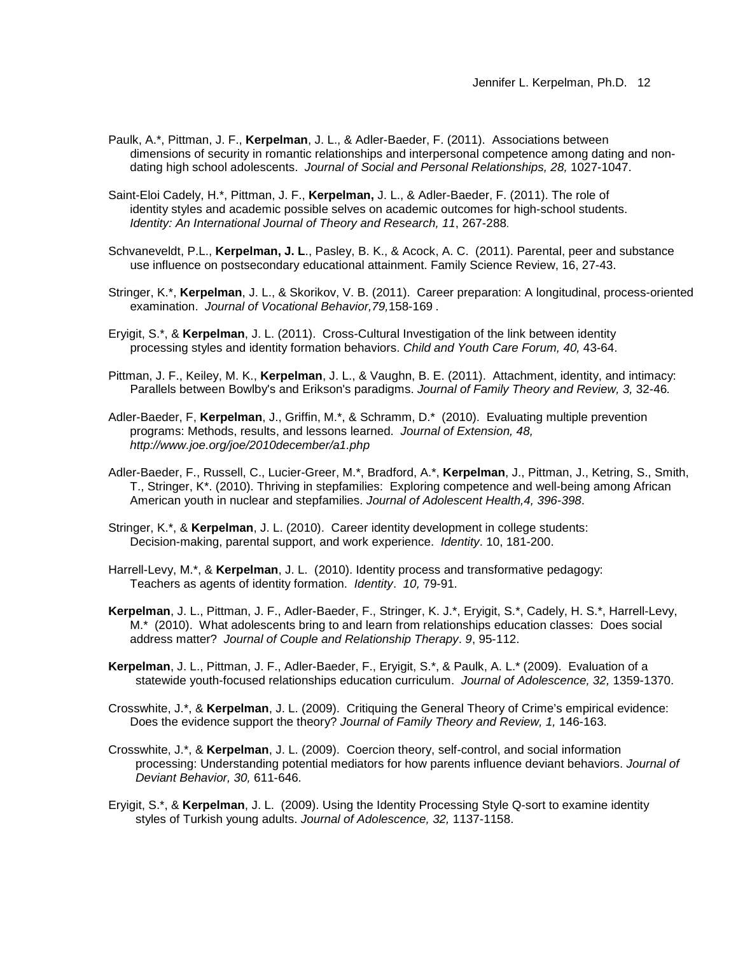- Paulk, A.\*, Pittman, J. F., **Kerpelman**, J. L., & Adler-Baeder, F. (2011). Associations between dimensions of security in romantic relationships and interpersonal competence among dating and nondating high school adolescents. *Journal of Social and Personal Relationships, 28,* 1027-1047.
- Saint-Eloi Cadely, H.\*, Pittman, J. F., **Kerpelman,** J. L., & Adler-Baeder, F. (2011). The role of identity styles and academic possible selves on academic outcomes for high-school students. *Identity: An International Journal of Theory and Research, 11*, 267-288.
- Schvaneveldt, P.L., **Kerpelman, J. L**., Pasley, B. K., & Acock, A. C. (2011). Parental, peer and substance use influence on postsecondary educational attainment. Family Science Review, 16, 27-43.
- Stringer, K.\*, **Kerpelman**, J. L., & Skorikov, V. B. (2011). Career preparation: A longitudinal, process-oriented examination. *Journal of Vocational Behavior,79,*158-169 *.*
- Eryigit, S.\*, & **Kerpelman**, J. L. (2011). Cross-Cultural Investigation of the link between identity processing styles and identity formation behaviors. *Child and Youth Care Forum, 40,* 43-64.
- Pittman, J. F., Keiley, M. K., **Kerpelman**, J. L., & Vaughn, B. E. (2011). Attachment, identity, and intimacy: Parallels between Bowlby's and Erikson's paradigms. *Journal of Family Theory and Review, 3,* 32-46*.*
- Adler-Baeder, F, **Kerpelman**, J., Griffin, M.\*, & Schramm, D.\* (2010). Evaluating multiple prevention programs: Methods, results, and lessons learned. *Journal of Extension, 48, http://www.joe.org/joe/2010december/a1.php*
- Adler-Baeder, F., Russell, C., Lucier-Greer, M.\*, Bradford, A.\*, **Kerpelman**, J., Pittman, J., Ketring, S., Smith, T., Stringer, K\*. (2010). Thriving in stepfamilies: Exploring competence and well-being among African American youth in nuclear and stepfamilies. *Journal of Adolescent Health,4, 396-398*.
- Stringer, K.\*, & **Kerpelman**, J. L. (2010). Career identity development in college students: Decision-making, parental support, and work experience. *Identity*. 10, 181-200.
- Harrell-Levy, M.\*, & **Kerpelman**, J. L. (2010). Identity process and transformative pedagogy: Teachers as agents of identity formation. *Identity*. *10,* 79-91.
- **Kerpelman**, J. L., Pittman, J. F., Adler-Baeder, F., Stringer, K. J.\*, Eryigit, S.\*, Cadely, H. S.\*, Harrell-Levy, M.\* (2010). What adolescents bring to and learn from relationships education classes: Does social address matter? *Journal of Couple and Relationship Therapy*. *9*, 95-112.
- **Kerpelman**, J. L., Pittman, J. F., Adler-Baeder, F., Eryigit, S.\*, & Paulk, A. L.\* (2009). Evaluation of a statewide youth-focused relationships education curriculum. *Journal of Adolescence, 32,* 1359-1370.
- Crosswhite, J.\*, & **Kerpelman**, J. L. (2009). Critiquing the General Theory of Crime's empirical evidence: Does the evidence support the theory? *Journal of Family Theory and Review, 1,* 146-163.
- Crosswhite, J.\*, & **Kerpelman**, J. L. (2009). Coercion theory, self-control, and social information processing: Understanding potential mediators for how parents influence deviant behaviors. *Journal of Deviant Behavior, 30,* 611-646.
- Eryigit, S.\*, & **Kerpelman**, J. L. (2009). Using the Identity Processing Style Q-sort to examine identity styles of Turkish young adults. *Journal of Adolescence, 32,* 1137-1158.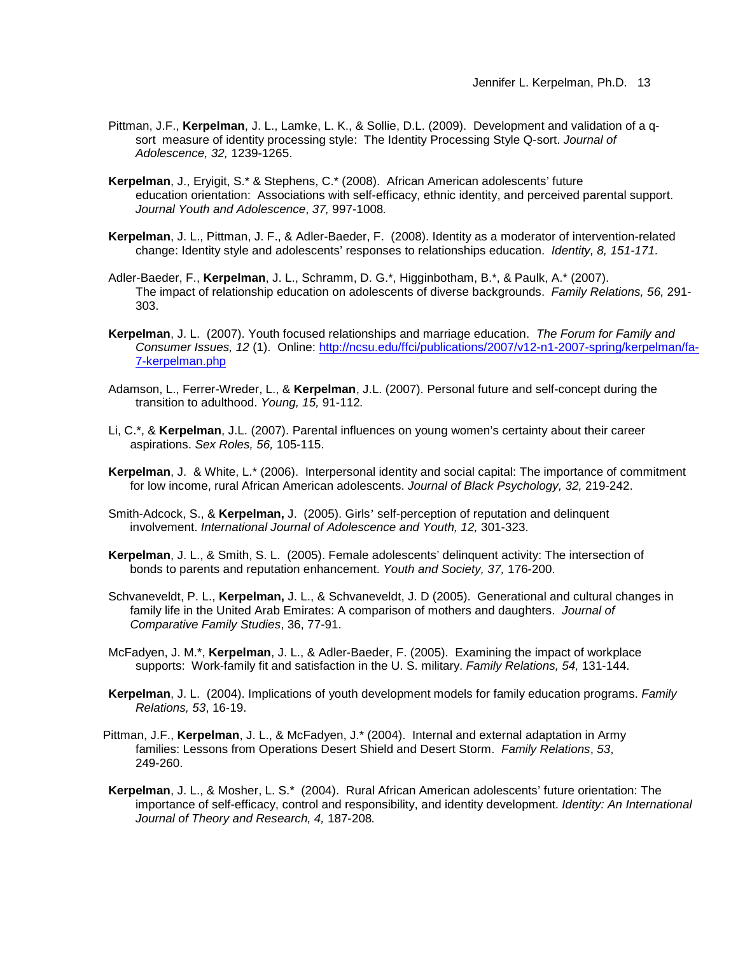- Pittman, J.F., **Kerpelman**, J. L., Lamke, L. K., & Sollie, D.L. (2009). Development and validation of a qsort measure of identity processing style: The Identity Processing Style Q-sort. *Journal of Adolescence, 32,* 1239-1265.
- **Kerpelman**, J., Eryigit, S.\* & Stephens, C.\* (2008). African American adolescents' future education orientation: Associations with self-efficacy, ethnic identity, and perceived parental support. *Journal Youth and Adolescence*, *37,* 997-1008*.*
- **Kerpelman**, J. L., Pittman, J. F., & Adler-Baeder, F. (2008). Identity as a moderator of intervention-related change: Identity style and adolescents' responses to relationships education. *Identity, 8, 151-171*.
- Adler-Baeder, F., **Kerpelman**, J. L., Schramm, D. G.\*, Higginbotham, B.\*, & Paulk, A.\* (2007). The impact of relationship education on adolescents of diverse backgrounds. *Family Relations, 56,* 291- 303.
- **Kerpelman**, J. L. (2007). Youth focused relationships and marriage education. *The Forum for Family and Consumer Issues, 12* (1). Online: http://ncsu.edu/ffci/publications/2007/v12-n1-2007-spring/kerpelman/fa-7-kerpelman.php
- Adamson, L., Ferrer-Wreder, L., & **Kerpelman**, J.L. (2007). Personal future and self-concept during the transition to adulthood. *Young, 15,* 91-112*.*
- Li, C.\*, & **Kerpelman**, J.L. (2007). Parental influences on young women's certainty about their career aspirations. *Sex Roles, 56,* 105-115.
- **Kerpelman**, J. & White, L.\* (2006).Interpersonal identity and social capital: The importance of commitment for low income, rural African American adolescents. *Journal of Black Psychology, 32,* 219-242.
- Smith-Adcock, S., & **Kerpelman,** J. (2005). Girls' self-perception of reputation and delinquent involvement. *International Journal of Adolescence and Youth, 12,* 301-323.
- **Kerpelman**, J. L., & Smith, S. L. (2005). Female adolescents' delinquent activity: The intersection of bonds to parents and reputation enhancement. *Youth and Society, 37,* 176-200.
- Schvaneveldt, P. L., **Kerpelman,** J. L., & Schvaneveldt, J. D (2005). Generational and cultural changes in family life in the United Arab Emirates: A comparison of mothers and daughters. *Journal of Comparative Family Studies*, 36, 77-91.
- McFadyen, J. M.\*, **Kerpelman**, J. L., & Adler-Baeder, F. (2005). Examining the impact of workplace supports: Work-family fit and satisfaction in the U. S. military. *Family Relations, 54,* 131-144.
- **Kerpelman**, J. L. (2004). Implications of youth development models for family education programs. *Family Relations, 53*, 16-19.
- Pittman, J.F., **Kerpelman**, J. L., & McFadyen, J.\* (2004). Internal and external adaptation in Army families: Lessons from Operations Desert Shield and Desert Storm. *Family Relations*, *53*, 249-260.
- **Kerpelman**, J. L., & Mosher, L. S.\* (2004). Rural African American adolescents' future orientation: The importance of self-efficacy, control and responsibility, and identity development. *Identity: An International Journal of Theory and Research, 4,* 187-208*.*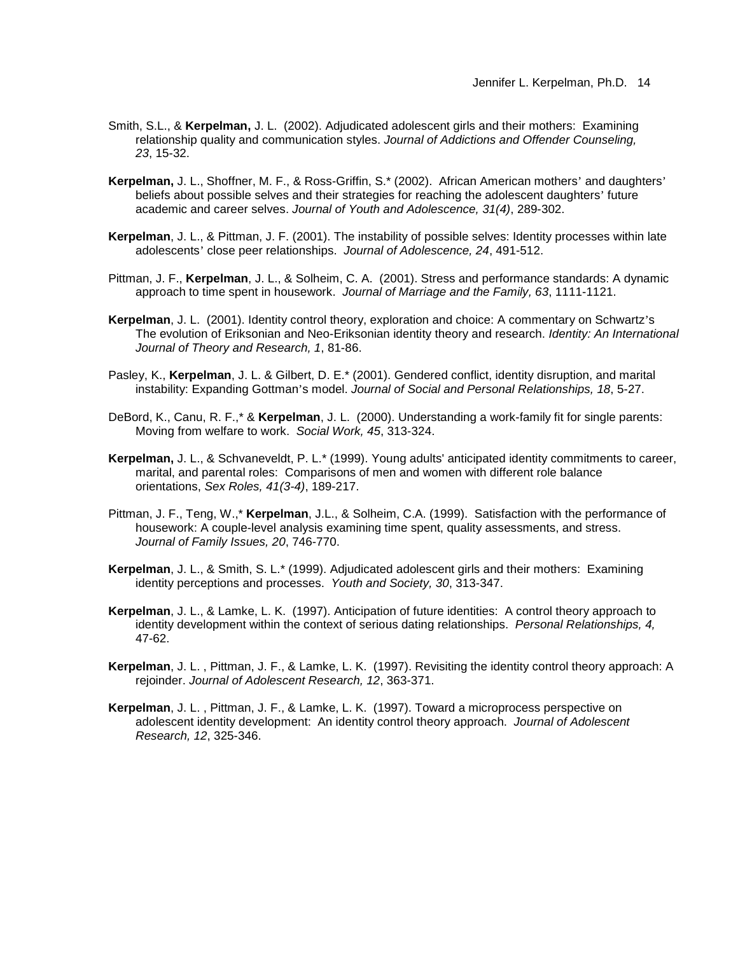- Smith, S.L., & **Kerpelman,** J. L. (2002). Adjudicated adolescent girls and their mothers: Examining relationship quality and communication styles. *Journal of Addictions and Offender Counseling, 23*, 15-32.
- **Kerpelman,** J. L., Shoffner, M. F., & Ross-Griffin, S.\* (2002). African American mothers' and daughters' beliefs about possible selves and their strategies for reaching the adolescent daughters' future academic and career selves. *Journal of Youth and Adolescence, 31(4)*, 289-302.
- **Kerpelman**, J. L., & Pittman, J. F. (2001). The instability of possible selves: Identity processes within late adolescents' close peer relationships. *Journal of Adolescence, 24*, 491-512.
- Pittman, J. F., **Kerpelman**, J. L., & Solheim, C. A. (2001). Stress and performance standards: A dynamic approach to time spent in housework. *Journal of Marriage and the Family, 63*, 1111-1121.
- **Kerpelman**, J. L. (2001). Identity control theory, exploration and choice: A commentary on Schwartz's The evolution of Eriksonian and Neo-Eriksonian identity theory and research. *Identity: An International Journal of Theory and Research, 1*, 81-86.
- Pasley, K., **Kerpelman**, J. L. & Gilbert, D. E.\* (2001). Gendered conflict, identity disruption, and marital instability: Expanding Gottman's model. *Journal of Social and Personal Relationships, 18*, 5-27.
- DeBord, K., Canu, R. F.,\* & **Kerpelman**, J. L. (2000). Understanding a work-family fit for single parents: Moving from welfare to work. *Social Work, 45*, 313-324.
- **Kerpelman,** J. L., & Schvaneveldt, P. L.\* (1999). Young adults' anticipated identity commitments to career, marital, and parental roles: Comparisons of men and women with different role balance orientations, *Sex Roles, 41(3-4)*, 189-217.
- Pittman, J. F., Teng, W.,\* **Kerpelman**, J.L., & Solheim, C.A. (1999). Satisfaction with the performance of housework: A couple-level analysis examining time spent, quality assessments, and stress. *Journal of Family Issues, 20*, 746-770.
- **Kerpelman**, J. L., & Smith, S. L.\* (1999). Adjudicated adolescent girls and their mothers: Examining identity perceptions and processes. *Youth and Society, 30*, 313-347.
- **Kerpelman**, J. L., & Lamke, L. K. (1997). Anticipation of future identities: A control theory approach to identity development within the context of serious dating relationships. *Personal Relationships, 4,* 47-62.
- **Kerpelman**, J. L. , Pittman, J. F., & Lamke, L. K. (1997). Revisiting the identity control theory approach: A rejoinder. *Journal of Adolescent Research, 12*, 363-371.
- **Kerpelman**, J. L. , Pittman, J. F., & Lamke, L. K. (1997). Toward a microprocess perspective on adolescent identity development: An identity control theory approach. *Journal of Adolescent Research, 12*, 325-346.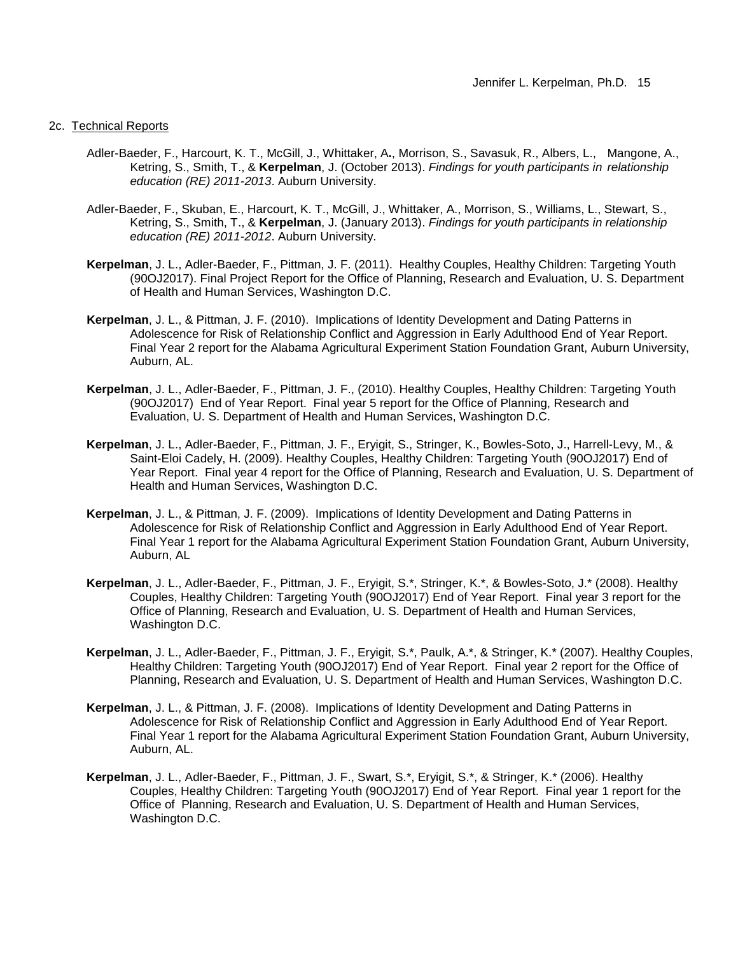### 2c. Technical Reports

- Adler-Baeder, F., Harcourt, K. T., McGill, J., Whittaker, A**.**, Morrison, S., Savasuk, R., Albers, L., Mangone, A., Ketring, S., Smith, T., & **Kerpelman**, J. (October 2013). *Findings for youth participants in relationship education (RE) 2011-2013*. Auburn University.
- Adler-Baeder, F., Skuban, E., Harcourt, K. T., McGill, J., Whittaker, A., Morrison, S., Williams, L., Stewart, S., Ketring, S., Smith, T., & **Kerpelman**, J. (January 2013). *Findings for youth participants in relationship education (RE) 2011-2012*. Auburn University.
- **Kerpelman**, J. L., Adler-Baeder, F., Pittman, J. F. (2011). Healthy Couples, Healthy Children: Targeting Youth (90OJ2017). Final Project Report for the Office of Planning, Research and Evaluation, U. S. Department of Health and Human Services, Washington D.C.
- **Kerpelman**, J. L., & Pittman, J. F. (2010). Implications of Identity Development and Dating Patterns in Adolescence for Risk of Relationship Conflict and Aggression in Early Adulthood End of Year Report. Final Year 2 report for the Alabama Agricultural Experiment Station Foundation Grant, Auburn University, Auburn, AL.
- **Kerpelman**, J. L., Adler-Baeder, F., Pittman, J. F., (2010). Healthy Couples, Healthy Children: Targeting Youth (90OJ2017) End of Year Report. Final year 5 report for the Office of Planning, Research and Evaluation, U. S. Department of Health and Human Services, Washington D.C.
- **Kerpelman**, J. L., Adler-Baeder, F., Pittman, J. F., Eryigit, S., Stringer, K., Bowles-Soto, J., Harrell-Levy, M., & Saint-Eloi Cadely, H. (2009). Healthy Couples, Healthy Children: Targeting Youth (90OJ2017) End of Year Report. Final year 4 report for the Office of Planning, Research and Evaluation, U. S. Department of Health and Human Services, Washington D.C.
- **Kerpelman**, J. L., & Pittman, J. F. (2009). Implications of Identity Development and Dating Patterns in Adolescence for Risk of Relationship Conflict and Aggression in Early Adulthood End of Year Report. Final Year 1 report for the Alabama Agricultural Experiment Station Foundation Grant, Auburn University, Auburn, AL
- **Kerpelman**, J. L., Adler-Baeder, F., Pittman, J. F., Eryigit, S.\*, Stringer, K.\*, & Bowles-Soto, J.\* (2008). Healthy Couples, Healthy Children: Targeting Youth (90OJ2017) End of Year Report. Final year 3 report for the Office of Planning, Research and Evaluation, U. S. Department of Health and Human Services, Washington D.C.
- **Kerpelman**, J. L., Adler-Baeder, F., Pittman, J. F., Eryigit, S.\*, Paulk, A.\*, & Stringer, K.\* (2007). Healthy Couples, Healthy Children: Targeting Youth (90OJ2017) End of Year Report. Final year 2 report for the Office of Planning, Research and Evaluation, U. S. Department of Health and Human Services, Washington D.C.
- **Kerpelman**, J. L., & Pittman, J. F. (2008). Implications of Identity Development and Dating Patterns in Adolescence for Risk of Relationship Conflict and Aggression in Early Adulthood End of Year Report. Final Year 1 report for the Alabama Agricultural Experiment Station Foundation Grant, Auburn University, Auburn, AL.
- **Kerpelman**, J. L., Adler-Baeder, F., Pittman, J. F., Swart, S.\*, Eryigit, S.\*, & Stringer, K.\* (2006). Healthy Couples, Healthy Children: Targeting Youth (90OJ2017) End of Year Report. Final year 1 report for the Office of Planning, Research and Evaluation, U. S. Department of Health and Human Services, Washington D.C.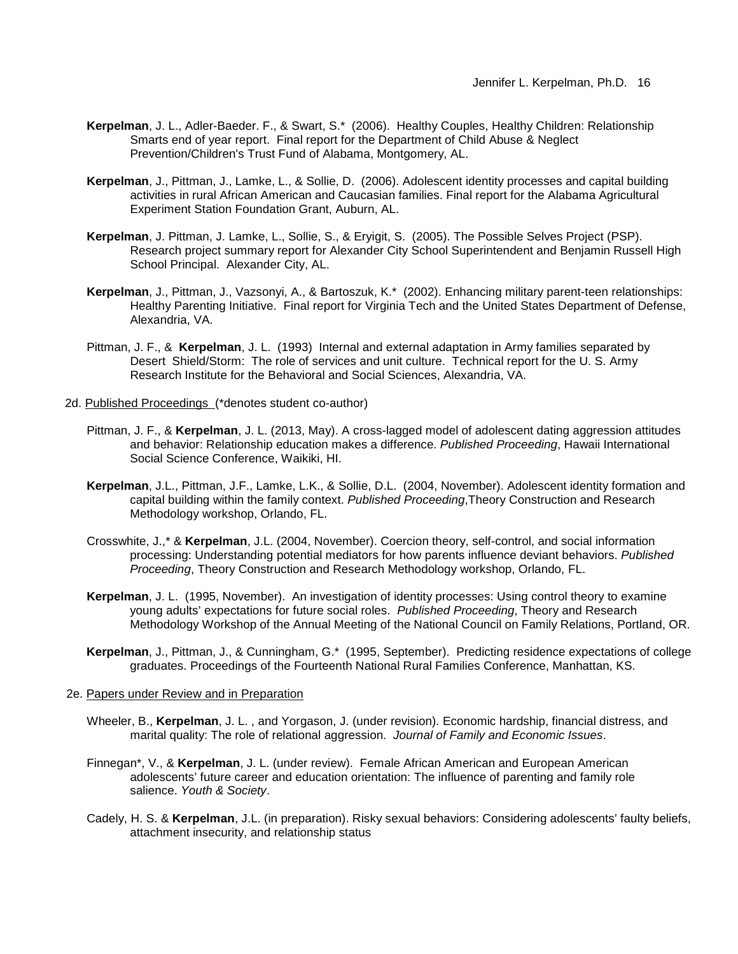- **Kerpelman**, J. L., Adler-Baeder. F., & Swart, S.\* (2006). Healthy Couples, Healthy Children: Relationship Smarts end of year report. Final report for the Department of Child Abuse & Neglect Prevention/Children's Trust Fund of Alabama, Montgomery, AL.
- **Kerpelman**, J., Pittman, J., Lamke, L., & Sollie, D. (2006). Adolescent identity processes and capital building activities in rural African American and Caucasian families. Final report for the Alabama Agricultural Experiment Station Foundation Grant, Auburn, AL.
- **Kerpelman**, J. Pittman, J. Lamke, L., Sollie, S., & Eryigit, S. (2005). The Possible Selves Project (PSP). Research project summary report for Alexander City School Superintendent and Benjamin Russell High School Principal. Alexander City, AL.
- **Kerpelman**, J., Pittman, J., Vazsonyi, A., & Bartoszuk, K.\* (2002). Enhancing military parent-teen relationships: Healthy Parenting Initiative. Final report for Virginia Tech and the United States Department of Defense, Alexandria, VA.
- Pittman, J. F., & **Kerpelman**, J. L. (1993) Internal and external adaptation in Army families separated by Desert Shield/Storm: The role of services and unit culture. Technical report for the U. S. Army Research Institute for the Behavioral and Social Sciences, Alexandria, VA.
- 2d. Published Proceedings (\*denotes student co-author)
	- Pittman, J. F., & **Kerpelman**, J. L. (2013, May). A cross-lagged model of adolescent dating aggression attitudes and behavior: Relationship education makes a difference. *Published Proceeding*, Hawaii International Social Science Conference, Waikiki, HI.
	- **Kerpelman**, J.L., Pittman, J.F., Lamke, L.K., & Sollie, D.L. (2004, November). Adolescent identity formation and capital building within the family context. *Published Proceeding*,Theory Construction and Research Methodology workshop, Orlando, FL.
	- Crosswhite, J.,\* & **Kerpelman**, J.L. (2004, November). Coercion theory, self-control, and social information processing: Understanding potential mediators for how parents influence deviant behaviors. *Published Proceeding*, Theory Construction and Research Methodology workshop, Orlando, FL.
	- **Kerpelman**, J. L. (1995, November). An investigation of identity processes: Using control theory to examine young adults' expectations for future social roles. *Published Proceeding*, Theory and Research Methodology Workshop of the Annual Meeting of the National Council on Family Relations, Portland, OR.
	- **Kerpelman**, J., Pittman, J., & Cunningham, G.\* (1995, September). Predicting residence expectations of college graduates. Proceedings of the Fourteenth National Rural Families Conference, Manhattan, KS.

#### 2e. Papers under Review and in Preparation

- Wheeler, B., **Kerpelman**, J. L. , and Yorgason, J. (under revision). Economic hardship, financial distress, and marital quality: The role of relational aggression. *Journal of Family and Economic Issues*.
- Finnegan\*, V., & **Kerpelman**, J. L. (under review). Female African American and European American adolescents' future career and education orientation: The influence of parenting and family role salience. *Youth & Society*.
- Cadely, H. S. & **Kerpelman**, J.L. (in preparation). Risky sexual behaviors: Considering adolescents' faulty beliefs, attachment insecurity, and relationship status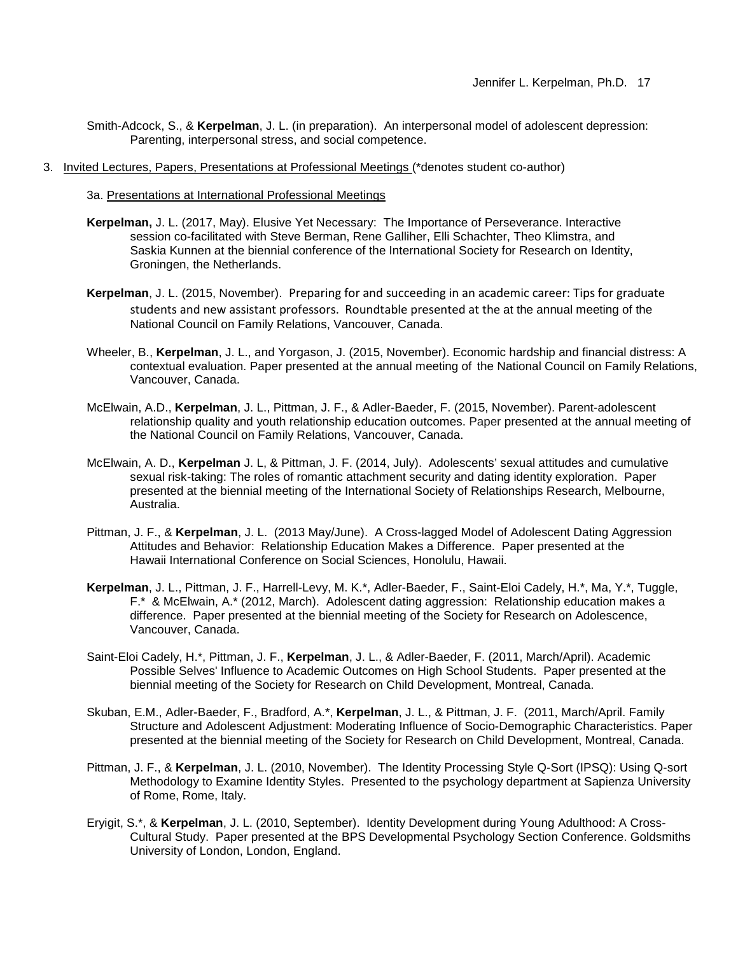- Smith-Adcock, S., & **Kerpelman**, J. L. (in preparation). An interpersonal model of adolescent depression: Parenting, interpersonal stress, and social competence.
- 3. Invited Lectures, Papers, Presentations at Professional Meetings (\*denotes student co-author)
	- 3a. Presentations at International Professional Meetings
	- **Kerpelman,** J. L. (2017, May). Elusive Yet Necessary: The Importance of Perseverance. Interactive session co-facilitated with Steve Berman, Rene Galliher, Elli Schachter, Theo Klimstra, and Saskia Kunnen at the biennial conference of the International Society for Research on Identity, Groningen, the Netherlands.
	- **Kerpelman**, J. L. (2015, November). Preparing for and succeeding in an academic career: Tips for graduate students and new assistant professors. Roundtable presented at the at the annual meeting of the National Council on Family Relations, Vancouver, Canada.
	- Wheeler, B., **Kerpelman**, J. L., and Yorgason, J. (2015, November). Economic hardship and financial distress: A contextual evaluation. Paper presented at the annual meeting of the National Council on Family Relations, Vancouver, Canada.
	- McElwain, A.D., **Kerpelman**, J. L., Pittman, J. F., & Adler-Baeder, F. (2015, November). Parent-adolescent relationship quality and youth relationship education outcomes. Paper presented at the annual meeting of the National Council on Family Relations, Vancouver, Canada.
	- McElwain, A. D., **Kerpelman** J. L, & Pittman, J. F. (2014, July). Adolescents' sexual attitudes and cumulative sexual risk-taking: The roles of romantic attachment security and dating identity exploration. Paper presented at the biennial meeting of the International Society of Relationships Research, Melbourne, Australia.
	- Pittman, J. F., & **Kerpelman**, J. L. (2013 May/June). A Cross-lagged Model of Adolescent Dating Aggression Attitudes and Behavior: Relationship Education Makes a Difference. Paper presented at the Hawaii International Conference on Social Sciences, Honolulu, Hawaii.
	- **Kerpelman**, J. L., Pittman, J. F., Harrell-Levy, M. K.\*, Adler-Baeder, F., Saint-Eloi Cadely, H.\*, Ma, Y.\*, Tuggle, F.\* & McElwain, A.\* (2012, March). Adolescent dating aggression: Relationship education makes a difference. Paper presented at the biennial meeting of the Society for Research on Adolescence, Vancouver, Canada.
	- Saint-Eloi Cadely, H.\*, Pittman, J. F., **Kerpelman**, J. L., & Adler-Baeder, F. (2011, March/April). Academic Possible Selves' Influence to Academic Outcomes on High School Students. Paper presented at the biennial meeting of the Society for Research on Child Development, Montreal, Canada.
	- Skuban, E.M., Adler-Baeder, F., Bradford, A.\*, **Kerpelman**, J. L., & Pittman, J. F. (2011, March/April. Family Structure and Adolescent Adjustment: Moderating Influence of Socio-Demographic Characteristics. Paper presented at the biennial meeting of the Society for Research on Child Development, Montreal, Canada.
	- Pittman, J. F., & **Kerpelman**, J. L. (2010, November). The Identity Processing Style Q-Sort (IPSQ): Using Q-sort Methodology to Examine Identity Styles. Presented to the psychology department at Sapienza University of Rome, Rome, Italy.
	- Eryigit, S.\*, & **Kerpelman**, J. L. (2010, September). Identity Development during Young Adulthood: A Cross-Cultural Study. Paper presented at the BPS Developmental Psychology Section Conference. Goldsmiths University of London, London, England.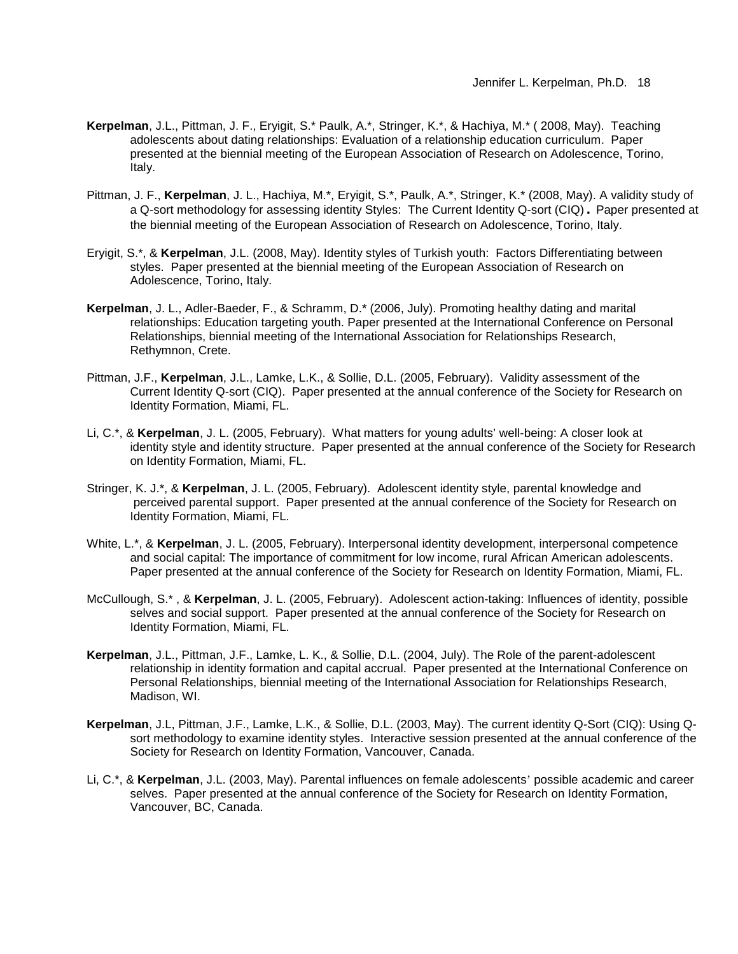- **Kerpelman**, J.L., Pittman, J. F., Eryigit, S.\* Paulk, A.\*, Stringer, K.\*, & Hachiya, M.\* ( 2008, May). Teaching adolescents about dating relationships: Evaluation of a relationship education curriculum. Paper presented at the biennial meeting of the European Association of Research on Adolescence, Torino, Italy.
- Pittman, J. F., **Kerpelman**, J. L., Hachiya, M.\*, Eryigit, S.\*, Paulk, A.\*, Stringer, K.\* (2008, May). A validity study of a Q-sort methodology for assessing identity Styles: The Current Identity Q-sort (CIQ)**.** Paper presented at the biennial meeting of the European Association of Research on Adolescence, Torino, Italy.
- Eryigit, S.\*, & **Kerpelman**, J.L. (2008, May). Identity styles of Turkish youth: Factors Differentiating between styles. Paper presented at the biennial meeting of the European Association of Research on Adolescence, Torino, Italy.
- **Kerpelman**, J. L., Adler-Baeder, F., & Schramm, D.\* (2006, July). Promoting healthy dating and marital relationships: Education targeting youth. Paper presented at the International Conference on Personal Relationships, biennial meeting of the International Association for Relationships Research, Rethymnon, Crete.
- Pittman, J.F., **Kerpelman**, J.L., Lamke, L.K., & Sollie, D.L. (2005, February). Validity assessment of the Current Identity Q-sort (CIQ). Paper presented at the annual conference of the Society for Research on Identity Formation, Miami, FL.
- Li, C.\*, & **Kerpelman**, J. L. (2005, February). What matters for young adults' well-being: A closer look at identity style and identity structure. Paper presented at the annual conference of the Society for Research on Identity Formation, Miami, FL.
- Stringer, K. J.\*, & **Kerpelman**, J. L. (2005, February). Adolescent identity style, parental knowledge and perceived parental support. Paper presented at the annual conference of the Society for Research on Identity Formation, Miami, FL.
- White, L.\*, & **Kerpelman**, J. L. (2005, February). Interpersonal identity development, interpersonal competence and social capital: The importance of commitment for low income, rural African American adolescents. Paper presented at the annual conference of the Society for Research on Identity Formation, Miami, FL.
- McCullough, S.\* , & **Kerpelman**, J. L. (2005, February). Adolescent action-taking: Influences of identity, possible selves and social support. Paper presented at the annual conference of the Society for Research on Identity Formation, Miami, FL.
- **Kerpelman**, J.L., Pittman, J.F., Lamke, L. K., & Sollie, D.L. (2004, July). The Role of the parent-adolescent relationship in identity formation and capital accrual. Paper presented at the International Conference on Personal Relationships, biennial meeting of the International Association for Relationships Research, Madison, WI.
- **Kerpelman**, J.L, Pittman, J.F., Lamke, L.K., & Sollie, D.L. (2003, May). The current identity Q-Sort (CIQ): Using Qsort methodology to examine identity styles. Interactive session presented at the annual conference of the Society for Research on Identity Formation, Vancouver, Canada.
- Li, C.\*, & **Kerpelman**, J.L. (2003, May). Parental influences on female adolescents' possible academic and career selves. Paper presented at the annual conference of the Society for Research on Identity Formation, Vancouver, BC, Canada.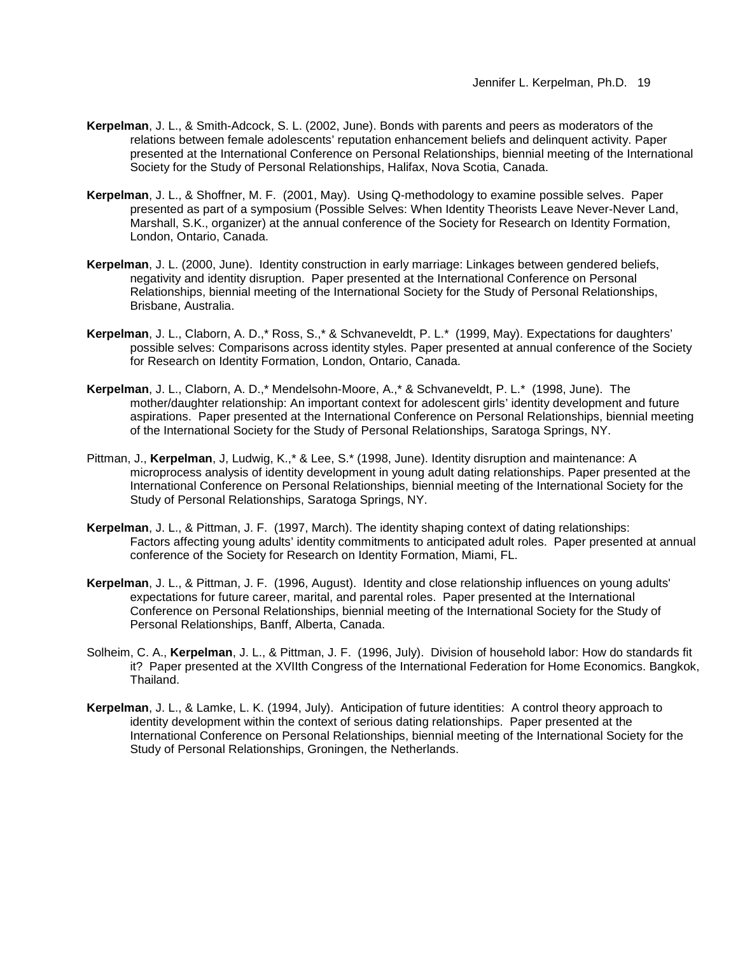- **Kerpelman**, J. L., & Smith-Adcock, S. L. (2002, June). Bonds with parents and peers as moderators of the relations between female adolescents' reputation enhancement beliefs and delinquent activity. Paper presented at the International Conference on Personal Relationships, biennial meeting of the International Society for the Study of Personal Relationships, Halifax, Nova Scotia, Canada.
- **Kerpelman**, J. L., & Shoffner, M. F. (2001, May). Using Q-methodology to examine possible selves. Paper presented as part of a symposium (Possible Selves: When Identity Theorists Leave Never-Never Land, Marshall, S.K., organizer) at the annual conference of the Society for Research on Identity Formation, London, Ontario, Canada.
- **Kerpelman**, J. L. (2000, June). Identity construction in early marriage: Linkages between gendered beliefs, negativity and identity disruption. Paper presented at the International Conference on Personal Relationships, biennial meeting of the International Society for the Study of Personal Relationships, Brisbane, Australia.
- **Kerpelman**, J. L., Claborn, A. D.,\* Ross, S.,\* & Schvaneveldt, P. L.\* (1999, May). Expectations for daughters' possible selves: Comparisons across identity styles. Paper presented at annual conference of the Society for Research on Identity Formation, London, Ontario, Canada.
- **Kerpelman**, J. L., Claborn, A. D.,\* Mendelsohn-Moore, A.,\* & Schvaneveldt, P. L.\* (1998, June). The mother/daughter relationship: An important context for adolescent girls' identity development and future aspirations. Paper presented at the International Conference on Personal Relationships, biennial meeting of the International Society for the Study of Personal Relationships, Saratoga Springs, NY.
- Pittman, J., **Kerpelman**, J, Ludwig, K.,\* & Lee, S.\* (1998, June). Identity disruption and maintenance: A microprocess analysis of identity development in young adult dating relationships. Paper presented at the International Conference on Personal Relationships, biennial meeting of the International Society for the Study of Personal Relationships, Saratoga Springs, NY.
- **Kerpelman**, J. L., & Pittman, J. F. (1997, March). The identity shaping context of dating relationships: Factors affecting young adults' identity commitments to anticipated adult roles. Paper presented at annual conference of the Society for Research on Identity Formation, Miami, FL.
- **Kerpelman**, J. L., & Pittman, J. F. (1996, August). Identity and close relationship influences on young adults' expectations for future career, marital, and parental roles. Paper presented at the International Conference on Personal Relationships, biennial meeting of the International Society for the Study of Personal Relationships, Banff, Alberta, Canada.
- Solheim, C. A., **Kerpelman**, J. L., & Pittman, J. F. (1996, July). Division of household labor: How do standards fit it? Paper presented at the XVIIth Congress of the International Federation for Home Economics. Bangkok, Thailand.
- **Kerpelman**, J. L., & Lamke, L. K. (1994, July). Anticipation of future identities: A control theory approach to identity development within the context of serious dating relationships. Paper presented at the International Conference on Personal Relationships, biennial meeting of the International Society for the Study of Personal Relationships, Groningen, the Netherlands.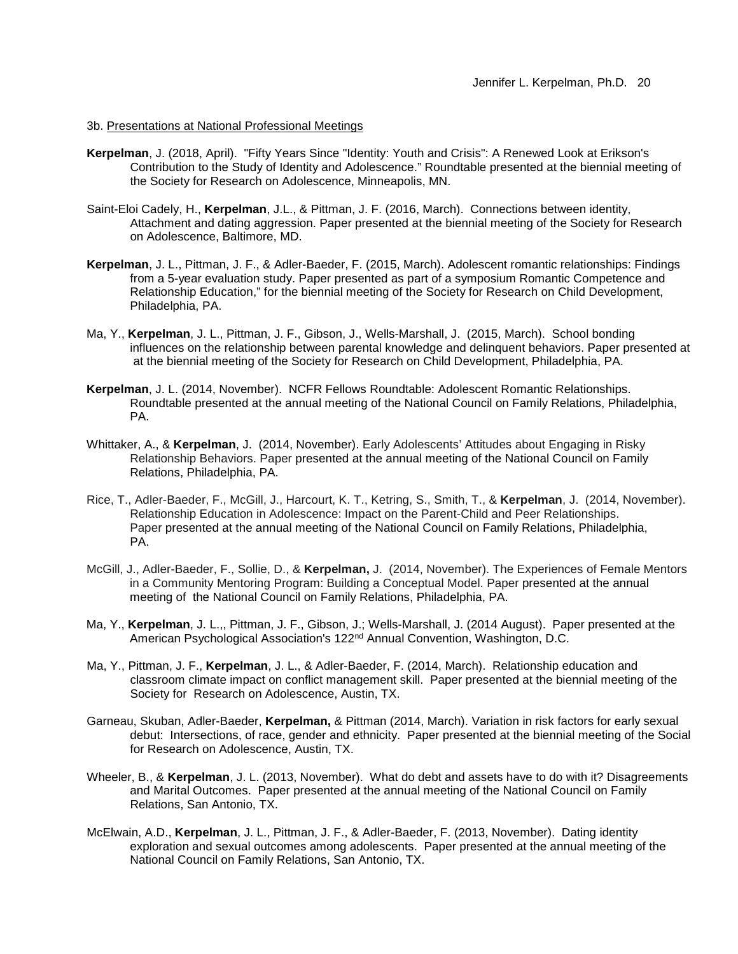#### 3b. Presentations at National Professional Meetings

- **Kerpelman**, J. (2018, April). "Fifty Years Since "Identity: Youth and Crisis": A Renewed Look at Erikson's Contribution to the Study of Identity and Adolescence." Roundtable presented at the biennial meeting of the Society for Research on Adolescence, Minneapolis, MN.
- Saint-Eloi Cadely, H., **Kerpelman**, J.L., & Pittman, J. F. (2016, March). Connections between identity, Attachment and dating aggression. Paper presented at the biennial meeting of the Society for Research on Adolescence, Baltimore, MD.
- **Kerpelman**, J. L., Pittman, J. F., & Adler-Baeder, F. (2015, March). Adolescent romantic relationships: Findings from a 5-year evaluation study. Paper presented as part of a symposium Romantic Competence and Relationship Education," for the biennial meeting of the Society for Research on Child Development, Philadelphia, PA.
- Ma, Y., **Kerpelman**, J. L., Pittman, J. F., Gibson, J., Wells-Marshall, J. (2015, March). School bonding influences on the relationship between parental knowledge and delinquent behaviors. Paper presented at at the biennial meeting of the Society for Research on Child Development, Philadelphia, PA.
- **Kerpelman**, J. L. (2014, November). NCFR Fellows Roundtable: Adolescent Romantic Relationships. Roundtable presented at the annual meeting of the National Council on Family Relations, Philadelphia, PA.
- Whittaker, A., & **Kerpelman**, J. (2014, November). Early Adolescents' Attitudes about Engaging in Risky Relationship Behaviors. Paper presented at the annual meeting of the National Council on Family Relations, Philadelphia, PA.
- Rice, T., Adler-Baeder, F., McGill, J., Harcourt, K. T., Ketring, S., Smith, T., & **Kerpelman**, J. (2014, November). Relationship Education in Adolescence: Impact on the Parent-Child and Peer Relationships. Paper presented at the annual meeting of the National Council on Family Relations, Philadelphia, PA.
- McGill, J., Adler-Baeder, F., Sollie, D., & **Kerpelman,** J. (2014, November). The Experiences of Female Mentors in a Community Mentoring Program: Building a Conceptual Model. Paper presented at the annual meeting of the National Council on Family Relations, Philadelphia, PA.
- Ma, Y., **Kerpelman**, J. L.,, Pittman, J. F., Gibson, J.; Wells-Marshall, J. (2014 August). Paper presented at the American Psychological Association's 122<sup>nd</sup> Annual Convention, Washington, D.C.
- Ma, Y., Pittman, J. F., **Kerpelman**, J. L., & Adler-Baeder, F. (2014, March). Relationship education and classroom climate impact on conflict management skill. Paper presented at the biennial meeting of the Society for Research on Adolescence, Austin, TX.
- Garneau, Skuban, Adler-Baeder, **Kerpelman,** & Pittman (2014, March). Variation in risk factors for early sexual debut: Intersections, of race, gender and ethnicity. Paper presented at the biennial meeting of the Social for Research on Adolescence, Austin, TX.
- Wheeler, B., & **Kerpelman**, J. L. (2013, November). What do debt and assets have to do with it? Disagreements and Marital Outcomes. Paper presented at the annual meeting of the National Council on Family Relations, San Antonio, TX.
- McElwain, A.D., **Kerpelman**, J. L., Pittman, J. F., & Adler-Baeder, F. (2013, November). Dating identity exploration and sexual outcomes among adolescents. Paper presented at the annual meeting of the National Council on Family Relations, San Antonio, TX.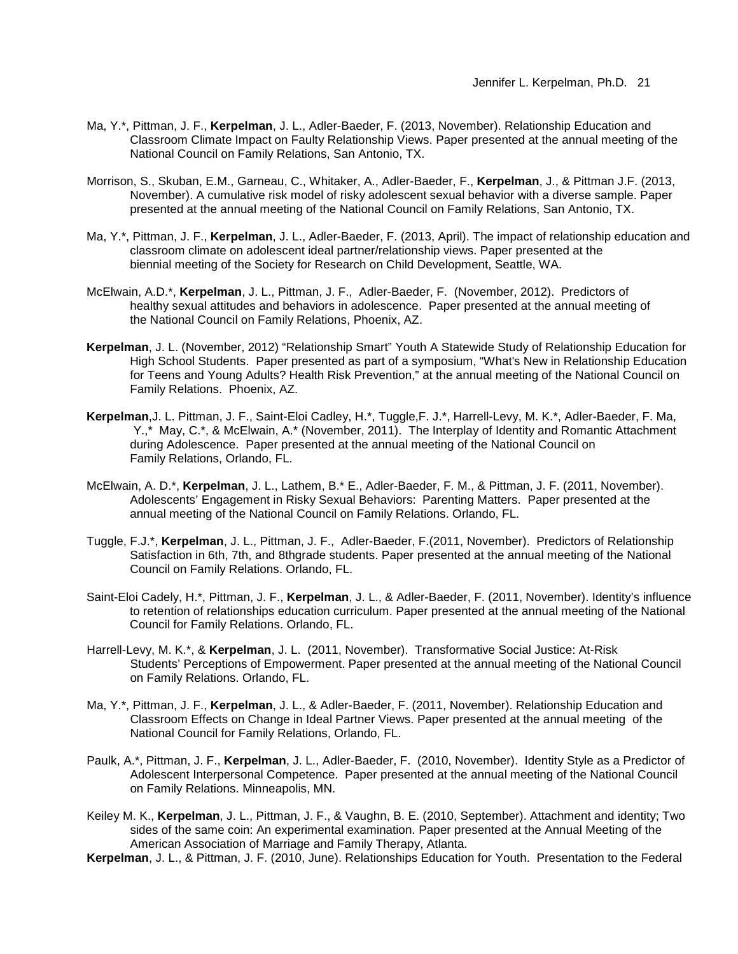- Ma, Y.\*, Pittman, J. F., **Kerpelman**, J. L., Adler-Baeder, F. (2013, November). Relationship Education and Classroom Climate Impact on Faulty Relationship Views. Paper presented at the annual meeting of the National Council on Family Relations, San Antonio, TX.
- Morrison, S., Skuban, E.M., Garneau, C., Whitaker, A., Adler-Baeder, F., **Kerpelman**, J., & Pittman J.F. (2013, November). A cumulative risk model of risky adolescent sexual behavior with a diverse sample. Paper presented at the annual meeting of the National Council on Family Relations, San Antonio, TX.
- Ma, Y.\*, Pittman, J. F., **Kerpelman**, J. L., Adler-Baeder, F. (2013, April). The impact of relationship education and classroom climate on adolescent ideal partner/relationship views. Paper presented at the biennial meeting of the Society for Research on Child Development, Seattle, WA.
- McElwain, A.D.\*, **Kerpelman**, J. L., Pittman, J. F., Adler-Baeder, F. (November, 2012). Predictors of healthy sexual attitudes and behaviors in adolescence. Paper presented at the annual meeting of the National Council on Family Relations, Phoenix, AZ.
- **Kerpelman**, J. L. (November, 2012) "Relationship Smart" Youth A Statewide Study of Relationship Education for High School Students. Paper presented as part of a symposium, "What's New in Relationship Education for Teens and Young Adults? Health Risk Prevention," at the annual meeting of the National Council on Family Relations. Phoenix, AZ.
- **Kerpelman**,J. L. Pittman, J. F., Saint-Eloi Cadley, H.\*, Tuggle,F. J.\*, Harrell-Levy, M. K.\*, Adler-Baeder, F. Ma, Y.,\* May, C.\*, & McElwain, A.\* (November, 2011). The Interplay of Identity and Romantic Attachment during Adolescence. Paper presented at the annual meeting of the National Council on Family Relations, Orlando, FL.
- McElwain, A. D.\*, **Kerpelman**, J. L., Lathem, B.\* E., Adler-Baeder, F. M., & Pittman, J. F. (2011, November). Adolescents' Engagement in Risky Sexual Behaviors: Parenting Matters. Paper presented at the annual meeting of the National Council on Family Relations. Orlando, FL.
- Tuggle, F.J.\*, **Kerpelman**, J. L., Pittman, J. F., Adler-Baeder, F.(2011, November). Predictors of Relationship Satisfaction in 6th, 7th, and 8thgrade students. Paper presented at the annual meeting of the National Council on Family Relations. Orlando, FL.
- Saint-Eloi Cadely, H.\*, Pittman, J. F., **Kerpelman**, J. L., & Adler-Baeder, F. (2011, November). Identity's influence to retention of relationships education curriculum. Paper presented at the annual meeting of the National Council for Family Relations. Orlando, FL.
- Harrell-Levy, M. K.\*, & **Kerpelman**, J. L. (2011, November). Transformative Social Justice: At-Risk Students' Perceptions of Empowerment. Paper presented at the annual meeting of the National Council on Family Relations. Orlando, FL.
- Ma, Y.\*, Pittman, J. F., **Kerpelman**, J. L., & Adler-Baeder, F. (2011, November). Relationship Education and Classroom Effects on Change in Ideal Partner Views. Paper presented at the annual meeting of the National Council for Family Relations, Orlando, FL.
- Paulk, A.\*, Pittman, J. F., **Kerpelman**, J. L., Adler-Baeder, F. (2010, November). Identity Style as a Predictor of Adolescent Interpersonal Competence. Paper presented at the annual meeting of the National Council on Family Relations. Minneapolis, MN.
- Keiley M. K., **Kerpelman**, J. L., Pittman, J. F., & Vaughn, B. E. (2010, September). Attachment and identity; Two sides of the same coin: An experimental examination. Paper presented at the Annual Meeting of the American Association of Marriage and Family Therapy, Atlanta.
- **Kerpelman**, J. L., & Pittman, J. F. (2010, June). Relationships Education for Youth. Presentation to the Federal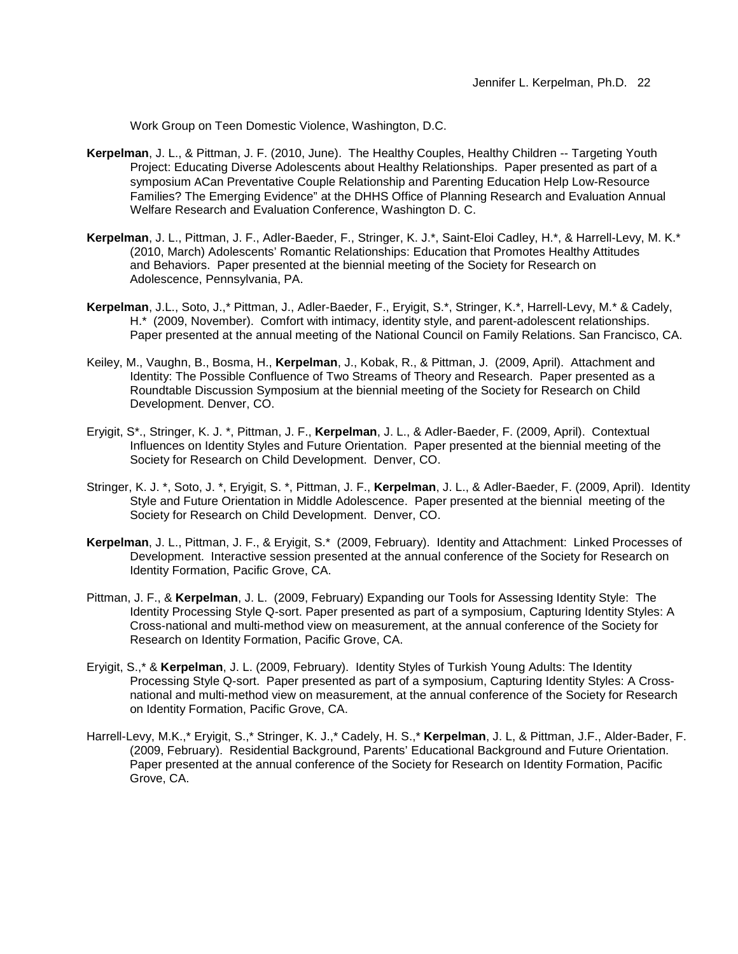Work Group on Teen Domestic Violence, Washington, D.C.

- **Kerpelman**, J. L., & Pittman, J. F. (2010, June). The Healthy Couples, Healthy Children -- Targeting Youth Project: Educating Diverse Adolescents about Healthy Relationships. Paper presented as part of a symposium ACan Preventative Couple Relationship and Parenting Education Help Low-Resource Families? The Emerging Evidence" at the DHHS Office of Planning Research and Evaluation Annual Welfare Research and Evaluation Conference, Washington D. C.
- **Kerpelman**, J. L., Pittman, J. F., Adler-Baeder, F., Stringer, K. J.\*, Saint-Eloi Cadley, H.\*, & Harrell-Levy, M. K.\* (2010, March) Adolescents' Romantic Relationships: Education that Promotes Healthy Attitudes and Behaviors. Paper presented at the biennial meeting of the Society for Research on Adolescence, Pennsylvania, PA.
- **Kerpelman**, J.L., Soto, J.,\* Pittman, J., Adler-Baeder, F., Eryigit, S.\*, Stringer, K.\*, Harrell-Levy, M.\* & Cadely, H.\* (2009, November). Comfort with intimacy, identity style, and parent-adolescent relationships. Paper presented at the annual meeting of the National Council on Family Relations. San Francisco, CA.
- Keiley, M., Vaughn, B., Bosma, H., **Kerpelman**, J., Kobak, R., & Pittman, J. (2009, April). Attachment and Identity: The Possible Confluence of Two Streams of Theory and Research. Paper presented as a Roundtable Discussion Symposium at the biennial meeting of the Society for Research on Child Development. Denver, CO.
- Eryigit, S\*., Stringer, K. J. \*, Pittman, J. F., **Kerpelman**, J. L., & Adler-Baeder, F. (2009, April). Contextual Influences on Identity Styles and Future Orientation. Paper presented at the biennial meeting of the Society for Research on Child Development. Denver, CO.
- Stringer, K. J. \*, Soto, J. \*, Eryigit, S. \*, Pittman, J. F., **Kerpelman**, J. L., & Adler-Baeder, F. (2009, April). Identity Style and Future Orientation in Middle Adolescence. Paper presented at the biennial meeting of the Society for Research on Child Development. Denver, CO.
- **Kerpelman**, J. L., Pittman, J. F., & Eryigit, S.\* (2009, February). Identity and Attachment: Linked Processes of Development. Interactive session presented at the annual conference of the Society for Research on Identity Formation, Pacific Grove, CA.
- Pittman, J. F., & **Kerpelman**, J. L. (2009, February) Expanding our Tools for Assessing Identity Style: The Identity Processing Style Q-sort. Paper presented as part of a symposium, Capturing Identity Styles: A Cross-national and multi-method view on measurement, at the annual conference of the Society for Research on Identity Formation, Pacific Grove, CA.
- Eryigit, S.,\* & **Kerpelman**, J. L. (2009, February). Identity Styles of Turkish Young Adults: The Identity Processing Style Q-sort. Paper presented as part of a symposium, Capturing Identity Styles: A Crossnational and multi-method view on measurement, at the annual conference of the Society for Research on Identity Formation, Pacific Grove, CA.
- Harrell-Levy, M.K.,\* Eryigit, S.,\* Stringer, K. J.,\* Cadely, H. S.,\* **Kerpelman**, J. L, & Pittman, J.F., Alder-Bader, F. (2009, February). Residential Background, Parents' Educational Background and Future Orientation. Paper presented at the annual conference of the Society for Research on Identity Formation, Pacific Grove, CA.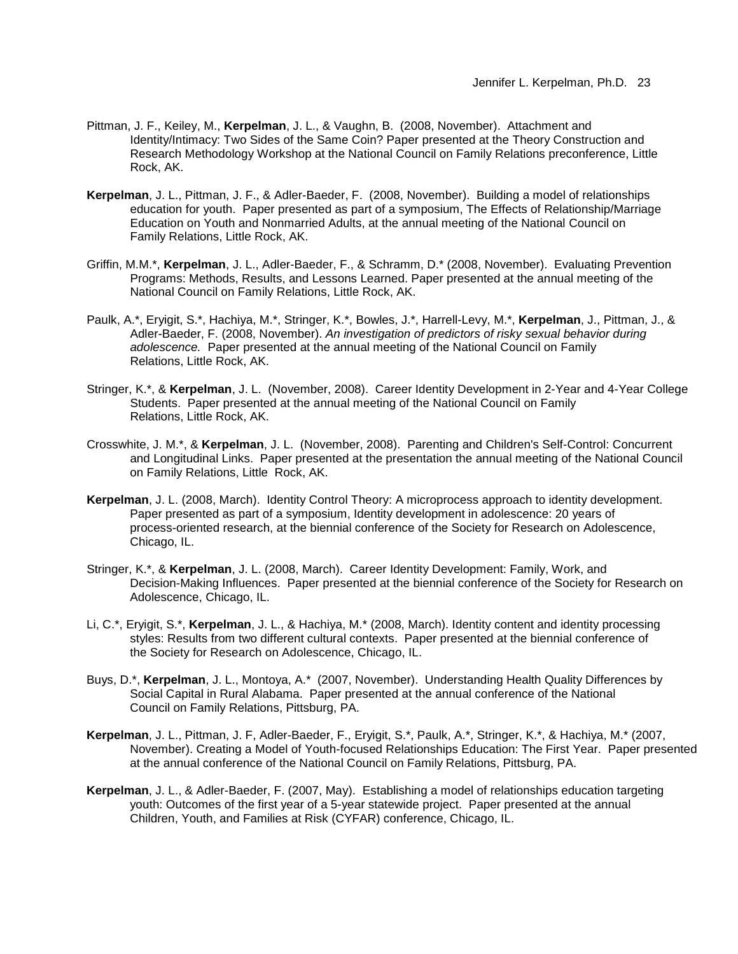- Pittman, J. F., Keiley, M., **Kerpelman**, J. L., & Vaughn, B. (2008, November). Attachment and Identity/Intimacy: Two Sides of the Same Coin? Paper presented at the Theory Construction and Research Methodology Workshop at the National Council on Family Relations preconference, Little Rock, AK.
- **Kerpelman**, J. L., Pittman, J. F., & Adler-Baeder, F. (2008, November). Building a model of relationships education for youth. Paper presented as part of a symposium, The Effects of Relationship/Marriage Education on Youth and Nonmarried Adults, at the annual meeting of the National Council on Family Relations, Little Rock, AK.
- Griffin, M.M.\*, **Kerpelman**, J. L., Adler-Baeder, F., & Schramm, D.\* (2008, November). Evaluating Prevention Programs: Methods, Results, and Lessons Learned. Paper presented at the annual meeting of the National Council on Family Relations, Little Rock, AK.
- Paulk, A.\*, Eryigit, S.\*, Hachiya, M.\*, Stringer, K.\*, Bowles, J.\*, Harrell-Levy, M.\*, **Kerpelman**, J., Pittman, J., & Adler-Baeder, F. (2008, November). *An investigation of predictors of risky sexual behavior during adolescence.* Paper presented at the annual meeting of the National Council on Family Relations, Little Rock, AK.
- Stringer, K.\*, & **Kerpelman**, J. L. (November, 2008). Career Identity Development in 2-Year and 4-Year College Students. Paper presented at the annual meeting of the National Council on Family Relations, Little Rock, AK.
- Crosswhite, J. M.\*, & **Kerpelman**, J. L. (November, 2008). Parenting and Children's Self-Control: Concurrent and Longitudinal Links. Paper presented at the presentation the annual meeting of the National Council on Family Relations, Little Rock, AK.
- **Kerpelman**, J. L. (2008, March). Identity Control Theory: A microprocess approach to identity development. Paper presented as part of a symposium, Identity development in adolescence: 20 years of process-oriented research, at the biennial conference of the Society for Research on Adolescence, Chicago, IL.
- Stringer, K.\*, & **Kerpelman**, J. L. (2008, March). Career Identity Development: Family, Work, and Decision-Making Influences. Paper presented at the biennial conference of the Society for Research on Adolescence, Chicago, IL.
- Li, C.\*, Eryigit, S.\*, **Kerpelman**, J. L., & Hachiya, M.\* (2008, March). Identity content and identity processing styles: Results from two different cultural contexts. Paper presented at the biennial conference of the Society for Research on Adolescence, Chicago, IL.
- Buys, D.\*, **Kerpelman**, J. L., Montoya, A.\* (2007, November). Understanding Health Quality Differences by Social Capital in Rural Alabama. Paper presented at the annual conference of the National Council on Family Relations, Pittsburg, PA.
- **Kerpelman**, J. L., Pittman, J. F, Adler-Baeder, F., Eryigit, S.\*, Paulk, A.\*, Stringer, K.\*, & Hachiya, M.\* (2007, November). Creating a Model of Youth-focused Relationships Education: The First Year. Paper presented at the annual conference of the National Council on Family Relations, Pittsburg, PA.
- **Kerpelman**, J. L., & Adler-Baeder, F. (2007, May). Establishing a model of relationships education targeting youth: Outcomes of the first year of a 5-year statewide project. Paper presented at the annual Children, Youth, and Families at Risk (CYFAR) conference, Chicago, IL.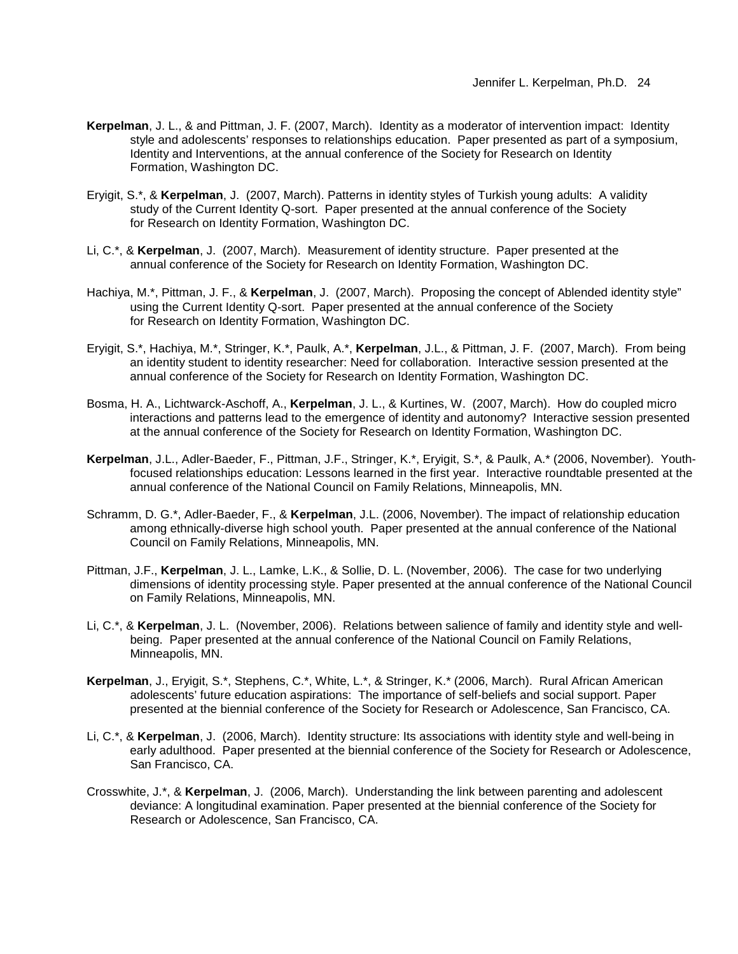- **Kerpelman**, J. L., & and Pittman, J. F. (2007, March). Identity as a moderator of intervention impact: Identity style and adolescents' responses to relationships education. Paper presented as part of a symposium, Identity and Interventions, at the annual conference of the Society for Research on Identity Formation, Washington DC.
- Eryigit, S.\*, & **Kerpelman**, J. (2007, March). Patterns in identity styles of Turkish young adults: A validity study of the Current Identity Q-sort. Paper presented at the annual conference of the Society for Research on Identity Formation, Washington DC.
- Li, C.\*, & **Kerpelman**, J. (2007, March). Measurement of identity structure. Paper presented at the annual conference of the Society for Research on Identity Formation, Washington DC.
- Hachiya, M.\*, Pittman, J. F., & **Kerpelman**, J. (2007, March). Proposing the concept of Ablended identity style" using the Current Identity Q-sort. Paper presented at the annual conference of the Society for Research on Identity Formation, Washington DC.
- Eryigit, S.\*, Hachiya, M.\*, Stringer, K.\*, Paulk, A.\*, **Kerpelman**, J.L., & Pittman, J. F. (2007, March). From being an identity student to identity researcher: Need for collaboration. Interactive session presented at the annual conference of the Society for Research on Identity Formation, Washington DC.
- Bosma, H. A., Lichtwarck-Aschoff, A., **Kerpelman**, J. L., & Kurtines, W. (2007, March). How do coupled micro interactions and patterns lead to the emergence of identity and autonomy? Interactive session presented at the annual conference of the Society for Research on Identity Formation, Washington DC.
- **Kerpelman**, J.L., Adler-Baeder, F., Pittman, J.F., Stringer, K.\*, Eryigit, S.\*, & Paulk, A.\* (2006, November). Youthfocused relationships education: Lessons learned in the first year. Interactive roundtable presented at the annual conference of the National Council on Family Relations, Minneapolis, MN.
- Schramm, D. G.\*, Adler-Baeder, F., & **Kerpelman**, J.L. (2006, November). The impact of relationship education among ethnically-diverse high school youth. Paper presented at the annual conference of the National Council on Family Relations, Minneapolis, MN.
- Pittman, J.F., **Kerpelman**, J. L., Lamke, L.K., & Sollie, D. L. (November, 2006). The case for two underlying dimensions of identity processing style. Paper presented at the annual conference of the National Council on Family Relations, Minneapolis, MN.
- Li, C.\*, & **Kerpelman**, J. L. (November, 2006). Relations between salience of family and identity style and wellbeing. Paper presented at the annual conference of the National Council on Family Relations, Minneapolis, MN.
- **Kerpelman**, J., Eryigit, S.\*, Stephens, C.\*, White, L.\*, & Stringer, K.\* (2006, March). Rural African American adolescents' future education aspirations: The importance of self-beliefs and social support. Paper presented at the biennial conference of the Society for Research or Adolescence, San Francisco, CA.
- Li, C.\*, & **Kerpelman**, J. (2006, March). Identity structure: Its associations with identity style and well-being in early adulthood. Paper presented at the biennial conference of the Society for Research or Adolescence, San Francisco, CA.
- Crosswhite, J.\*, & **Kerpelman**, J. (2006, March). Understanding the link between parenting and adolescent deviance: A longitudinal examination. Paper presented at the biennial conference of the Society for Research or Adolescence, San Francisco, CA.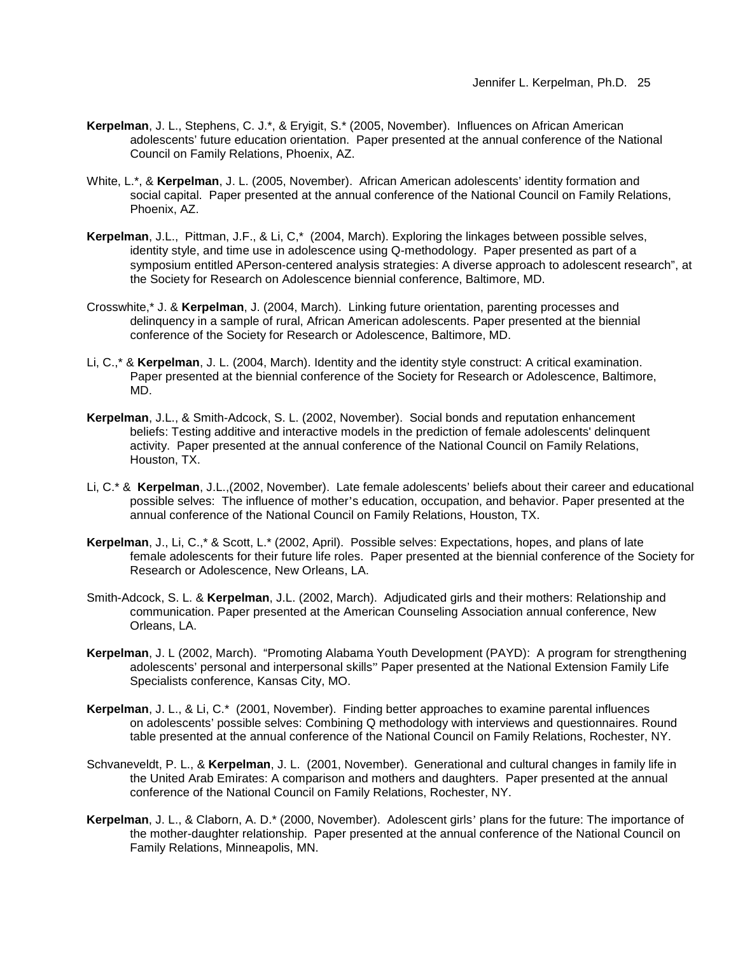- **Kerpelman**, J. L., Stephens, C. J.\*, & Eryigit, S.\* (2005, November). Influences on African American adolescents' future education orientation. Paper presented at the annual conference of the National Council on Family Relations, Phoenix, AZ.
- White, L.\*, & **Kerpelman**, J. L. (2005, November).African American adolescents' identity formation and social capital.Paper presented at the annual conference of the National Council on Family Relations, Phoenix, AZ.
- **Kerpelman**, J.L., Pittman, J.F., & Li, C,\* (2004, March). Exploring the linkages between possible selves, identity style, and time use in adolescence using Q-methodology. Paper presented as part of a symposium entitled APerson-centered analysis strategies: A diverse approach to adolescent research", at the Society for Research on Adolescence biennial conference, Baltimore, MD.
- Crosswhite,\* J. & **Kerpelman**, J. (2004, March). Linking future orientation, parenting processes and delinquency in a sample of rural, African American adolescents. Paper presented at the biennial conference of the Society for Research or Adolescence, Baltimore, MD.
- Li, C.,\* & **Kerpelman**, J. L. (2004, March). Identity and the identity style construct: A critical examination. Paper presented at the biennial conference of the Society for Research or Adolescence, Baltimore, MD.
- **Kerpelman**, J.L., & Smith-Adcock, S. L. (2002, November). Social bonds and reputation enhancement beliefs: Testing additive and interactive models in the prediction of female adolescents' delinquent activity. Paper presented at the annual conference of the National Council on Family Relations, Houston, TX.
- Li, C.\* & **Kerpelman**, J.L.,(2002, November). Late female adolescents' beliefs about their career and educational possible selves: The influence of mother's education, occupation, and behavior. Paper presented at the annual conference of the National Council on Family Relations, Houston, TX.
- **Kerpelman**, J., Li, C.,\* & Scott, L.\* (2002, April). Possible selves: Expectations, hopes, and plans of late female adolescents for their future life roles. Paper presented at the biennial conference of the Society for Research or Adolescence, New Orleans, LA.
- Smith-Adcock, S. L. & **Kerpelman**, J.L. (2002, March). Adjudicated girls and their mothers: Relationship and communication. Paper presented at the American Counseling Association annual conference, New Orleans, LA.
- **Kerpelman**, J. L (2002, March). "Promoting Alabama Youth Development (PAYD): A program for strengthening adolescents' personal and interpersonal skills" Paper presented at the National Extension Family Life Specialists conference, Kansas City, MO.
- **Kerpelman**, J. L., & Li, C.\* (2001, November). Finding better approaches to examine parental influences on adolescents' possible selves: Combining Q methodology with interviews and questionnaires. Round table presented at the annual conference of the National Council on Family Relations, Rochester, NY.
- Schvaneveldt, P. L., & **Kerpelman**, J. L. (2001, November). Generational and cultural changes in family life in the United Arab Emirates: A comparison and mothers and daughters. Paper presented at the annual conference of the National Council on Family Relations, Rochester, NY.
- **Kerpelman**, J. L., & Claborn, A. D.\* (2000, November). Adolescent girls' plans for the future: The importance of the mother-daughter relationship. Paper presented at the annual conference of the National Council on Family Relations, Minneapolis, MN.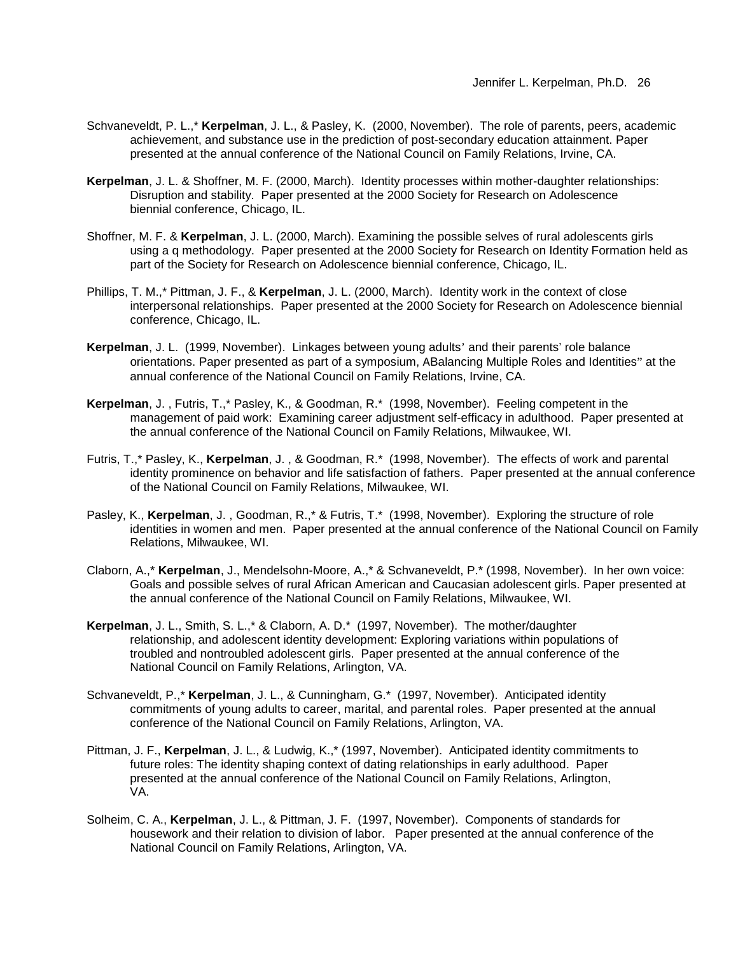- Schvaneveldt, P. L.,\* **Kerpelman**, J. L., & Pasley, K. (2000, November). The role of parents, peers, academic achievement, and substance use in the prediction of post-secondary education attainment. Paper presented at the annual conference of the National Council on Family Relations, Irvine, CA.
- **Kerpelman**, J. L. & Shoffner, M. F. (2000, March). Identity processes within mother-daughter relationships: Disruption and stability. Paper presented at the 2000 Society for Research on Adolescence biennial conference, Chicago, IL.
- Shoffner, M. F. & **Kerpelman**, J. L. (2000, March). Examining the possible selves of rural adolescents girls using a q methodology. Paper presented at the 2000 Society for Research on Identity Formation held as part of the Society for Research on Adolescence biennial conference, Chicago, IL.
- Phillips, T. M.,\* Pittman, J. F., & **Kerpelman**, J. L. (2000, March). Identity work in the context of close interpersonal relationships. Paper presented at the 2000 Society for Research on Adolescence biennial conference, Chicago, IL.
- **Kerpelman**, J. L. (1999, November). Linkages between young adults' and their parents' role balance orientations. Paper presented as part of a symposium, ABalancing Multiple Roles and Identities" at the annual conference of the National Council on Family Relations, Irvine, CA.
- **Kerpelman**, J. , Futris, T.,\* Pasley, K., & Goodman, R.\* (1998, November). Feeling competent in the management of paid work: Examining career adjustment self-efficacy in adulthood. Paper presented at the annual conference of the National Council on Family Relations, Milwaukee, WI.
- Futris, T.,\* Pasley, K., **Kerpelman**, J. , & Goodman, R.\* (1998, November). The effects of work and parental identity prominence on behavior and life satisfaction of fathers. Paper presented at the annual conference of the National Council on Family Relations, Milwaukee, WI.
- Pasley, K., **Kerpelman**, J. , Goodman, R.,\* & Futris, T.\* (1998, November). Exploring the structure of role identities in women and men. Paper presented at the annual conference of the National Council on Family Relations, Milwaukee, WI.
- Claborn, A.,\* **Kerpelman**, J., Mendelsohn-Moore, A.,\* & Schvaneveldt, P.\* (1998, November). In her own voice: Goals and possible selves of rural African American and Caucasian adolescent girls. Paper presented at the annual conference of the National Council on Family Relations, Milwaukee, WI.
- **Kerpelman**, J. L., Smith, S. L.,\* & Claborn, A. D.\* (1997, November). The mother/daughter relationship, and adolescent identity development: Exploring variations within populations of troubled and nontroubled adolescent girls. Paper presented at the annual conference of the National Council on Family Relations, Arlington, VA.
- Schvaneveldt, P.,\* **Kerpelman**, J. L., & Cunningham, G.\* (1997, November). Anticipated identity commitments of young adults to career, marital, and parental roles. Paper presented at the annual conference of the National Council on Family Relations, Arlington, VA.
- Pittman, J. F., **Kerpelman**, J. L., & Ludwig, K.,\* (1997, November). Anticipated identity commitments to future roles: The identity shaping context of dating relationships in early adulthood. Paper presented at the annual conference of the National Council on Family Relations, Arlington, VA.
- Solheim, C. A., **Kerpelman**, J. L., & Pittman, J. F. (1997, November). Components of standards for housework and their relation to division of labor. Paper presented at the annual conference of the National Council on Family Relations, Arlington, VA.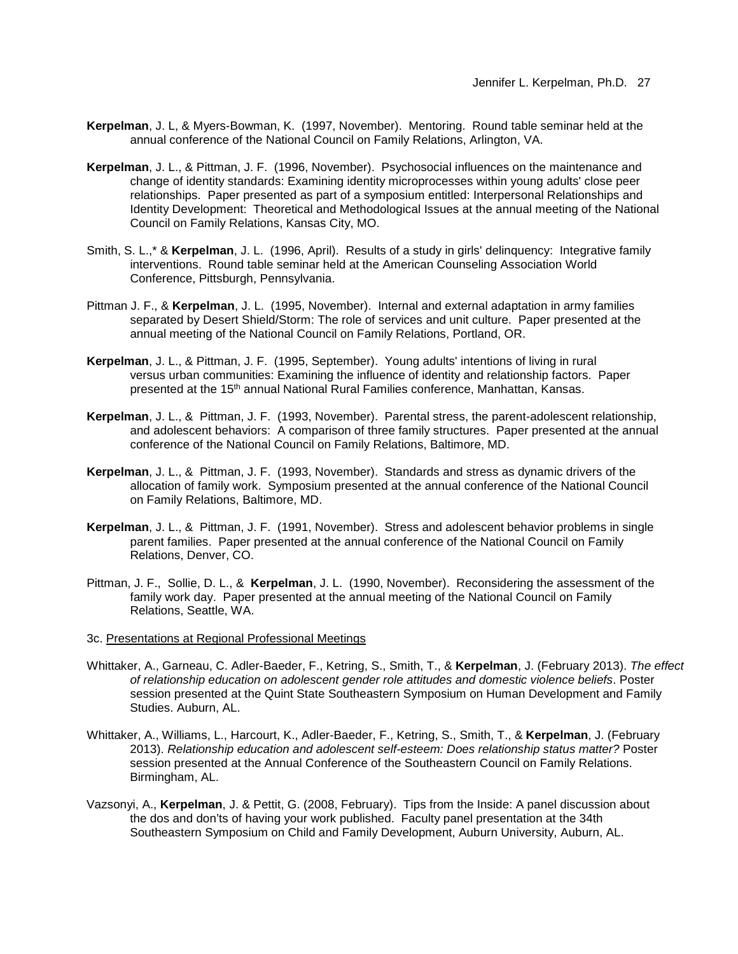- **Kerpelman**, J. L, & Myers-Bowman, K. (1997, November). Mentoring. Round table seminar held at the annual conference of the National Council on Family Relations, Arlington, VA.
- **Kerpelman**, J. L., & Pittman, J. F. (1996, November). Psychosocial influences on the maintenance and change of identity standards: Examining identity microprocesses within young adults' close peer relationships. Paper presented as part of a symposium entitled: Interpersonal Relationships and Identity Development: Theoretical and Methodological Issues at the annual meeting of the National Council on Family Relations, Kansas City, MO.
- Smith, S. L.,\* & **Kerpelman**, J. L. (1996, April). Results of a study in girls' delinquency: Integrative family interventions. Round table seminar held at the American Counseling Association World Conference, Pittsburgh, Pennsylvania.
- Pittman J. F., & **Kerpelman**, J. L. (1995, November). Internal and external adaptation in army families separated by Desert Shield/Storm: The role of services and unit culture. Paper presented at the annual meeting of the National Council on Family Relations, Portland, OR.
- **Kerpelman**, J. L., & Pittman, J. F. (1995, September). Young adults' intentions of living in rural versus urban communities: Examining the influence of identity and relationship factors. Paper presented at the 15th annual National Rural Families conference, Manhattan, Kansas.
- **Kerpelman**, J. L., & Pittman, J. F. (1993, November). Parental stress, the parent-adolescent relationship, and adolescent behaviors: A comparison of three family structures. Paper presented at the annual conference of the National Council on Family Relations, Baltimore, MD.
- **Kerpelman**, J. L., & Pittman, J. F. (1993, November). Standards and stress as dynamic drivers of the allocation of family work. Symposium presented at the annual conference of the National Council on Family Relations, Baltimore, MD.
- **Kerpelman**, J. L., & Pittman, J. F. (1991, November). Stress and adolescent behavior problems in single parent families. Paper presented at the annual conference of the National Council on Family Relations, Denver, CO.
- Pittman, J. F., Sollie, D. L., & **Kerpelman**, J. L. (1990, November). Reconsidering the assessment of the family work day. Paper presented at the annual meeting of the National Council on Family Relations, Seattle, WA.
- 3c. Presentations at Regional Professional Meetings
- Whittaker, A., Garneau, C. Adler-Baeder, F., Ketring, S., Smith, T., & **Kerpelman**, J. (February 2013). *The effect of relationship education on adolescent gender role attitudes and domestic violence beliefs*. Poster session presented at the Quint State Southeastern Symposium on Human Development and Family Studies. Auburn, AL.
- Whittaker, A., Williams, L., Harcourt, K., Adler-Baeder, F., Ketring, S., Smith, T., & **Kerpelman**, J. (February 2013). *Relationship education and adolescent self-esteem: Does relationship status matter?* Poster session presented at the Annual Conference of the Southeastern Council on Family Relations. Birmingham, AL.
- Vazsonyi, A., **Kerpelman**, J. & Pettit, G. (2008, February). Tips from the Inside: A panel discussion about the dos and don'ts of having your work published. Faculty panel presentation at the 34th Southeastern Symposium on Child and Family Development, Auburn University, Auburn, AL.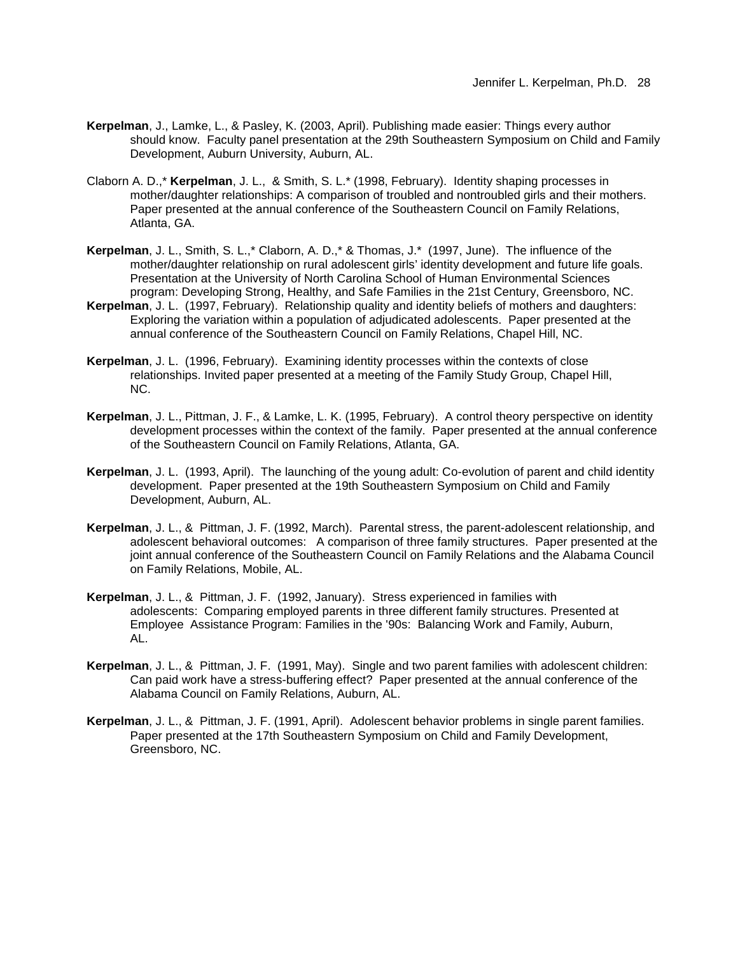- **Kerpelman**, J., Lamke, L., & Pasley, K. (2003, April). Publishing made easier: Things every author should know. Faculty panel presentation at the 29th Southeastern Symposium on Child and Family Development, Auburn University, Auburn, AL.
- Claborn A. D.,\* **Kerpelman**, J. L., & Smith, S. L.\* (1998, February). Identity shaping processes in mother/daughter relationships: A comparison of troubled and nontroubled girls and their mothers. Paper presented at the annual conference of the Southeastern Council on Family Relations, Atlanta, GA.
- **Kerpelman**, J. L., Smith, S. L.,\* Claborn, A. D.,\* & Thomas, J.\* (1997, June). The influence of the mother/daughter relationship on rural adolescent girls' identity development and future life goals. Presentation at the University of North Carolina School of Human Environmental Sciences program: Developing Strong, Healthy, and Safe Families in the 21st Century, Greensboro, NC.
- **Kerpelman**, J. L. (1997, February). Relationship quality and identity beliefs of mothers and daughters: Exploring the variation within a population of adjudicated adolescents. Paper presented at the annual conference of the Southeastern Council on Family Relations, Chapel Hill, NC.
- **Kerpelman**, J. L. (1996, February). Examining identity processes within the contexts of close relationships. Invited paper presented at a meeting of the Family Study Group, Chapel Hill, NC.
- **Kerpelman**, J. L., Pittman, J. F., & Lamke, L. K. (1995, February). A control theory perspective on identity development processes within the context of the family. Paper presented at the annual conference of the Southeastern Council on Family Relations, Atlanta, GA.
- **Kerpelman**, J. L. (1993, April). The launching of the young adult: Co-evolution of parent and child identity development. Paper presented at the 19th Southeastern Symposium on Child and Family Development, Auburn, AL.
- **Kerpelman**, J. L., & Pittman, J. F. (1992, March). Parental stress, the parent-adolescent relationship, and adolescent behavioral outcomes: A comparison of three family structures. Paper presented at the joint annual conference of the Southeastern Council on Family Relations and the Alabama Council on Family Relations, Mobile, AL.
- **Kerpelman**, J. L., & Pittman, J. F. (1992, January). Stress experienced in families with adolescents: Comparing employed parents in three different family structures. Presented at Employee Assistance Program: Families in the '90s: Balancing Work and Family, Auburn, AL.
- **Kerpelman**, J. L., & Pittman, J. F. (1991, May). Single and two parent families with adolescent children: Can paid work have a stress-buffering effect? Paper presented at the annual conference of the Alabama Council on Family Relations, Auburn, AL.
- **Kerpelman**, J. L., & Pittman, J. F. (1991, April). Adolescent behavior problems in single parent families. Paper presented at the 17th Southeastern Symposium on Child and Family Development, Greensboro, NC.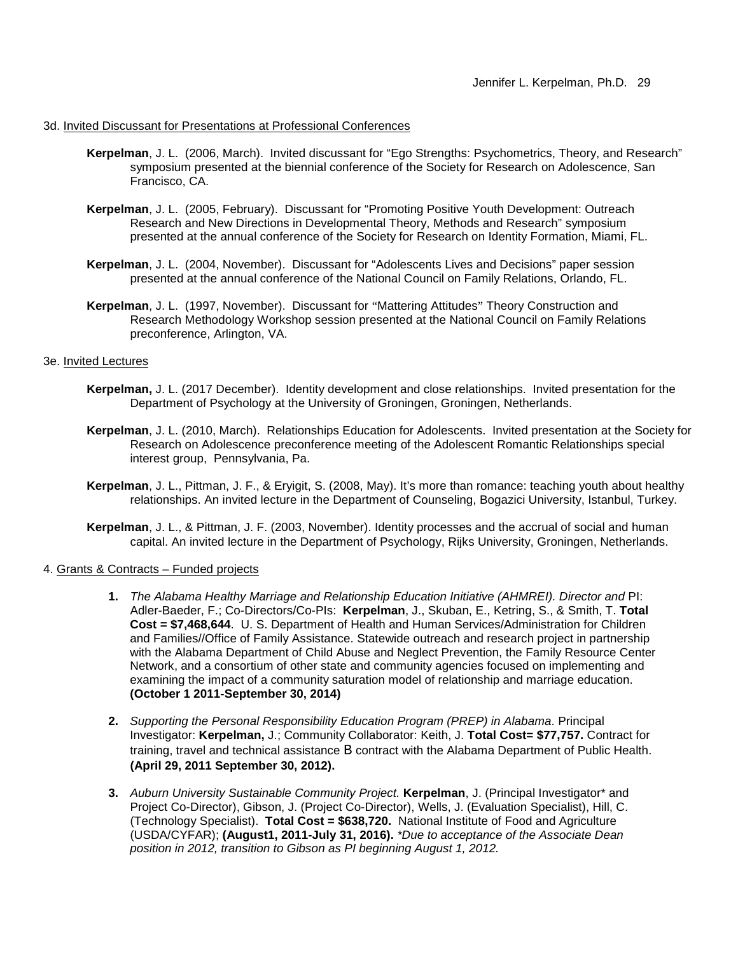### 3d. Invited Discussant for Presentations at Professional Conferences

- **Kerpelman**, J. L. (2006, March). Invited discussant for "Ego Strengths: Psychometrics, Theory, and Research" symposium presented at the biennial conference of the Society for Research on Adolescence, San Francisco, CA.
- **Kerpelman**, J. L. (2005, February). Discussant for "Promoting Positive Youth Development: Outreach Research and New Directions in Developmental Theory, Methods and Research" symposium presented at the annual conference of the Society for Research on Identity Formation, Miami, FL.
- **Kerpelman**, J. L. (2004, November). Discussant for "Adolescents Lives and Decisions" paper session presented at the annual conference of the National Council on Family Relations, Orlando, FL.
- **Kerpelman**, J. L. (1997, November). Discussant for "Mattering Attitudes" Theory Construction and Research Methodology Workshop session presented at the National Council on Family Relations preconference, Arlington, VA.

#### 3e. Invited Lectures

- **Kerpelman,** J. L. (2017 December). Identity development and close relationships. Invited presentation for the Department of Psychology at the University of Groningen, Groningen, Netherlands.
- **Kerpelman**, J. L. (2010, March). Relationships Education for Adolescents. Invited presentation at the Society for Research on Adolescence preconference meeting of the Adolescent Romantic Relationships special interest group, Pennsylvania, Pa.
- **Kerpelman**, J. L., Pittman, J. F., & Eryigit, S. (2008, May). It's more than romance: teaching youth about healthy relationships. An invited lecture in the Department of Counseling, Bogazici University, Istanbul, Turkey.
- **Kerpelman**, J. L., & Pittman, J. F. (2003, November). Identity processes and the accrual of social and human capital. An invited lecture in the Department of Psychology, Rijks University, Groningen, Netherlands.

### 4. Grants & Contracts – Funded projects

- **1.** *The Alabama Healthy Marriage and Relationship Education Initiative (AHMREI). Director and* PI: Adler-Baeder, F.; Co-Directors/Co-PIs: **Kerpelman**, J., Skuban, E., Ketring, S., & Smith, T. **Total Cost = \$7,468,644**. U. S. Department of Health and Human Services/Administration for Children and Families//Office of Family Assistance. Statewide outreach and research project in partnership with the Alabama Department of Child Abuse and Neglect Prevention, the Family Resource Center Network, and a consortium of other state and community agencies focused on implementing and examining the impact of a community saturation model of relationship and marriage education. **(October 1 2011-September 30, 2014)**
- **2.** *Supporting the Personal Responsibility Education Program (PREP) in Alabama*. Principal Investigator: **Kerpelman,** J.; Community Collaborator: Keith, J. **Total Cost= \$77,757.** Contract for training, travel and technical assistance B contract with the Alabama Department of Public Health. **(April 29, 2011 September 30, 2012).**
- **3.** *Auburn University Sustainable Community Project.* **Kerpelman**, J. (Principal Investigator\* and Project Co-Director), Gibson, J. (Project Co-Director), Wells, J. (Evaluation Specialist), Hill, C. (Technology Specialist). **Total Cost = \$638,720.** National Institute of Food and Agriculture (USDA/CYFAR); **(August1, 2011-July 31, 2016).** *\*Due to acceptance of the Associate Dean position in 2012, transition to Gibson as PI beginning August 1, 2012.*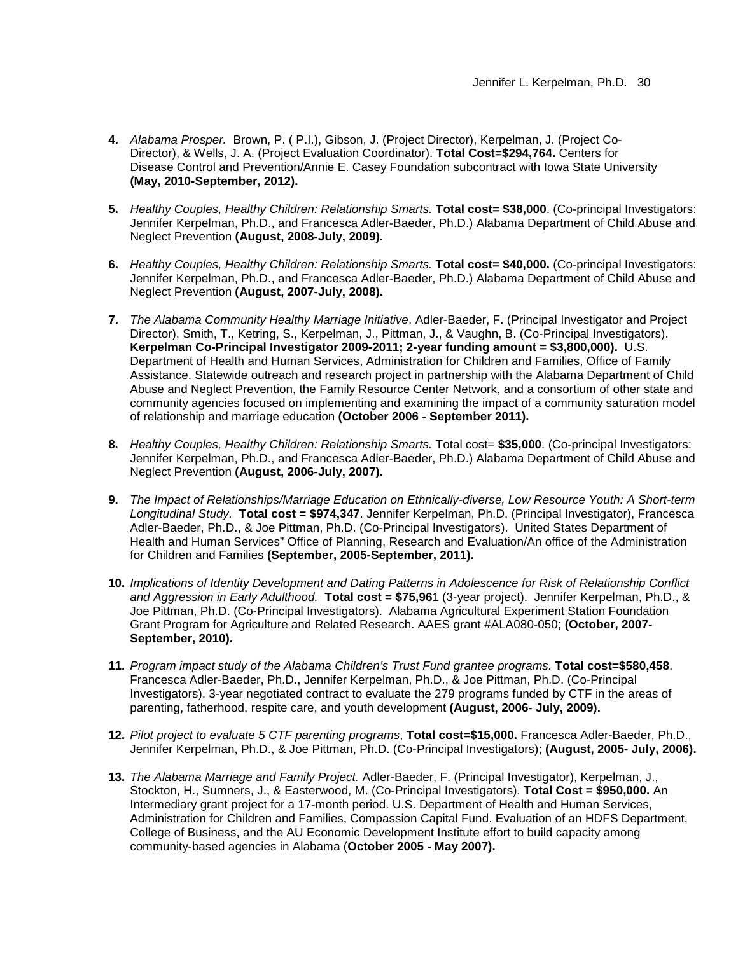- **4.** *Alabama Prosper.* Brown, P. ( P.I.), Gibson, J. (Project Director), Kerpelman, J. (Project Co-Director), & Wells, J. A. (Project Evaluation Coordinator). **Total Cost=\$294,764.** Centers for Disease Control and Prevention/Annie E. Casey Foundation subcontract with Iowa State University **(May, 2010-September, 2012).**
- **5.** *Healthy Couples, Healthy Children: Relationship Smarts.* **Total cost= \$38,000**. (Co-principal Investigators: Jennifer Kerpelman, Ph.D., and Francesca Adler-Baeder, Ph.D.) Alabama Department of Child Abuse and Neglect Prevention **(August, 2008-July, 2009).**
- **6.** *Healthy Couples, Healthy Children: Relationship Smarts.* **Total cost= \$40,000.** (Co-principal Investigators: Jennifer Kerpelman, Ph.D., and Francesca Adler-Baeder, Ph.D.) Alabama Department of Child Abuse and Neglect Prevention **(August, 2007-July, 2008).**
- **7.** *The Alabama Community Healthy Marriage Initiative*. Adler-Baeder, F. (Principal Investigator and Project Director), Smith, T., Ketring, S., Kerpelman, J., Pittman, J., & Vaughn, B. (Co-Principal Investigators). **Kerpelman Co-Principal Investigator 2009-2011; 2-year funding amount = \$3,800,000).** U.S. Department of Health and Human Services, Administration for Children and Families, Office of Family Assistance. Statewide outreach and research project in partnership with the Alabama Department of Child Abuse and Neglect Prevention, the Family Resource Center Network, and a consortium of other state and community agencies focused on implementing and examining the impact of a community saturation model of relationship and marriage education **(October 2006 - September 2011).**
- **8.** *Healthy Couples, Healthy Children: Relationship Smarts.* Total cost= **\$35,000**. (Co-principal Investigators: Jennifer Kerpelman, Ph.D., and Francesca Adler-Baeder, Ph.D.) Alabama Department of Child Abuse and Neglect Prevention **(August, 2006-July, 2007).**
- **9.** *The Impact of Relationships/Marriage Education on Ethnically-diverse, Low Resource Youth: A Short-term Longitudinal Study.* **Total cost = \$974,347**. Jennifer Kerpelman, Ph.D. (Principal Investigator), Francesca Adler-Baeder, Ph.D., & Joe Pittman, Ph.D. (Co-Principal Investigators). United States Department of Health and Human Services" Office of Planning, Research and Evaluation/An office of the Administration for Children and Families **(September, 2005-September, 2011).**
- **10.** *Implications of Identity Development and Dating Patterns in Adolescence for Risk of Relationship Conflict and Aggression in Early Adulthood.* **Total cost = \$75,96**1 (3-year project). Jennifer Kerpelman, Ph.D., & Joe Pittman, Ph.D. (Co-Principal Investigators). Alabama Agricultural Experiment Station Foundation Grant Program for Agriculture and Related Research. AAES grant #ALA080-050; **(October, 2007- September, 2010).**
- **11.** *Program impact study of the Alabama Children's Trust Fund grantee programs.* **Total cost=\$580,458**. Francesca Adler-Baeder, Ph.D., Jennifer Kerpelman, Ph.D., & Joe Pittman, Ph.D. (Co-Principal Investigators). 3-year negotiated contract to evaluate the 279 programs funded by CTF in the areas of parenting, fatherhood, respite care, and youth development **(August, 2006- July, 2009).**
- **12.** *Pilot project to evaluate 5 CTF parenting programs*, **Total cost=\$15,000.** Francesca Adler-Baeder, Ph.D., Jennifer Kerpelman, Ph.D., & Joe Pittman, Ph.D. (Co-Principal Investigators); **(August, 2005- July, 2006).**
- **13.** *The Alabama Marriage and Family Project.* Adler-Baeder, F. (Principal Investigator), Kerpelman, J., Stockton, H., Sumners, J., & Easterwood, M. (Co-Principal Investigators). **Total Cost = \$950,000.** An Intermediary grant project for a 17-month period. U.S. Department of Health and Human Services, Administration for Children and Families, Compassion Capital Fund. Evaluation of an HDFS Department, College of Business, and the AU Economic Development Institute effort to build capacity among community-based agencies in Alabama (**October 2005 - May 2007).**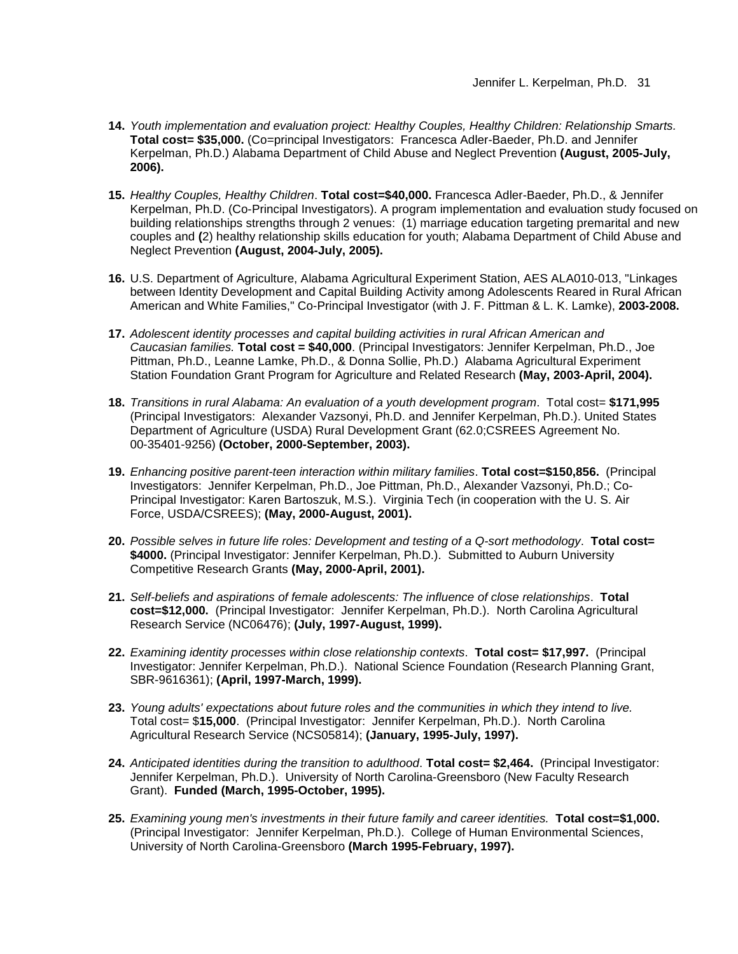- **14.** *Youth implementation and evaluation project: Healthy Couples, Healthy Children: Relationship Smarts.* **Total cost= \$35,000.** (Co=principal Investigators: Francesca Adler-Baeder, Ph.D. and Jennifer Kerpelman, Ph.D.) Alabama Department of Child Abuse and Neglect Prevention **(August, 2005-July, 2006).**
- **15.** *Healthy Couples, Healthy Children*. **Total cost=\$40,000.** Francesca Adler-Baeder, Ph.D., & Jennifer Kerpelman, Ph.D. (Co-Principal Investigators). A program implementation and evaluation study focused on building relationships strengths through 2 venues: (1) marriage education targeting premarital and new couples and **(**2) healthy relationship skills education for youth; Alabama Department of Child Abuse and Neglect Prevention **(August, 2004-July, 2005).**
- **16.** U.S. Department of Agriculture, Alabama Agricultural Experiment Station, AES ALA010-013, "Linkages between Identity Development and Capital Building Activity among Adolescents Reared in Rural African American and White Families," Co-Principal Investigator (with J. F. Pittman & L. K. Lamke), **2003-2008.**
- **17.** *Adolescent identity processes and capital building activities in rural African American and Caucasian families.* **Total cost = \$40,000**. (Principal Investigators: Jennifer Kerpelman, Ph.D., Joe Pittman, Ph.D., Leanne Lamke, Ph.D., & Donna Sollie, Ph.D.) Alabama Agricultural Experiment Station Foundation Grant Program for Agriculture and Related Research **(May, 2003-April, 2004).**
- **18.** *Transitions in rural Alabama: An evaluation of a youth development program*. Total cost= **\$171,995** (Principal Investigators: Alexander Vazsonyi, Ph.D. and Jennifer Kerpelman, Ph.D.). United States Department of Agriculture (USDA) Rural Development Grant (62.0;CSREES Agreement No. 00-35401-9256) **(October, 2000-September, 2003).**
- **19.** *Enhancing positive parent-teen interaction within military families*. **Total cost=\$150,856.** (Principal Investigators: Jennifer Kerpelman, Ph.D., Joe Pittman, Ph.D., Alexander Vazsonyi, Ph.D.; Co-Principal Investigator: Karen Bartoszuk, M.S.). Virginia Tech (in cooperation with the U. S. Air Force, USDA/CSREES); **(May, 2000-August, 2001).**
- **20.** *Possible selves in future life roles: Development and testing of a Q-sort methodology*. **Total cost=**  \$4000. (Principal Investigator: Jennifer Kerpelman, Ph.D.). Submitted to Auburn University Competitive Research Grants **(May, 2000-April, 2001).**
- **21.** *Self-beliefs and aspirations of female adolescents: The influence of close relationships*. **Total cost=\$12,000.** (Principal Investigator: Jennifer Kerpelman, Ph.D.). North Carolina Agricultural Research Service (NC06476); **(July, 1997-August, 1999).**
- **22.** *Examining identity processes within close relationship contexts*. **Total cost= \$17,997.** (Principal Investigator: Jennifer Kerpelman, Ph.D.). National Science Foundation (Research Planning Grant, SBR-9616361); **(April, 1997-March, 1999).**
- **23.** *Young adults' expectations about future roles and the communities in which they intend to live.* Total cost= \$**15,000**. (Principal Investigator: Jennifer Kerpelman, Ph.D.). North Carolina Agricultural Research Service (NCS05814); **(January, 1995-July, 1997).**
- **24.** *Anticipated identities during the transition to adulthood*. **Total cost= \$2,464.** (Principal Investigator: Jennifer Kerpelman, Ph.D.). University of North Carolina-Greensboro (New Faculty Research Grant). **Funded (March, 1995-October, 1995).**
- **25.** *Examining young men's investments in their future family and career identities.* **Total cost=\$1,000.** (Principal Investigator: Jennifer Kerpelman, Ph.D.). College of Human Environmental Sciences, University of North Carolina-Greensboro **(March 1995-February, 1997).**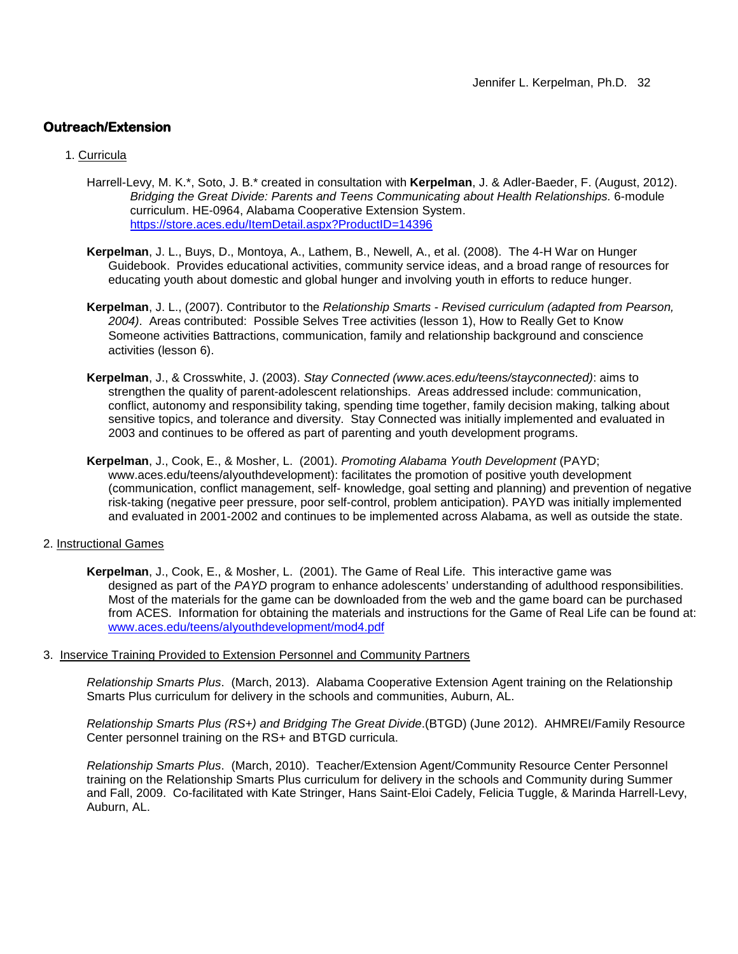## **Outreach/Extension**

## 1. Curricula

- Harrell-Levy, M. K.\*, Soto, J. B.\* created in consultation with **Kerpelman**, J. & Adler-Baeder, F. (August, 2012). *Bridging the Great Divide: Parents and Teens Communicating about Health Relationships.* 6-module curriculum. HE-0964, Alabama Cooperative Extension System. <https://store.aces.edu/ItemDetail.aspx?ProductID=14396>
- **Kerpelman**, J. L., Buys, D., Montoya, A., Lathem, B., Newell, A., et al. (2008). The 4-H War on Hunger Guidebook. Provides educational activities, community service ideas, and a broad range of resources for educating youth about domestic and global hunger and involving youth in efforts to reduce hunger.
- **Kerpelman**, J. L., (2007). Contributor to the *Relationship Smarts - Revised curriculum (adapted from Pearson, 2004)*. Areas contributed: Possible Selves Tree activities (lesson 1), How to Really Get to Know Someone activities Battractions, communication, family and relationship background and conscience activities (lesson 6).
- **Kerpelman**, J., & Crosswhite, J. (2003). *Stay Connected (www.aces.edu/teens/stayconnected)*: aims to strengthen the quality of parent-adolescent relationships. Areas addressed include: communication, conflict, autonomy and responsibility taking, spending time together, family decision making, talking about sensitive topics, and tolerance and diversity. Stay Connected was initially implemented and evaluated in 2003 and continues to be offered as part of parenting and youth development programs.
- **Kerpelman**, J., Cook, E., & Mosher, L. (2001). *Promoting Alabama Youth Development* (PAYD; www.aces.edu/teens/alyouthdevelopment): facilitates the promotion of positive youth development (communication, conflict management, self- knowledge, goal setting and planning) and prevention of negative risk-taking (negative peer pressure, poor self-control, problem anticipation). PAYD was initially implemented and evaluated in 2001-2002 and continues to be implemented across Alabama, as well as outside the state.
- 2. Instructional Games
	- **Kerpelman**, J., Cook, E., & Mosher, L. (2001). The Game of Real Life. This interactive game was designed as part of the *PAYD* program to enhance adolescents' understanding of adulthood responsibilities. Most of the materials for the game can be downloaded from the web and the game board can be purchased from ACES. Information for obtaining the materials and instructions for the Game of Real Life can be found at: [www.aces.edu/teens/alyouthdevelopment/mod4.pdf](http://www.aces.edu/teens/alyouthdevelopment/mod4.pdf)
- 3. Inservice Training Provided to Extension Personnel and Community Partners

*Relationship Smarts Plus*. (March, 2013). Alabama Cooperative Extension Agent training on the Relationship Smarts Plus curriculum for delivery in the schools and communities, Auburn, AL.

*Relationship Smarts Plus (RS+) and Bridging The Great Divide*.(BTGD) (June 2012). AHMREI/Family Resource Center personnel training on the RS+ and BTGD curricula.

*Relationship Smarts Plus*. (March, 2010). Teacher/Extension Agent/Community Resource Center Personnel training on the Relationship Smarts Plus curriculum for delivery in the schools and Community during Summer and Fall, 2009. Co-facilitated with Kate Stringer, Hans Saint-Eloi Cadely, Felicia Tuggle, & Marinda Harrell-Levy, Auburn, AL.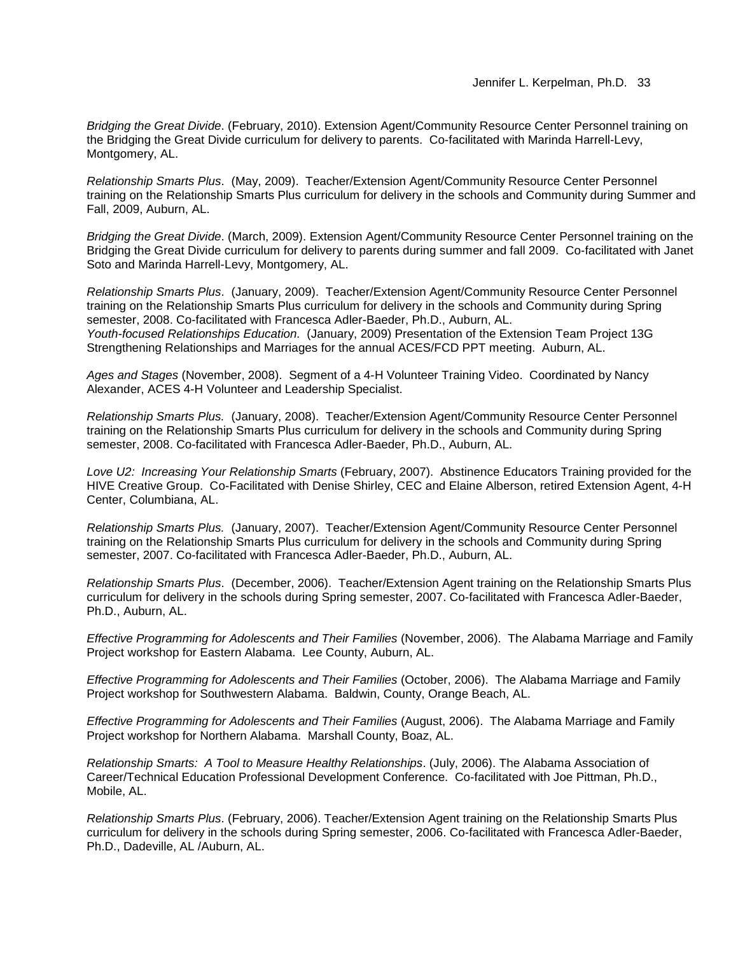*Bridging the Great Divide*. (February, 2010). Extension Agent/Community Resource Center Personnel training on the Bridging the Great Divide curriculum for delivery to parents. Co-facilitated with Marinda Harrell-Levy, Montgomery, AL.

*Relationship Smarts Plus*. (May, 2009). Teacher/Extension Agent/Community Resource Center Personnel training on the Relationship Smarts Plus curriculum for delivery in the schools and Community during Summer and Fall, 2009, Auburn, AL.

*Bridging the Great Divide*. (March, 2009). Extension Agent/Community Resource Center Personnel training on the Bridging the Great Divide curriculum for delivery to parents during summer and fall 2009. Co-facilitated with Janet Soto and Marinda Harrell-Levy, Montgomery, AL.

*Relationship Smarts Plus*. (January, 2009). Teacher/Extension Agent/Community Resource Center Personnel training on the Relationship Smarts Plus curriculum for delivery in the schools and Community during Spring semester, 2008. Co-facilitated with Francesca Adler-Baeder, Ph.D., Auburn, AL. *Youth-focused Relationships Education.* (January, 2009) Presentation of the Extension Team Project 13G Strengthening Relationships and Marriages for the annual ACES/FCD PPT meeting. Auburn, AL.

*Ages and Stages* (November, 2008). Segment of a 4-H Volunteer Training Video. Coordinated by Nancy Alexander, ACES 4-H Volunteer and Leadership Specialist.

*Relationship Smarts Plus.* (January, 2008). Teacher/Extension Agent/Community Resource Center Personnel training on the Relationship Smarts Plus curriculum for delivery in the schools and Community during Spring semester, 2008. Co-facilitated with Francesca Adler-Baeder, Ph.D., Auburn, AL.

*Love U2: Increasing Your Relationship Smarts* (February, 2007). Abstinence Educators Training provided for the HIVE Creative Group. Co-Facilitated with Denise Shirley, CEC and Elaine Alberson, retired Extension Agent, 4-H Center, Columbiana, AL.

*Relationship Smarts Plus.* (January, 2007). Teacher/Extension Agent/Community Resource Center Personnel training on the Relationship Smarts Plus curriculum for delivery in the schools and Community during Spring semester, 2007. Co-facilitated with Francesca Adler-Baeder, Ph.D., Auburn, AL.

*Relationship Smarts Plus*. (December, 2006). Teacher/Extension Agent training on the Relationship Smarts Plus curriculum for delivery in the schools during Spring semester, 2007. Co-facilitated with Francesca Adler-Baeder, Ph.D., Auburn, AL.

*Effective Programming for Adolescents and Their Families* (November, 2006). The Alabama Marriage and Family Project workshop for Eastern Alabama. Lee County, Auburn, AL.

*Effective Programming for Adolescents and Their Families* (October, 2006). The Alabama Marriage and Family Project workshop for Southwestern Alabama. Baldwin, County, Orange Beach, AL.

*Effective Programming for Adolescents and Their Families* (August, 2006). The Alabama Marriage and Family Project workshop for Northern Alabama. Marshall County, Boaz, AL.

*Relationship Smarts: A Tool to Measure Healthy Relationships*. (July, 2006). The Alabama Association of Career/Technical Education Professional Development Conference. Co-facilitated with Joe Pittman, Ph.D., Mobile, AL.

*Relationship Smarts Plus*. (February, 2006). Teacher/Extension Agent training on the Relationship Smarts Plus curriculum for delivery in the schools during Spring semester, 2006. Co-facilitated with Francesca Adler-Baeder, Ph.D., Dadeville, AL /Auburn, AL.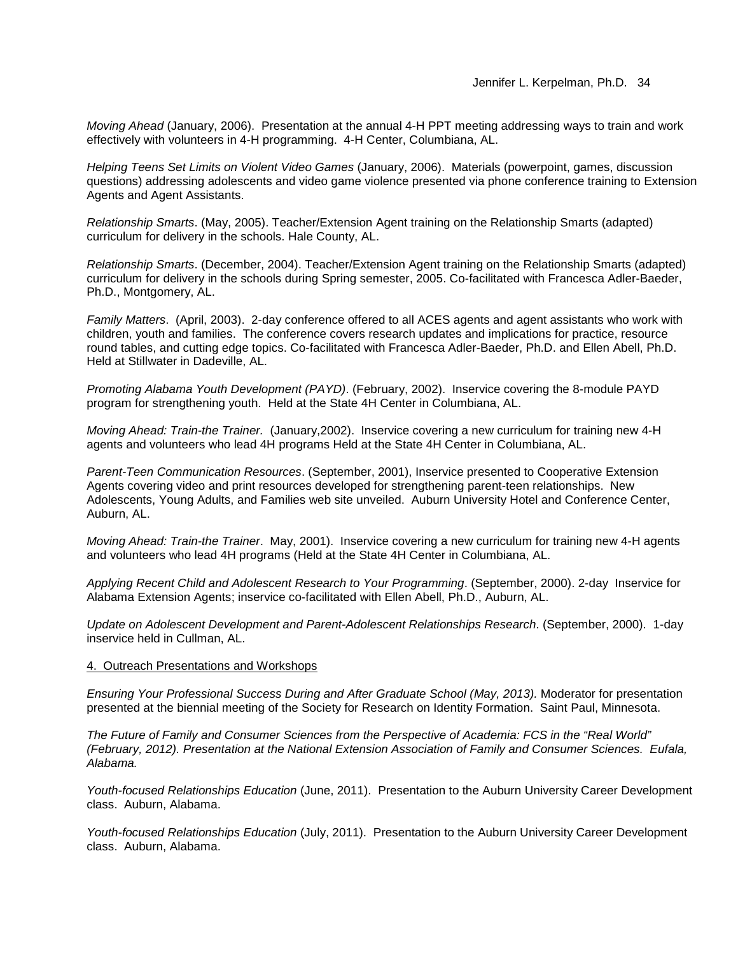*Moving Ahead* (January, 2006). Presentation at the annual 4-H PPT meeting addressing ways to train and work effectively with volunteers in 4-H programming. 4-H Center, Columbiana, AL.

*Helping Teens Set Limits on Violent Video Games* (January, 2006). Materials (powerpoint, games, discussion questions) addressing adolescents and video game violence presented via phone conference training to Extension Agents and Agent Assistants.

*Relationship Smarts*. (May, 2005). Teacher/Extension Agent training on the Relationship Smarts (adapted) curriculum for delivery in the schools. Hale County, AL.

*Relationship Smarts*. (December, 2004). Teacher/Extension Agent training on the Relationship Smarts (adapted) curriculum for delivery in the schools during Spring semester, 2005. Co-facilitated with Francesca Adler-Baeder, Ph.D., Montgomery, AL.

*Family Matters*. (April, 2003). 2-day conference offered to all ACES agents and agent assistants who work with children, youth and families. The conference covers research updates and implications for practice, resource round tables, and cutting edge topics. Co-facilitated with Francesca Adler-Baeder, Ph.D. and Ellen Abell, Ph.D. Held at Stillwater in Dadeville, AL.

*Promoting Alabama Youth Development (PAYD)*. (February, 2002). Inservice covering the 8-module PAYD program for strengthening youth. Held at the State 4H Center in Columbiana, AL.

*Moving Ahead: Train-the Trainer.* (January,2002). Inservice covering a new curriculum for training new 4-H agents and volunteers who lead 4H programs Held at the State 4H Center in Columbiana, AL.

*Parent-Teen Communication Resources*. (September, 2001), Inservice presented to Cooperative Extension Agents covering video and print resources developed for strengthening parent-teen relationships. New Adolescents, Young Adults, and Families web site unveiled. Auburn University Hotel and Conference Center, Auburn, AL.

*Moving Ahead: Train-the Trainer*. May, 2001). Inservice covering a new curriculum for training new 4-H agents and volunteers who lead 4H programs (Held at the State 4H Center in Columbiana, AL.

*Applying Recent Child and Adolescent Research to Your Programming*. (September, 2000). 2-day Inservice for Alabama Extension Agents; inservice co-facilitated with Ellen Abell, Ph.D., Auburn, AL.

*Update on Adolescent Development and Parent-Adolescent Relationships Research*. (September, 2000). 1-day inservice held in Cullman, AL.

#### 4. Outreach Presentations and Workshops

*Ensuring Your Professional Success During and After Graduate School (May, 2013).* Moderator for presentation presented at the biennial meeting of the Society for Research on Identity Formation. Saint Paul, Minnesota.

*The Future of Family and Consumer Sciences from the Perspective of Academia: FCS in the "Real World" (February, 2012). Presentation at the National Extension Association of Family and Consumer Sciences. Eufala, Alabama.*

*Youth-focused Relationships Education* (June, 2011). Presentation to the Auburn University Career Development class. Auburn, Alabama.

*Youth-focused Relationships Education* (July, 2011). Presentation to the Auburn University Career Development class. Auburn, Alabama.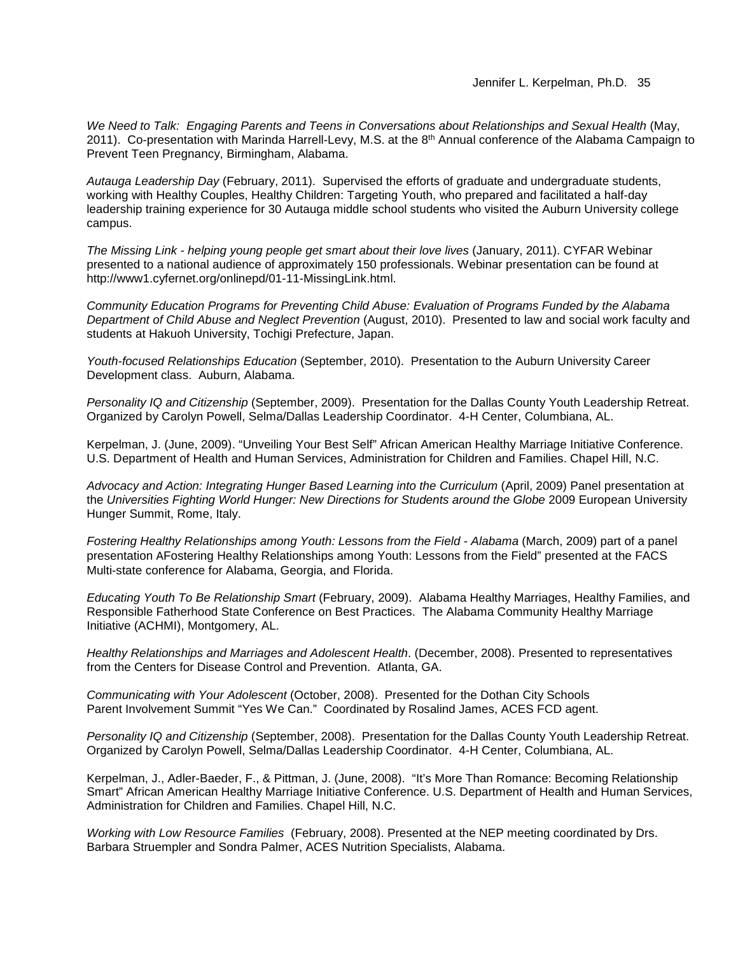*We Need to Talk: Engaging Parents and Teens in Conversations about Relationships and Sexual Health* (May, 2011). Co-presentation with Marinda Harrell-Levy, M.S. at the 8<sup>th</sup> Annual conference of the Alabama Campaign to Prevent Teen Pregnancy, Birmingham, Alabama.

*Autauga Leadership Day* (February, 2011). Supervised the efforts of graduate and undergraduate students, working with Healthy Couples, Healthy Children: Targeting Youth, who prepared and facilitated a half-day leadership training experience for 30 Autauga middle school students who visited the Auburn University college campus.

*The Missing Link - helping young people get smart about their love lives* (January, 2011). CYFAR Webinar presented to a national audience of approximately 150 professionals. Webinar presentation can be found at http://www1.cyfernet.org/onlinepd/01-11-MissingLink.html.

*Community Education Programs for Preventing Child Abuse: Evaluation of Programs Funded by the Alabama Department of Child Abuse and Neglect Prevention* (August, 2010). Presented to law and social work faculty and students at Hakuoh University, Tochigi Prefecture, Japan.

*Youth-focused Relationships Education* (September, 2010). Presentation to the Auburn University Career Development class. Auburn, Alabama.

*Personality IQ and Citizenship* (September, 2009). Presentation for the Dallas County Youth Leadership Retreat. Organized by Carolyn Powell, Selma/Dallas Leadership Coordinator. 4-H Center, Columbiana, AL.

Kerpelman, J. (June, 2009). "Unveiling Your Best Self" African American Healthy Marriage Initiative Conference. U.S. Department of Health and Human Services, Administration for Children and Families. Chapel Hill, N.C.

*Advocacy and Action: Integrating Hunger Based Learning into the Curriculum* (April, 2009) Panel presentation at the *Universities Fighting World Hunger: New Directions for Students around the Globe* 2009 European University Hunger Summit, Rome, Italy.

*Fostering Healthy Relationships among Youth: Lessons from the Field - Alabama* (March, 2009) part of a panel presentation AFostering Healthy Relationships among Youth: Lessons from the Field" presented at the FACS Multi-state conference for Alabama, Georgia, and Florida.

*Educating Youth To Be Relationship Smart* (February, 2009). Alabama Healthy Marriages, Healthy Families, and Responsible Fatherhood State Conference on Best Practices.The Alabama Community Healthy Marriage Initiative (ACHMI), Montgomery, AL.

*Healthy Relationships and Marriages and Adolescent Health*. (December, 2008). Presented to representatives from the Centers for Disease Control and Prevention. Atlanta, GA.

*Communicating with Your Adolescent* (October, 2008). Presented for the Dothan City Schools Parent Involvement Summit "Yes We Can." Coordinated by Rosalind James, ACES FCD agent.

*Personality IQ and Citizenship* (September, 2008). Presentation for the Dallas County Youth Leadership Retreat. Organized by Carolyn Powell, Selma/Dallas Leadership Coordinator. 4-H Center, Columbiana, AL.

Kerpelman, J., Adler-Baeder, F., & Pittman, J. (June, 2008). "It's More Than Romance: Becoming Relationship Smart" African American Healthy Marriage Initiative Conference. U.S. Department of Health and Human Services, Administration for Children and Families. Chapel Hill, N.C.

*Working with Low Resource Families* (February, 2008). Presented at the NEP meeting coordinated by Drs. Barbara Struempler and Sondra Palmer, ACES Nutrition Specialists, Alabama.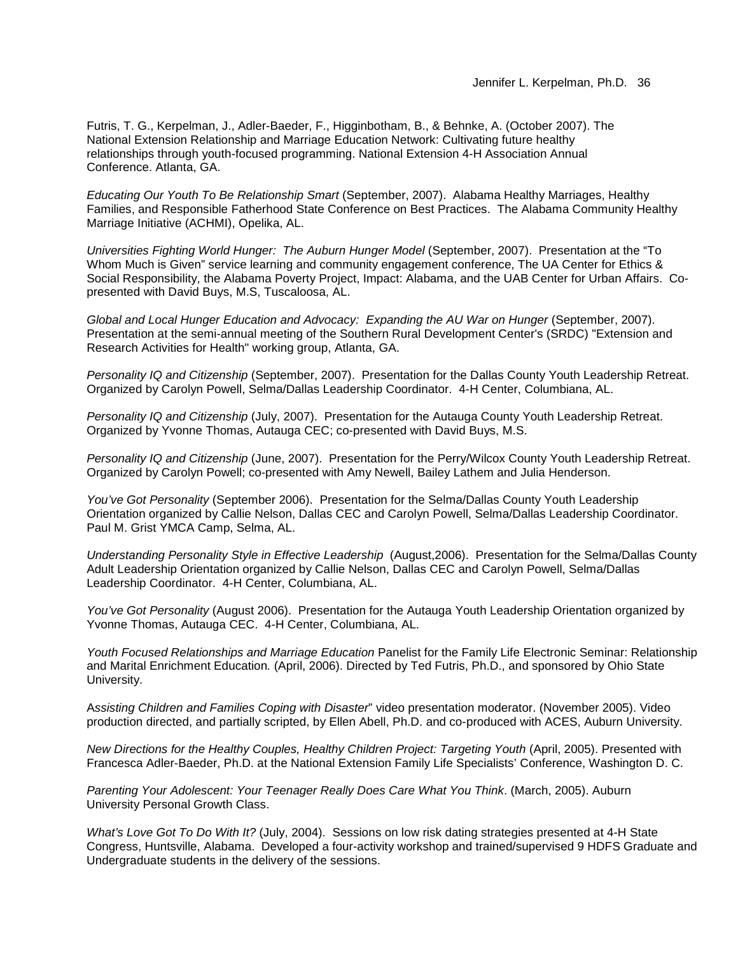Futris, T. G., Kerpelman, J., Adler-Baeder, F., Higginbotham, B., & Behnke, A. (October 2007). The National Extension Relationship and Marriage Education Network: Cultivating future healthy relationships through youth-focused programming. National Extension 4-H Association Annual Conference. Atlanta, GA.

*Educating Our Youth To Be Relationship Smart* (September, 2007). Alabama Healthy Marriages, Healthy Families, and Responsible Fatherhood State Conference on Best Practices.The Alabama Community Healthy Marriage Initiative (ACHMI), Opelika, AL.

*Universities Fighting World Hunger: The Auburn Hunger Model* (September, 2007). Presentation at the "To Whom Much is Given" service learning and community engagement conference, The UA Center for Ethics & Social Responsibility, the Alabama Poverty Project, Impact: Alabama, and the UAB Center for Urban Affairs. Copresented with David Buys, M.S, Tuscaloosa, AL.

*Global and Local Hunger Education and Advocacy: Expanding the AU War on Hunger* (September, 2007). Presentation at the semi-annual meeting of the Southern Rural Development Center's (SRDC) "Extension and Research Activities for Health" working group, Atlanta, GA.

*Personality IQ and Citizenship* (September, 2007). Presentation for the Dallas County Youth Leadership Retreat. Organized by Carolyn Powell, Selma/Dallas Leadership Coordinator. 4-H Center, Columbiana, AL.

*Personality IQ and Citizenship* (July, 2007). Presentation for the Autauga County Youth Leadership Retreat. Organized by Yvonne Thomas, Autauga CEC; co-presented with David Buys, M.S.

*Personality IQ and Citizenship* (June, 2007). Presentation for the Perry/Wilcox County Youth Leadership Retreat. Organized by Carolyn Powell; co-presented with Amy Newell, Bailey Lathem and Julia Henderson.

*You've Got Personality* (September 2006). Presentation for the Selma/Dallas County Youth Leadership Orientation organized by Callie Nelson, Dallas CEC and Carolyn Powell, Selma/Dallas Leadership Coordinator. Paul M. Grist YMCA Camp, Selma, AL.

*Understanding Personality Style in Effective Leadership* (August,2006). Presentation for the Selma/Dallas County Adult Leadership Orientation organized by Callie Nelson, Dallas CEC and Carolyn Powell, Selma/Dallas Leadership Coordinator. 4-H Center, Columbiana, AL.

*You've Got Personality* (August 2006). Presentation for the Autauga Youth Leadership Orientation organized by Yvonne Thomas, Autauga CEC. 4-H Center, Columbiana, AL.

*Youth Focused Relationships and Marriage Education* Panelist for the Family Life Electronic Seminar: Relationship and Marital Enrichment Education*.* (April, 2006). Directed by Ted Futris, Ph.D., and sponsored by Ohio State University.

A*ssisting Children and Families Coping with Disaster*" video presentation moderator. (November 2005). Video production directed, and partially scripted, by Ellen Abell, Ph.D. and co-produced with ACES, Auburn University.

*New Directions for the Healthy Couples, Healthy Children Project: Targeting Youth* (April, 2005). Presented with Francesca Adler-Baeder, Ph.D. at the National Extension Family Life Specialists' Conference, Washington D. C.

*Parenting Your Adolescent: Your Teenager Really Does Care What You Think*. (March, 2005). Auburn University Personal Growth Class.

*What's Love Got To Do With It?* (July, 2004). Sessions on low risk dating strategies presented at 4-H State Congress, Huntsville, Alabama. Developed a four-activity workshop and trained/supervised 9 HDFS Graduate and Undergraduate students in the delivery of the sessions.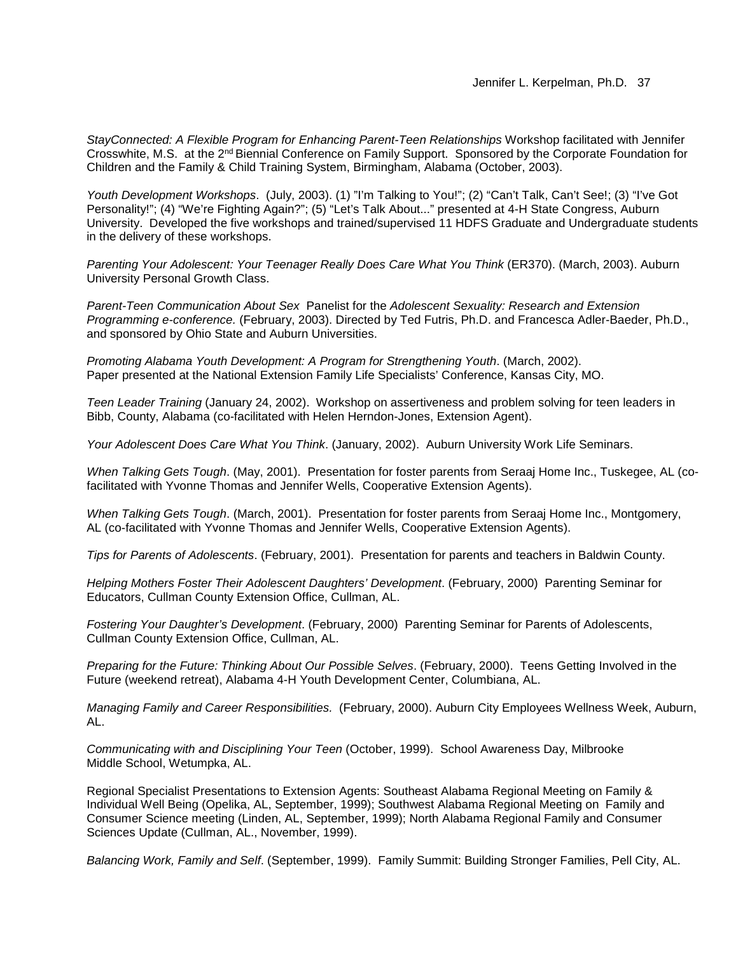*StayConnected: A Flexible Program for Enhancing Parent-Teen Relationships* Workshop facilitated with Jennifer Crosswhite, M.S. at the 2nd Biennial Conference on Family Support. Sponsored by the Corporate Foundation for Children and the Family & Child Training System, Birmingham, Alabama (October, 2003).

*Youth Development Workshops*. (July, 2003). (1) "I'm Talking to You!"; (2) "Can't Talk, Can't See!; (3) "I've Got Personality!"; (4) "We're Fighting Again?"; (5) "Let's Talk About..." presented at 4-H State Congress, Auburn University. Developed the five workshops and trained/supervised 11 HDFS Graduate and Undergraduate students in the delivery of these workshops.

*Parenting Your Adolescent: Your Teenager Really Does Care What You Think* (ER370). (March, 2003). Auburn University Personal Growth Class.

*Parent-Teen Communication About Sex* Panelist for the *Adolescent Sexuality: Research and Extension Programming e-conference.* (February, 2003). Directed by Ted Futris, Ph.D. and Francesca Adler-Baeder, Ph.D., and sponsored by Ohio State and Auburn Universities.

*Promoting Alabama Youth Development: A Program for Strengthening Youth*. (March, 2002). Paper presented at the National Extension Family Life Specialists' Conference, Kansas City, MO.

*Teen Leader Training* (January 24, 2002). Workshop on assertiveness and problem solving for teen leaders in Bibb, County, Alabama (co-facilitated with Helen Herndon-Jones, Extension Agent).

*Your Adolescent Does Care What You Think*. (January, 2002). Auburn University Work Life Seminars.

*When Talking Gets Tough*. (May, 2001). Presentation for foster parents from Seraaj Home Inc., Tuskegee, AL (cofacilitated with Yvonne Thomas and Jennifer Wells, Cooperative Extension Agents).

*When Talking Gets Tough*. (March, 2001). Presentation for foster parents from Seraaj Home Inc., Montgomery, AL (co-facilitated with Yvonne Thomas and Jennifer Wells, Cooperative Extension Agents).

*Tips for Parents of Adolescents*. (February, 2001). Presentation for parents and teachers in Baldwin County.

*Helping Mothers Foster Their Adolescent Daughters' Development*. (February, 2000) Parenting Seminar for Educators, Cullman County Extension Office, Cullman, AL.

*Fostering Your Daughter's Development*. (February, 2000) Parenting Seminar for Parents of Adolescents, Cullman County Extension Office, Cullman, AL.

*Preparing for the Future: Thinking About Our Possible Selves*. (February, 2000). Teens Getting Involved in the Future (weekend retreat), Alabama 4-H Youth Development Center, Columbiana, AL.

*Managing Family and Career Responsibilities.* (February, 2000). Auburn City Employees Wellness Week, Auburn, AL.

*Communicating with and Disciplining Your Teen* (October, 1999). School Awareness Day, Milbrooke Middle School, Wetumpka, AL.

Regional Specialist Presentations to Extension Agents: Southeast Alabama Regional Meeting on Family & Individual Well Being (Opelika, AL, September, 1999); Southwest Alabama Regional Meeting on Family and Consumer Science meeting (Linden, AL, September, 1999); North Alabama Regional Family and Consumer Sciences Update (Cullman, AL., November, 1999).

*Balancing Work, Family and Self*. (September, 1999). Family Summit: Building Stronger Families, Pell City, AL.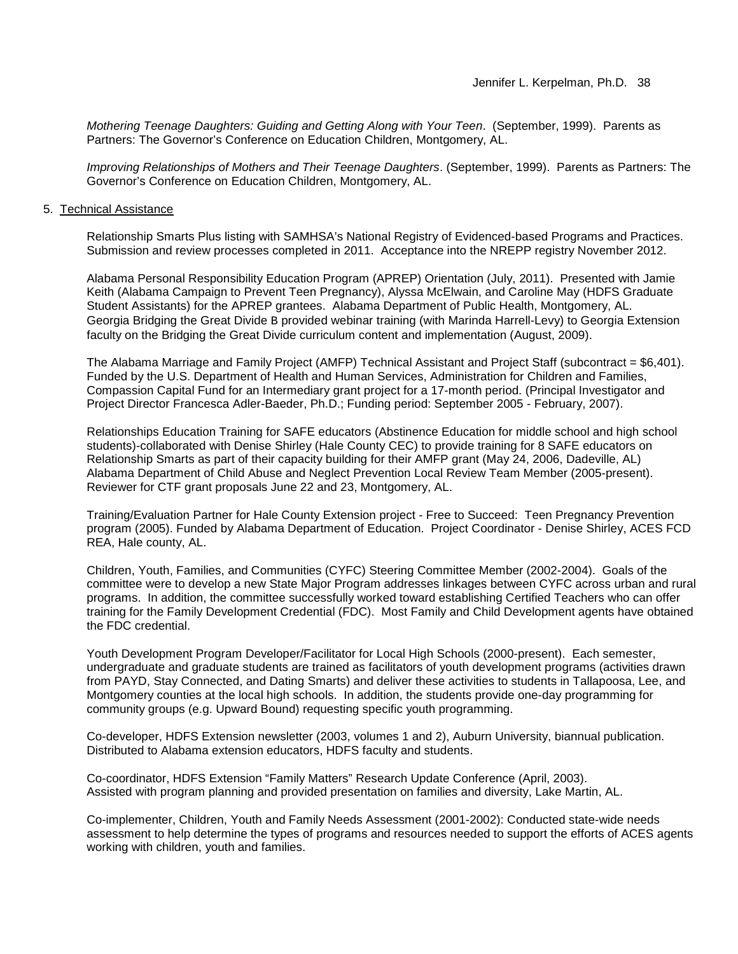*Mothering Teenage Daughters: Guiding and Getting Along with Your Teen*. (September, 1999). Parents as Partners: The Governor's Conference on Education Children, Montgomery, AL.

*Improving Relationships of Mothers and Their Teenage Daughters*. (September, 1999). Parents as Partners: The Governor's Conference on Education Children, Montgomery, AL.

### 5. Technical Assistance

Relationship Smarts Plus listing with SAMHSA's National Registry of Evidenced-based Programs and Practices. Submission and review processes completed in 2011. Acceptance into the NREPP registry November 2012.

Alabama Personal Responsibility Education Program (APREP) Orientation (July, 2011). Presented with Jamie Keith (Alabama Campaign to Prevent Teen Pregnancy), Alyssa McElwain, and Caroline May (HDFS Graduate Student Assistants) for the APREP grantees. Alabama Department of Public Health, Montgomery, AL. Georgia Bridging the Great Divide B provided webinar training (with Marinda Harrell-Levy) to Georgia Extension faculty on the Bridging the Great Divide curriculum content and implementation (August, 2009).

The Alabama Marriage and Family Project (AMFP) Technical Assistant and Project Staff (subcontract = \$6,401). Funded by the U.S. Department of Health and Human Services, Administration for Children and Families, Compassion Capital Fund for an Intermediary grant project for a 17-month period. (Principal Investigator and Project Director Francesca Adler-Baeder, Ph.D.; Funding period: September 2005 - February, 2007).

Relationships Education Training for SAFE educators (Abstinence Education for middle school and high school students)-collaborated with Denise Shirley (Hale County CEC) to provide training for 8 SAFE educators on Relationship Smarts as part of their capacity building for their AMFP grant (May 24, 2006, Dadeville, AL) Alabama Department of Child Abuse and Neglect Prevention Local Review Team Member (2005-present). Reviewer for CTF grant proposals June 22 and 23, Montgomery, AL.

Training/Evaluation Partner for Hale County Extension project - Free to Succeed: Teen Pregnancy Prevention program (2005). Funded by Alabama Department of Education. Project Coordinator - Denise Shirley, ACES FCD REA, Hale county, AL.

Children, Youth, Families, and Communities (CYFC) Steering Committee Member (2002-2004). Goals of the committee were to develop a new State Major Program addresses linkages between CYFC across urban and rural programs. In addition, the committee successfully worked toward establishing Certified Teachers who can offer training for the Family Development Credential (FDC). Most Family and Child Development agents have obtained the FDC credential.

Youth Development Program Developer/Facilitator for Local High Schools (2000-present). Each semester, undergraduate and graduate students are trained as facilitators of youth development programs (activities drawn from PAYD, Stay Connected, and Dating Smarts) and deliver these activities to students in Tallapoosa, Lee, and Montgomery counties at the local high schools. In addition, the students provide one-day programming for community groups (e.g. Upward Bound) requesting specific youth programming.

Co-developer, HDFS Extension newsletter (2003, volumes 1 and 2), Auburn University, biannual publication. Distributed to Alabama extension educators, HDFS faculty and students.

Co-coordinator, HDFS Extension "Family Matters" Research Update Conference (April, 2003). Assisted with program planning and provided presentation on families and diversity, Lake Martin, AL.

Co-implementer, Children, Youth and Family Needs Assessment (2001-2002): Conducted state-wide needs assessment to help determine the types of programs and resources needed to support the efforts of ACES agents working with children, youth and families.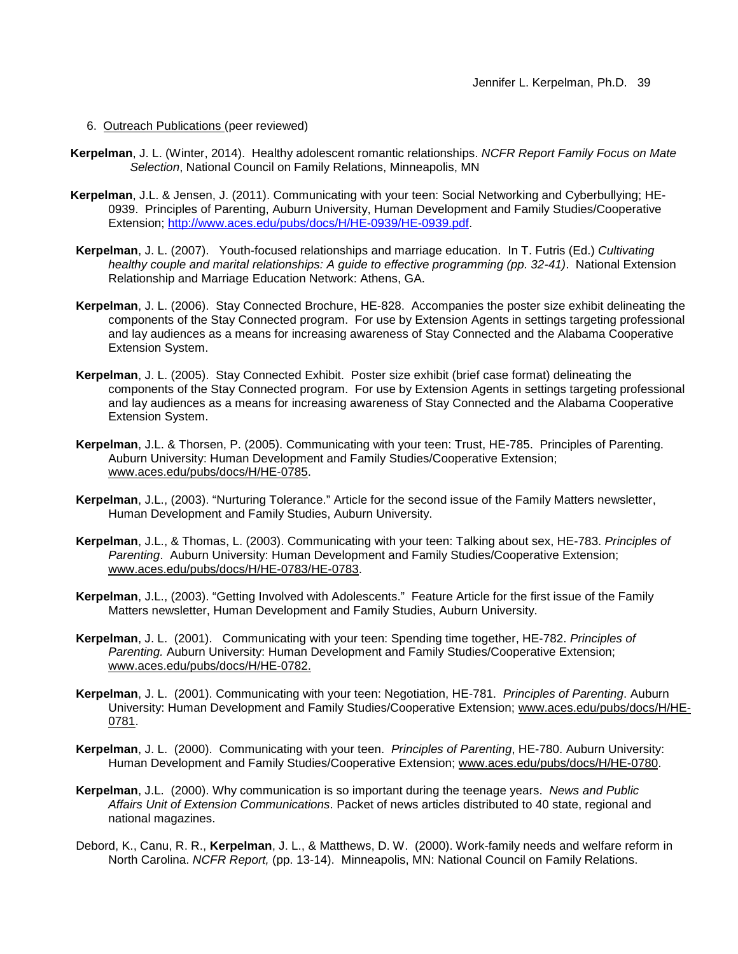#### 6. Outreach Publications (peer reviewed)

- **Kerpelman**, J. L. (Winter, 2014). Healthy adolescent romantic relationships. *NCFR Report Family Focus on Mate Selection*, National Council on Family Relations, Minneapolis, MN
- **Kerpelman**, J.L. & Jensen, J. (2011). Communicating with your teen: Social Networking and Cyberbullying; HE-0939. Principles of Parenting, Auburn University, Human Development and Family Studies/Cooperative Extension; [http://www.aces.edu/pubs/docs/H/HE-0939/HE-0939.pdf.](http://www.aces.edu/pubs/docs/H/HE-0939/HE-0939.pdf)
- **Kerpelman**, J. L. (2007). Youth-focused relationships and marriage education. In T. Futris (Ed.) *Cultivating healthy couple and marital relationships: A guide to effective programming (pp. 32-41)*. National Extension Relationship and Marriage Education Network: Athens, GA.
- **Kerpelman**, J. L. (2006). Stay Connected Brochure, HE-828. Accompanies the poster size exhibit delineating the components of the Stay Connected program. For use by Extension Agents in settings targeting professional and lay audiences as a means for increasing awareness of Stay Connected and the Alabama Cooperative Extension System.
- **Kerpelman**, J. L. (2005). Stay Connected Exhibit. Poster size exhibit (brief case format) delineating the components of the Stay Connected program. For use by Extension Agents in settings targeting professional and lay audiences as a means for increasing awareness of Stay Connected and the Alabama Cooperative Extension System.
- **Kerpelman**, J.L. & Thorsen, P. (2005). Communicating with your teen: Trust, HE-785. Principles of Parenting. Auburn University: Human Development and Family Studies/Cooperative Extension; www.aces.edu/pubs/docs/H/HE-0785.
- **Kerpelman**, J.L., (2003). "Nurturing Tolerance." Article for the second issue of the Family Matters newsletter, Human Development and Family Studies, Auburn University.
- **Kerpelman**, J.L., & Thomas, L. (2003). Communicating with your teen: Talking about sex, HE-783. *Principles of Parenting*. Auburn University: Human Development and Family Studies/Cooperative Extension; www.aces.edu/pubs/docs/H/HE-0783/HE-0783.
- **Kerpelman**, J.L., (2003). "Getting Involved with Adolescents." Feature Article for the first issue of the Family Matters newsletter, Human Development and Family Studies, Auburn University.
- **Kerpelman**, J. L. (2001). Communicating with your teen: Spending time together, HE-782. *Principles of Parenting.* Auburn University: Human Development and Family Studies/Cooperative Extension; www.aces.edu/pubs/docs/H/HE-0782.
- **Kerpelman**, J. L. (2001). Communicating with your teen: Negotiation, HE-781. *Principles of Parenting*. Auburn University: Human Development and Family Studies/Cooperative Extension; www.aces.edu/pubs/docs/H/HE-0781.
- **Kerpelman**, J. L. (2000). Communicating with your teen. *Principles of Parenting*, HE-780. Auburn University: Human Development and Family Studies/Cooperative Extension; www.aces.edu/pubs/docs/H/HE-0780.
- **Kerpelman**, J.L. (2000). Why communication is so important during the teenage years. *News and Public Affairs Unit of Extension Communications*. Packet of news articles distributed to 40 state, regional and national magazines.
- Debord, K., Canu, R. R., **Kerpelman**, J. L., & Matthews, D. W. (2000). Work-family needs and welfare reform in North Carolina. *NCFR Report,* (pp. 13-14). Minneapolis, MN: National Council on Family Relations.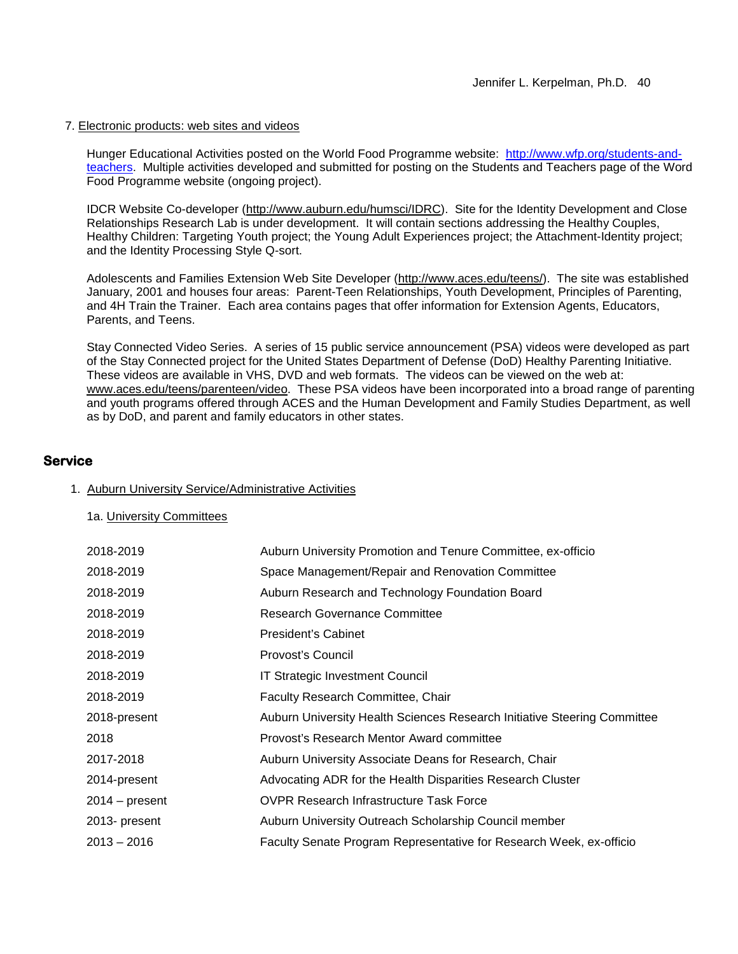### 7. Electronic products: web sites and videos

Hunger Educational Activities posted on the World Food Programme website: http://www.wfp.org/students-andteachers. Multiple activities developed and submitted for posting on the Students and Teachers page of the Word Food Programme website (ongoing project).

IDCR Website Co-developer (http://www.auburn.edu/humsci/IDRC). Site for the Identity Development and Close Relationships Research Lab is under development. It will contain sections addressing the Healthy Couples, Healthy Children: Targeting Youth project; the Young Adult Experiences project; the Attachment-Identity project; and the Identity Processing Style Q-sort.

Adolescents and Families Extension Web Site Developer (http://www.aces.edu/teens/). The site was established January, 2001 and houses four areas: Parent-Teen Relationships, Youth Development, Principles of Parenting, and 4H Train the Trainer. Each area contains pages that offer information for Extension Agents, Educators, Parents, and Teens.

Stay Connected Video Series. A series of 15 public service announcement (PSA) videos were developed as part of the Stay Connected project for the United States Department of Defense (DoD) Healthy Parenting Initiative. These videos are available in VHS, DVD and web formats. The videos can be viewed on the web at: www.aces.edu/teens/parenteen/video. These PSA videos have been incorporated into a broad range of parenting and youth programs offered through ACES and the Human Development and Family Studies Department, as well as by DoD, and parent and family educators in other states.

## **Service**

### 1. Auburn University Service/Administrative Activities

1a. University Committees

| 2018-2019        | Auburn University Promotion and Tenure Committee, ex-officio             |
|------------------|--------------------------------------------------------------------------|
| 2018-2019        | Space Management/Repair and Renovation Committee                         |
| 2018-2019        | Auburn Research and Technology Foundation Board                          |
| 2018-2019        | <b>Research Governance Committee</b>                                     |
| 2018-2019        | President's Cabinet                                                      |
| 2018-2019        | Provosť's Council                                                        |
| 2018-2019        | <b>IT Strategic Investment Council</b>                                   |
| 2018-2019        | <b>Faculty Research Committee, Chair</b>                                 |
| 2018-present     | Auburn University Health Sciences Research Initiative Steering Committee |
| 2018             | Provost's Research Mentor Award committee                                |
| 2017-2018        | Auburn University Associate Deans for Research, Chair                    |
| 2014-present     | Advocating ADR for the Health Disparities Research Cluster               |
| $2014 - present$ | <b>OVPR Research Infrastructure Task Force</b>                           |
| 2013- present    | Auburn University Outreach Scholarship Council member                    |
| $2013 - 2016$    | Faculty Senate Program Representative for Research Week, ex-officio      |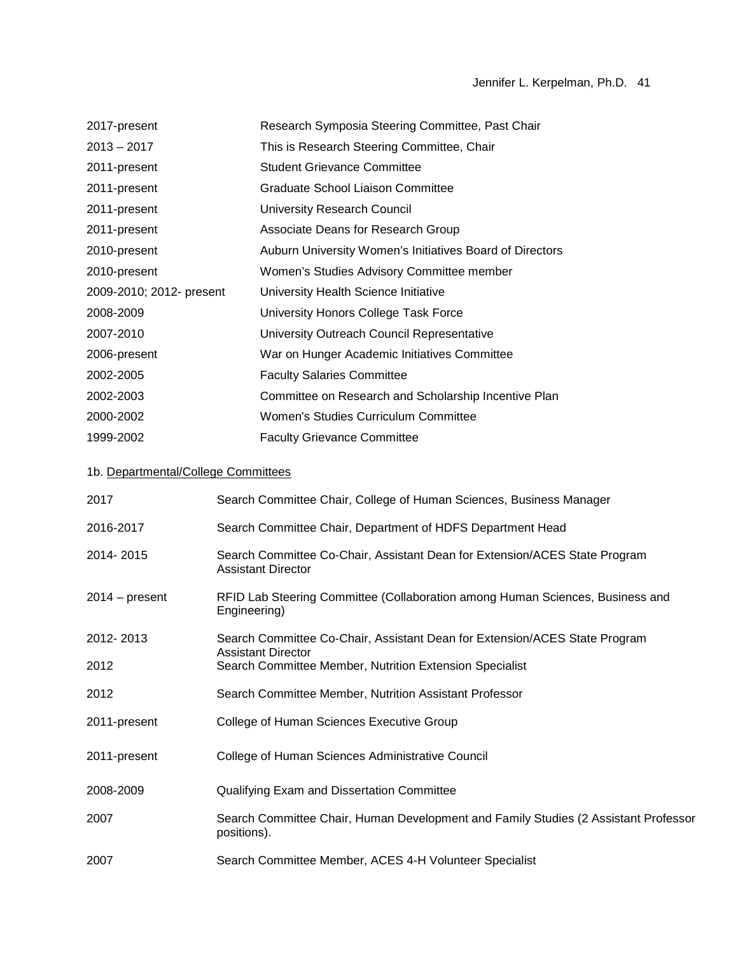| 2017-present                        |                                                                                      | Research Symposia Steering Committee, Past Chair                                                        |
|-------------------------------------|--------------------------------------------------------------------------------------|---------------------------------------------------------------------------------------------------------|
| $2013 - 2017$                       |                                                                                      | This is Research Steering Committee, Chair                                                              |
| 2011-present                        |                                                                                      | <b>Student Grievance Committee</b>                                                                      |
| 2011-present                        |                                                                                      | <b>Graduate School Liaison Committee</b>                                                                |
| 2011-present                        |                                                                                      | <b>University Research Council</b>                                                                      |
| 2011-present                        |                                                                                      | Associate Deans for Research Group                                                                      |
| 2010-present                        |                                                                                      | Auburn University Women's Initiatives Board of Directors                                                |
| 2010-present                        |                                                                                      | Women's Studies Advisory Committee member                                                               |
| 2009-2010; 2012- present            |                                                                                      | University Health Science Initiative                                                                    |
| 2008-2009                           |                                                                                      | University Honors College Task Force                                                                    |
| 2007-2010                           |                                                                                      | University Outreach Council Representative                                                              |
| 2006-present                        |                                                                                      | War on Hunger Academic Initiatives Committee                                                            |
| 2002-2005                           |                                                                                      | <b>Faculty Salaries Committee</b>                                                                       |
| 2002-2003                           |                                                                                      | Committee on Research and Scholarship Incentive Plan                                                    |
| 2000-2002                           |                                                                                      | Women's Studies Curriculum Committee                                                                    |
| 1999-2002                           |                                                                                      | <b>Faculty Grievance Committee</b>                                                                      |
| 1b. Departmental/College Committees |                                                                                      |                                                                                                         |
| 2017                                |                                                                                      | Search Committee Chair, College of Human Sciences, Business Manager                                     |
| 2016-2017                           |                                                                                      | Search Committee Chair, Department of HDFS Department Head                                              |
| 2014-2015                           |                                                                                      | Search Committee Co-Chair, Assistant Dean for Extension/ACES State Program<br><b>Assistant Director</b> |
| $2014 - present$                    | Engineering)                                                                         | RFID Lab Steering Committee (Collaboration among Human Sciences, Business and                           |
| 2012-2013                           |                                                                                      | Search Committee Co-Chair, Assistant Dean for Extension/ACES State Program                              |
| 2012                                | <b>Assistant Director</b><br>Search Committee Member, Nutrition Extension Specialist |                                                                                                         |
| 2012                                |                                                                                      | Search Committee Member, Nutrition Assistant Professor                                                  |
| 2011-present                        |                                                                                      | College of Human Sciences Executive Group                                                               |
| 2011-present                        |                                                                                      | College of Human Sciences Administrative Council                                                        |

- 2008-2009 Qualifying Exam and Dissertation Committee
- 2007 Search Committee Chair, Human Development and Family Studies (2 Assistant Professor positions).
- 2007 Search Committee Member, ACES 4-H Volunteer Specialist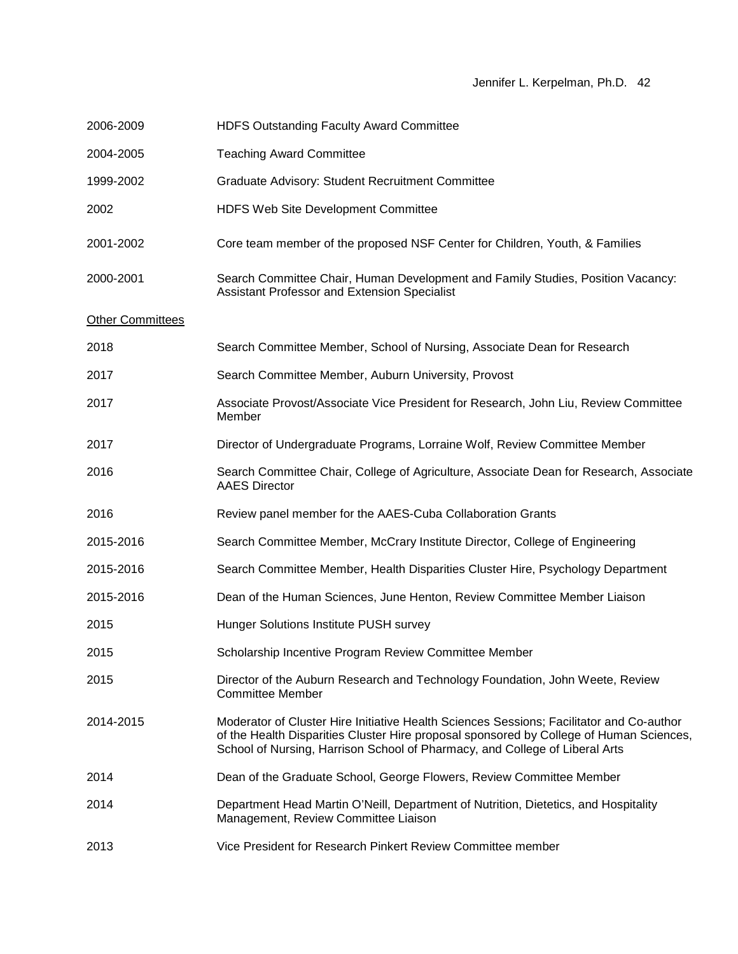| 2006-2009               | <b>HDFS Outstanding Faculty Award Committee</b>                                                                                                                                                                                                                    |
|-------------------------|--------------------------------------------------------------------------------------------------------------------------------------------------------------------------------------------------------------------------------------------------------------------|
| 2004-2005               | <b>Teaching Award Committee</b>                                                                                                                                                                                                                                    |
| 1999-2002               | Graduate Advisory: Student Recruitment Committee                                                                                                                                                                                                                   |
| 2002                    | <b>HDFS Web Site Development Committee</b>                                                                                                                                                                                                                         |
| 2001-2002               | Core team member of the proposed NSF Center for Children, Youth, & Families                                                                                                                                                                                        |
| 2000-2001               | Search Committee Chair, Human Development and Family Studies, Position Vacancy:<br>Assistant Professor and Extension Specialist                                                                                                                                    |
| <b>Other Committees</b> |                                                                                                                                                                                                                                                                    |
| 2018                    | Search Committee Member, School of Nursing, Associate Dean for Research                                                                                                                                                                                            |
| 2017                    | Search Committee Member, Auburn University, Provost                                                                                                                                                                                                                |
| 2017                    | Associate Provost/Associate Vice President for Research, John Liu, Review Committee<br>Member                                                                                                                                                                      |
| 2017                    | Director of Undergraduate Programs, Lorraine Wolf, Review Committee Member                                                                                                                                                                                         |
| 2016                    | Search Committee Chair, College of Agriculture, Associate Dean for Research, Associate<br><b>AAES Director</b>                                                                                                                                                     |
| 2016                    | Review panel member for the AAES-Cuba Collaboration Grants                                                                                                                                                                                                         |
| 2015-2016               | Search Committee Member, McCrary Institute Director, College of Engineering                                                                                                                                                                                        |
| 2015-2016               | Search Committee Member, Health Disparities Cluster Hire, Psychology Department                                                                                                                                                                                    |
| 2015-2016               | Dean of the Human Sciences, June Henton, Review Committee Member Liaison                                                                                                                                                                                           |
| 2015                    | Hunger Solutions Institute PUSH survey                                                                                                                                                                                                                             |
| 2015                    | Scholarship Incentive Program Review Committee Member                                                                                                                                                                                                              |
| 2015                    | Director of the Auburn Research and Technology Foundation, John Weete, Review<br><b>Committee Member</b>                                                                                                                                                           |
| 2014-2015               | Moderator of Cluster Hire Initiative Health Sciences Sessions; Facilitator and Co-author<br>of the Health Disparities Cluster Hire proposal sponsored by College of Human Sciences,<br>School of Nursing, Harrison School of Pharmacy, and College of Liberal Arts |
| 2014                    | Dean of the Graduate School, George Flowers, Review Committee Member                                                                                                                                                                                               |
| 2014                    | Department Head Martin O'Neill, Department of Nutrition, Dietetics, and Hospitality<br>Management, Review Committee Liaison                                                                                                                                        |
| 2013                    | Vice President for Research Pinkert Review Committee member                                                                                                                                                                                                        |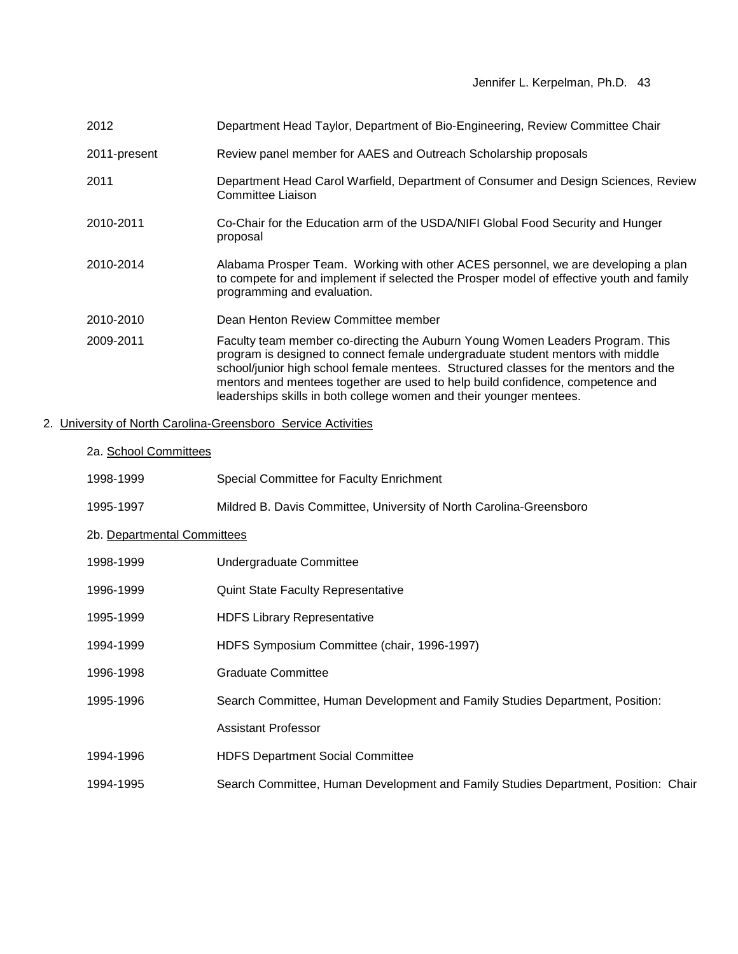| 2012         | Department Head Taylor, Department of Bio-Engineering, Review Committee Chair                                                                                                                                                                                                                                                                                                                                     |
|--------------|-------------------------------------------------------------------------------------------------------------------------------------------------------------------------------------------------------------------------------------------------------------------------------------------------------------------------------------------------------------------------------------------------------------------|
| 2011-present | Review panel member for AAES and Outreach Scholarship proposals                                                                                                                                                                                                                                                                                                                                                   |
| 2011         | Department Head Carol Warfield, Department of Consumer and Design Sciences, Review<br>Committee Liaison                                                                                                                                                                                                                                                                                                           |
| 2010-2011    | Co-Chair for the Education arm of the USDA/NIFI Global Food Security and Hunger<br>proposal                                                                                                                                                                                                                                                                                                                       |
| 2010-2014    | Alabama Prosper Team. Working with other ACES personnel, we are developing a plan<br>to compete for and implement if selected the Prosper model of effective youth and family<br>programming and evaluation.                                                                                                                                                                                                      |
| 2010-2010    | Dean Henton Review Committee member                                                                                                                                                                                                                                                                                                                                                                               |
| 2009-2011    | Faculty team member co-directing the Auburn Young Women Leaders Program. This<br>program is designed to connect female undergraduate student mentors with middle<br>school/junior high school female mentees. Structured classes for the mentors and the<br>mentors and mentees together are used to help build confidence, competence and<br>leaderships skills in both college women and their younger mentees. |

# 2. University of North Carolina-Greensboro Service Activities

| 2a. School Committees       |                                                                                    |
|-----------------------------|------------------------------------------------------------------------------------|
| 1998-1999                   | Special Committee for Faculty Enrichment                                           |
| 1995-1997                   | Mildred B. Davis Committee, University of North Carolina-Greensboro                |
| 2b. Departmental Committees |                                                                                    |
| 1998-1999                   | Undergraduate Committee                                                            |
| 1996-1999                   | <b>Quint State Faculty Representative</b>                                          |
| 1995-1999                   | <b>HDFS Library Representative</b>                                                 |
| 1994-1999                   | HDFS Symposium Committee (chair, 1996-1997)                                        |
| 1996-1998                   | <b>Graduate Committee</b>                                                          |
| 1995-1996                   | Search Committee, Human Development and Family Studies Department, Position:       |
|                             | <b>Assistant Professor</b>                                                         |
| 1994-1996                   | <b>HDFS Department Social Committee</b>                                            |
| 1994-1995                   | Search Committee, Human Development and Family Studies Department, Position: Chair |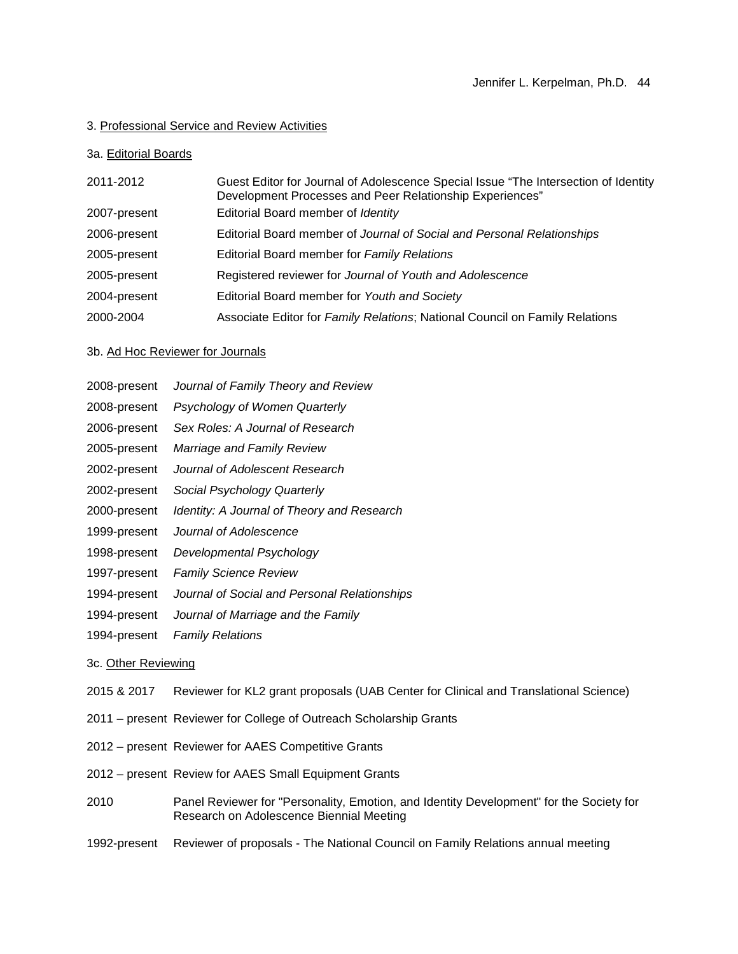### 3. Professional Service and Review Activities

#### 3a. Editorial Boards

| 2011-2012    | Guest Editor for Journal of Adolescence Special Issue "The Intersection of Identity<br>Development Processes and Peer Relationship Experiences" |
|--------------|-------------------------------------------------------------------------------------------------------------------------------------------------|
| 2007-present | Editorial Board member of Identity                                                                                                              |
| 2006-present | Editorial Board member of Journal of Social and Personal Relationships                                                                          |
| 2005-present | Editorial Board member for Family Relations                                                                                                     |
| 2005-present | Registered reviewer for Journal of Youth and Adolescence                                                                                        |
| 2004-present | Editorial Board member for Youth and Society                                                                                                    |
| 2000-2004    | Associate Editor for Family Relations; National Council on Family Relations                                                                     |

#### 3b. Ad Hoc Reviewer for Journals

- 2008-present *Journal of Family Theory and Review*
- 2008-present *Psychology of Women Quarterly*
- 2006-present *Sex Roles: A Journal of Research*
- 2005-present *Marriage and Family Review*
- 2002-present *Journal of Adolescent Research*
- 2002-present *Social Psychology Quarterly*
- 2000-present *Identity: A Journal of Theory and Research*
- 1999-present *Journal of Adolescence*
- 1998-present *Developmental Psychology*
- 1997-present *Family Science Review*
- 1994-present *Journal of Social and Personal Relationships*
- 1994-present *Journal of Marriage and the Family*
- 1994-present *Family Relations*

#### 3c. Other Reviewing

- 2015 & 2017 Reviewer for KL2 grant proposals (UAB Center for Clinical and Translational Science)
- 2011 present Reviewer for College of Outreach Scholarship Grants
- 2012 present Reviewer for AAES Competitive Grants
- 2012 present Review for AAES Small Equipment Grants
- 2010 Panel Reviewer for "Personality, Emotion, and Identity Development" for the Society for Research on Adolescence Biennial Meeting
- 1992-present Reviewer of proposals The National Council on Family Relations annual meeting